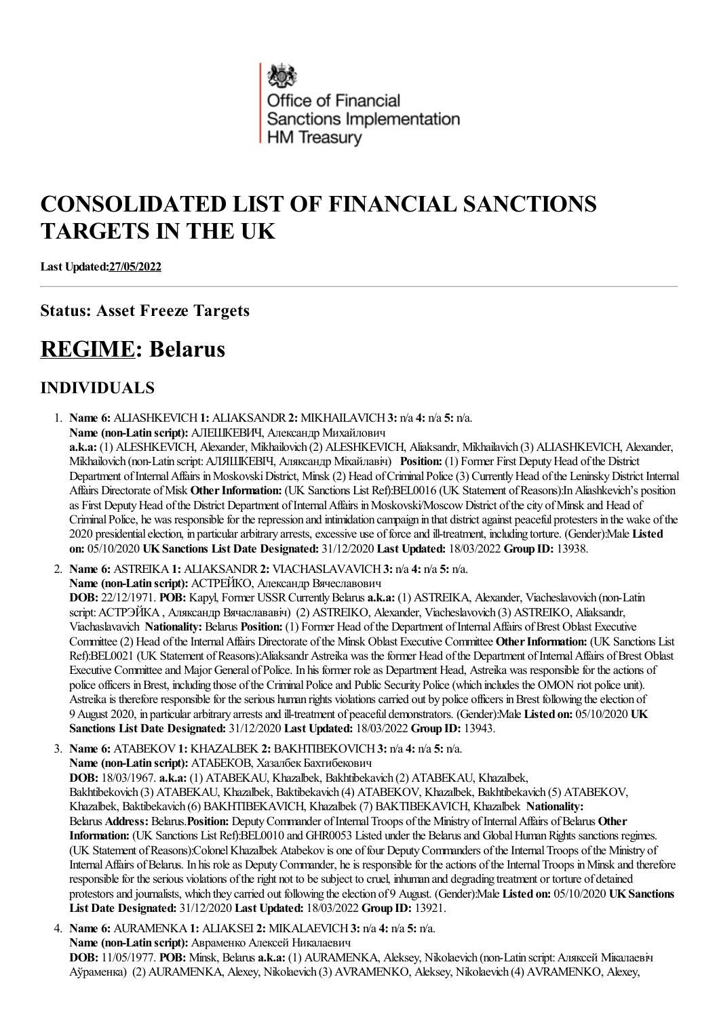

# **CONSOLIDATED LIST OF FINANCIAL SANCTIONS TARGETS IN THE UK**

**Last Updated:27/05/2022**

**Status: Asset Freeze Targets**

# **REGIME: Belarus**

# **INDIVIDUALS**

1. **Name 6:** ALIASHKEVICH**1:** ALIAKSANDR**2:** MIKHAILAVICH**3:** n/a **4:** n/a **5:** n/a. **Name (non-Latin script):** АЛЕШКЕВИЧ, Александр Михайлович **a.k.a:** (1) ALESHKEVICH, Alexander, Mikhailovich (2) ALESHKEVICH, Aliaksandr, Mikhailavich (3) ALIASHKEVICH, Alexander, Mikhailovich (non-Latin script:АЛЯШКЕВIЧ, Аляксандр Мiхайлавiч) **Position:** (1) Former First DeputyHead ofthe District Department of Internal Affairs in Moskovski District, Minsk (2) Head of Criminal Police (3) Currently Head of the Leninsky District Internal Affairs Directorate ofMisk **OtherInformation:** (UK Sanctions List Ref):BEL0016 (UK Statement ofReasons):InAliashkevich's position as First Deputy Head of the District Department of Internal Affairs in Moskovski/Moscow District of the city of Minsk and Head of Criminal Police, he was responsible for the repression and intimidation campaign in that district against peaceful protesters in the wake of the 2020 presidential election, in particular arbitrary arrests, excessive use of force and ill-treatment, including torture. (Gender):Male Listed **on:** 05/10/2020 **UKSanctions List Date Designated:** 31/12/2020 **Last Updated:** 18/03/2022 **Group ID:** 13938.

2. **Name 6:** ASTREIKA**1:** ALIAKSANDR**2:** VIACHASLAVAVICH**3:** n/a **4:** n/a **5:** n/a. **Name (non-Latin script):** АСТРЕЙКО, Александр Вячеславович

**DOB:** 22/12/1971. **POB:** Kapyl, Former USSRCurrentlyBelarus **a.k.a:** (1) ASTREIKA, Alexander, Viacheslavovich (non-Latin script: АСТРЭЙКА, Аляксандр Вячаслававіч) (2) ASTREIKO, Alexander, Viacheslavovich (3) ASTREIKO, Aliaksandr, Viachaslavavich **Nationality:** Belarus **Position:** (1) Former Head ofthe Department ofInternalAffairs ofBrest Oblast Executive Committee (2) Head of the Internal Affairs Directorate of the Minsk Oblast Executive Committee Other Information: (UK Sanctions List Ref):BEL0021 (UK Statement of Reasons):Aliaksandr Astreika was the former Head of the Department of Internal Affairs of Brest Oblast Executive Committee and Major General of Police. In his former role as Department Head, Astreika was responsible for the actions of police officers inBrest, including those ofthe CriminalPoliceand Public Security Police(which includes the OMON riot police unit). Astreika is therefore responsible for the serious human rights violations carried out by police officers in Brest following the election of 9August 2020, in particulararbitrary arrestsand ill‐treatment of peaceful demonstrators. (Gender):Male **Listed on:** 05/10/2020 **UK Sanctions List Date Designated:** 31/12/2020 **Last Updated:** 18/03/2022 **Group ID:** 13943.

3. **Name 6:** ATABEKOV**1:** KHAZALBEK **2:** BAKHTIBEKOVICH**3:** n/a **4:** n/a **5:** n/a. **Name (non-Latin script):** АТАБЕКОВ, Хазалбек Бахтибекович **DOB:** 18/03/1967. **a.k.a:** (1) ATABEKAU, Khazalbek, Bakhtibekavich (2) ATABEKAU, Khazalbek, Bakhtibekovich (3) ATABEKAU, Khazalbek, Baktibekavich (4) ATABEKOV, Khazalbek, Bakhtibekavich (5) ATABEKOV, Khazalbek, Baktibekavich (6) BAKHTIBEKAVICH, Khazalbek (7) BAKTIBEKAVICH, Khazalbek **Nationality:** Belarus **Address:** Belarus.**Position:** DeputyCommander ofInternalTroops ofthe Ministry ofInternalAffairs ofBelarus **Other** Information: (UK Sanctions List Ref):BEL0010 and GHR0053 Listed under the Belarus and Global Human Rights sanctions regimes. (UK Statement of Reasons):Colonel Khazalbek Atabekov is one of four Deputy Commanders of the Internal Troops of the Ministry of Internal Affairs of Belarus. In his role as Deputy Commander, he is responsible for the actions of the Internal Troops in Minsk and therefore responsible for the serious violations of the right not to be subject to cruel, inhuman and degrading treatment or torture of detained protestorsand journalists, which they carried out following theelection of 9 August. (Gender):Male **Listed on:** 05/10/2020 **UKSanctions List Date Designated:** 31/12/2020 **Last Updated:** 18/03/2022 **Group ID:** 13921.

4. **Name 6:** AURAMENKA**1:** ALIAKSEI **2:** MIKALAEVICH**3:** n/a **4:** n/a **5:** n/a. **Name (non-Latin script):** Авраменко Алексей Никалаевич **DOB:** 11/05/1977. **POB:** Minsk, Belarus **a.k.a:** (1) AURAMENKA, Aleksey, Nikolaevich (non-Latin script:Аляксей Мікалаевіч Аўраменка) (2) AURAMENKA, Alexey, Nikolaevich (3) AVRAMENKO, Aleksey, Nikolaevich (4) AVRAMENKO, Alexey,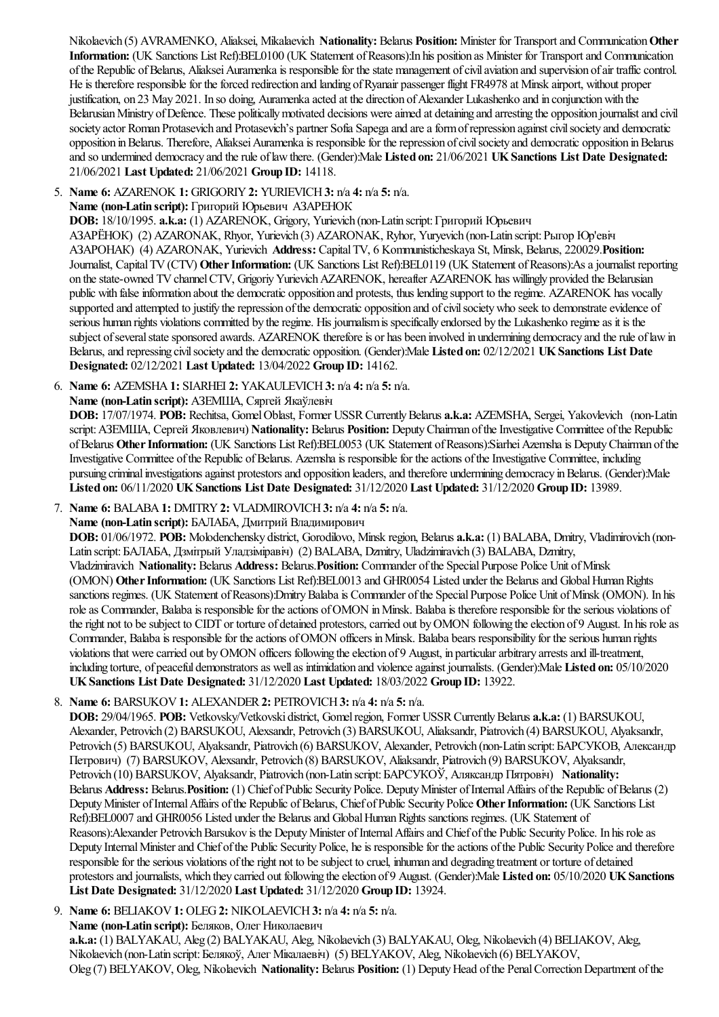Nikolaevich (5) AVRAMENKO, Aliaksei, Mikalaevich **Nationality:** Belarus **Position:** Minister for Transportand Communication**Other Information:** (UK Sanctions List Ref):BEL0100 (UK Statement ofReasons):In his position as Minister for Transportand Communication of the Republic of Belarus, Aliaksei Auramenka is responsible for the state management of civil aviation and supervision of air traffic control. He is therefore responsible for the forced redirection and landing of Ryanair passenger flight FR4978 at Minsk airport, without proper justification, on 23 May 2021. In so doing, Auramenka acted at the direction of Alexander Lukashenko and in conjunction with the Belarusian Ministry of Defence. These politically motivated decisions were aimed at detaining and arresting the opposition journalist and civil society actor Roman Protasevich and Protasevich's partner Sofia Sapega and are a form of repression against civil society and democratic opposition in Belarus. Therefore, Aliaksei Auramenka is responsible for the repression of civil society and democratic opposition in Belarus and so undermined democracy and therule oflawthere. (Gender):Male **Listed on:** 21/06/2021 **UKSanctions List Date Designated:** 21/06/2021 **Last Updated:** 21/06/2021 **Group ID:** 14118.

5. **Name 6:** AZARENOK **1:** GRIGORIY**2:** YURIEVICH**3:** n/a **4:** n/a **5:** n/a.

#### **Name (non-Latin script):** Григорий Юрьевич АЗАРЕНОК

**DOB:** 18/10/1995. **a.k.a:** (1) AZARENOK, Grigory, Yurievich (non-Latin script:Григорий Юрьевич

АЗАРЁНОК) (2) AZARONAK, Rhyor, Yurievich (3) AZARONAK, Ryhor, Yuryevich (non-Latin script:Рыгор Юр'евіч АЗАРОНАК) (4) AZARONAK, Yurievich **Address:** CapitalTV, 6 Kommunisticheskaya St, Minsk, Belarus, 220029.**Position:** Journalist, Capital TV (CTV) **Other Information:** (UK Sanctions List Ref):BEL0119 (UK Statement of Reasons):As a journalist reporting on the state-owned TV channel CTV, Grigoriy Yurievich AZARENOK, hereafter AZARENOK has willingly provided the Belarusian public with false information about the democratic opposition and protests, thus lending support to the regime. AZARENOK has vocally supported and attempted to justify the repression of the democratic opposition and of civil society who seek to demonstrate evidence of serious human rights violations committed by the regime. His journalism is specifically endorsed by the Lukashenko regime as it is the subject of several state sponsored awards. AZARENOK therefore is or has been involved in undermining democracy and the rule of law in Belarus, and repressing civil society and the democratic opposition. (Gender):Male Listed on: 02/12/2021 UK Sanctions List Date **Designated:** 02/12/2021 **Last Updated:** 13/04/2022 **Group ID:** 14162.

6. **Name 6:** AZEMSHA**1:** SIARHEI **2:** YAKAULEVICH**3:** n/a **4:** n/a **5:** n/a.

**Name (non-Latin script):** АЗЕМША, Сяргей Якаўлевіч

**DOB:** 17/07/1974. **POB:** Rechitsa, GomelOblast, Former USSRCurrentlyBelarus **a.k.a:** AZEMSHA, Sergei, Yakovlevich (non-Latin script: АЗЕМША, Сергей Яковлевич) **Nationality:** Belarus **Position:** Deputy Chairman of the Investigative Committee of the Republic of Belarus Other Information: (UK Sanctions List Ref):BEL0053 (UK Statement of Reasons):Siarhei Azemsha is Deputy Chairman of the Investigative Committee of the Republic of Belarus. Azemsha is responsible for the actions of the Investigative Committee, including pursuing criminal investigations against protestors and opposition leaders, and therefore undermining democracy in Belarus. (Gender):Male **Listed on:** 06/11/2020 **UKSanctions List Date Designated:** 31/12/2020 **Last Updated:** 31/12/2020 **Group ID:** 13989.

7. **Name 6:** BALABA**1:** DMITRY**2:** VLADMIROVICH**3:** n/a **4:** n/a **5:** n/a.

**Name (non-Latin script):** БАЛАБА, Дмитрий Владимирович

**DOB:** 01/06/1972. **POB:** Molodenchensky district, Gorodilovo, Minsk region, Belarus **a.k.a:** (1) BALABA, Dmitry, Vladimirovich (non-Latin script:БАЛАБА, Дзмiтрый Уладзiмiравiч) (2) BALABA, Dzmitry, Uladzimiravich (3) BALABA, Dzmitry, Vladzimiravich **Nationality:** Belarus **Address:** Belarus.**Position:** Commander ofthe SpecialPurpose Police Unit ofMinsk (OMON) Other Information: (UK Sanctions List Ref):BEL0013 and GHR0054 Listed under the Belarus and Global Human Rights sanctions regimes. (UK Statement of Reasons):Dmitry Balaba is Commander of the Special Purpose Police Unit of Minsk (OMON). In his role as Commander, Balaba is responsible for the actions of OMON in Minsk. Balaba is therefore responsible for the serious violations of the right not to be subject to CIDT or torture of detained protestors, carried out by OMON following the election of 9 August. In his role as Commander, Balaba is responsible for the actions of OMON officers in Minsk. Balaba bears responsibility for the serious human rights violations that were carried out by OMON officers following the election of 9 August, in particular arbitrary arrests and ill-treatment, including torture, of peaceful demonstratorsas wellas intimidation and violenceagainst journalists. (Gender):Male **Listed on:** 05/10/2020 **UKSanctions List Date Designated:** 31/12/2020 **Last Updated:** 18/03/2022 **Group ID:** 13922.

8. **Name 6:** BARSUKOV**1:** ALEXANDER**2:** PETROVICH**3:** n/a **4:** n/a **5:** n/a.

**DOB:** 29/04/1965. **POB:** Vetkovsky/Vetkovski district, Gomelregion, Former USSRCurrentlyBelarus **a.k.a:** (1) BARSUKOU, Alexander, Petrovich (2) BARSUKOU, Alexsandr, Petrovich (3) BARSUKOU, Aliaksandr, Piatrovich (4) BARSUKOU, Alyaksandr, Petrovich (5) BARSUKOU, Alyaksandr, Piatrovich (6) BARSUKOV, Alexander, Petrovich (non-Latin script: БАРСУКОВ, Александр Петрович) (7) BARSUKOV, Alexsandr, Petrovich (8) BARSUKOV, Aliaksandr, Piatrovich (9) BARSUKOV, Alyaksandr, Petrovich (10) BARSUKOV, Alyaksandr, Piatrovich (non-Latin script:БАРСУКОЎ, Аляксандр Пятровіч) **Nationality:** Belarus **Address:** Belarus. **Position:** (1) Chief of Public Security Police. Deputy Minister of Internal Affairs of the Republic of Belarus (2) Deputy Minister of Internal Affairs of the Republic of Belarus, Chief of Public Security Police Other Information: (UK Sanctions List Ref):BEL0007 and GHR0056 Listed under the Belarus and Global Human Rights sanctions regimes. (UK Statement of Reasons):Alexander Petrovich Barsukov is the Deputy Minister of Internal Affairs and Chief of the Public Security Police. In his role as Deputy Internal Minister and Chief of the Public Security Police, he is responsible for the actions of the Public Security Police and therefore responsible for the serious violations of the right not to be subject to cruel, inhuman and degrading treatment or torture of detained protestorsand journalists, which they carried out following theelection of 9 August. (Gender):Male **Listed on:** 05/10/2020 **UKSanctions List Date Designated:** 31/12/2020 **Last Updated:** 31/12/2020 **Group ID:** 13924.

9. **Name 6:** BELIAKOV**1:** OLEG**2:** NIKOLAEVICH**3:** n/a **4:** n/a **5:** n/a. **Name** (non-Latin script): Беляков, Олег Николаевич **a.k.a:** (1) BALYAKAU, Aleg (2) BALYAKAU, Aleg, Nikolaevich (3) BALYAKAU, Oleg, Nikolaevich (4) BELIAKOV, Aleg, Nikolaevich (non-Latin script:Белякоў, Алег Мікалаевіч) (5) BELYAKOV, Aleg, Nikolaevich (6) BELYAKOV, Oleg (7) BELYAKOV, Oleg, Nikolaevich Nationality: Belarus Position: (1) Deputy Head of the Penal Correction Department of the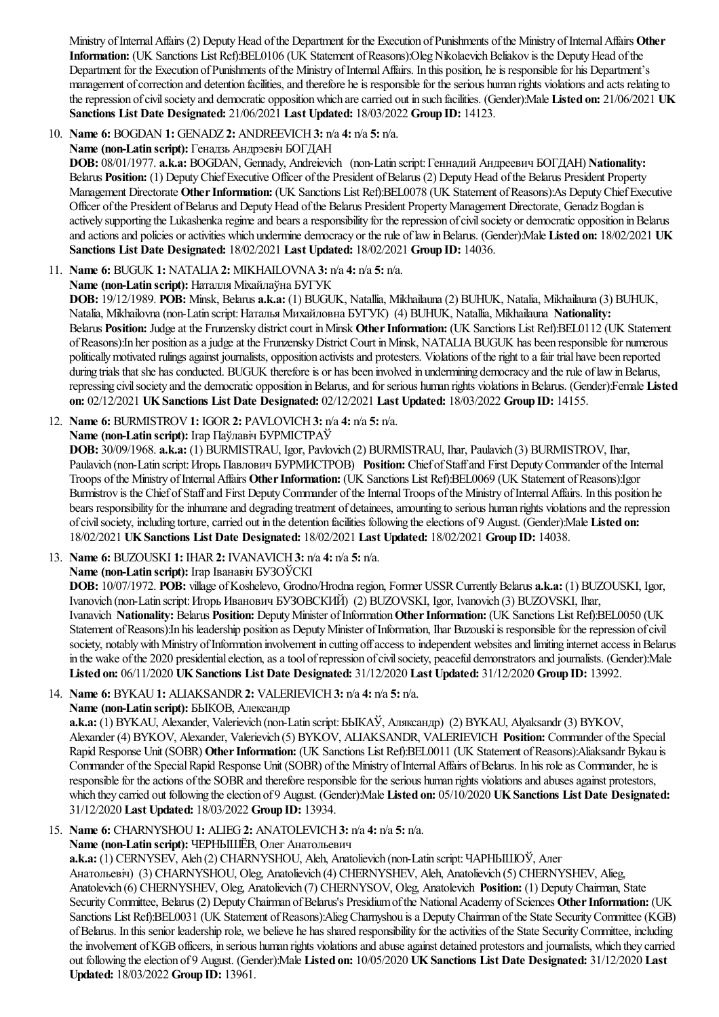Ministry of Internal Affairs (2) Deputy Head of the Department for the Execution of Punishments of the Ministry of Internal Affairs Other **Information:** (UK Sanctions List Ref):BEL0106 (UK Statement of Reasons):Oleg Nikolaevich Beliakov is the Deputy Head of the Department for the Execution of Punishments of the Ministry of Internal Affairs. In this position, he is responsible for his Department's management of correction and detention facilities, and therefore he is responsible for the serious human rights violations and acts relating to therepression ofcivilsociety and democratic oppositionwhich arecarried out in such facilities. (Gender):Male **Listed on:** 21/06/2021 **UK Sanctions List Date Designated:** 21/06/2021 **Last Updated:** 18/03/2022 **Group ID:** 14123.

10. **Name 6:** BOGDAN **1:** GENADZ **2:** ANDREEVICH**3:** n/a **4:** n/a **5:** n/a.

## **Name (non-Latin script):** Генадзь Андрэевіч БОГДАН

**DOB:** 08/01/1977. **a.k.a:** BOGDAN, Gennady, Andreievich (non-Latin script:Геннадий Андреевич БОГДАН) **Nationality:** Belarus Position: (1) Deputy Chief Executive Officer of the President of Belarus (2) Deputy Head of the Belarus President Property Management Directorate Other Information: (UK Sanctions List Ref):BEL0078 (UK Statement of Reasons):As Deputy Chief Executive Officer of the President of Belarus and Deputy Head of the Belarus President Property Management Directorate, Genadz Bogdan is actively supporting the Lukashenka regime and bears a responsibility for the repression of civil society or democratic opposition in Belarus and actionsand policies oractivities which undermine democracy or therule oflawinBelarus. (Gender):Male **Listed on:** 18/02/2021 **UK Sanctions List Date Designated:** 18/02/2021 **Last Updated:** 18/02/2021 **Group ID:** 14036.

11. **Name 6:** BUGUK **1:** NATALIA**2:** MIKHAILOVNA**3:** n/a **4:** n/a **5:** n/a.

**Name (non-Latin script):** Наталля Мiхайлаўна БУГУК

**DOB:** 19/12/1989. **POB:** Minsk, Belarus **a.k.a:** (1) BUGUK, Natallia, Mikhailauna(2) BUHUK, Natalia, Mikhailauna(3) BUHUK, Natalia, Mikhailovna(non-Latin script:Наталья Михайловна БУГУК) (4) BUHUK, Natallia, Mikhailauna **Nationality:** Belarus **Position:** Judge at the Frunzensky district court in Minsk **Other Information:** (UK Sanctions List Ref):BEL0112 (UK Statement of Reasons):In her position as a judge at the Frunzensky District Court in Minsk, NATALIA BUGUK has been responsible for numerous politically motivated rulings against journalists, opposition activists and protesters. Violations of the right to a fair trial have been reported during trials that she has conducted. BUGUK therefore is or has been involved in undermining democracy and the rule of law in Belarus, repressing civilsociety and the democratic opposition inBelarus,and for serious human rights violations inBelarus. (Gender):Female **Listed on:** 02/12/2021 **UKSanctions List Date Designated:** 02/12/2021 **Last Updated:** 18/03/2022 **Group ID:** 14155.

12. **Name 6:** BURMISTROV**1:** IGOR**2:** PAVLOVICH**3:** n/a **4:** n/a **5:** n/a. **Name (non-Latin script):** Iгар Паўлавiч БУРМIСТРАЎ

**DOB:** 30/09/1968. **a.k.a:** (1) BURMISTRAU, Igor, Pavlovich (2) BURMISTRAU, Ihar, Paulavich (3) BURMISTROV, Ihar, Paulavich (non-Latin script: Игорь Павлович БУРМИСТРОВ) **Position:** Chief of Staff and First Deputy Commander of the Internal Troops ofthe Ministry ofInternalAffairs **OtherInformation:** (UK Sanctions List Ref):BEL0069 (UK Statement ofReasons):Igor Burmistrov is the Chief of Staff and First Deputy Commander of the Internal Troops of the Ministry of Internal Affairs. In this position he bears responsibility for the inhumane and degrading treatment of detainees, amounting to serious human rights violations and the repression ofcivilsociety, including torture,carried out in the detention facilities following theelections of 9 August. (Gender):Male **Listed on:** 18/02/2021 **UKSanctions List Date Designated:** 18/02/2021 **Last Updated:** 18/02/2021 **Group ID:** 14038.

13. **Name 6:** BUZOUSKI **1:** IHAR**2:** IVANAVICH**3:** n/a **4:** n/a **5:** n/a.

**Name (non-Latin script):** Iгар Iванавiч БУЗОЎСКI

**DOB:** 10/07/1972. **POB:** village ofKoshelevo, Grodno/Hrodnaregion, Former USSRCurrentlyBelarus **a.k.a:** (1) BUZOUSKI, Igor, Ivanovich (non-Latin script: Игорь Иванович БУЗОВСКИЙ) (2) BUZOVSKI, Igor, Ivanovich (3) BUZOVSKI, Ihar, Ivanavich Nationality: Belarus Position: Deputy Minister of Information Other Information: (UK Sanctions List Ref):BEL0050 (UK Statement of Reasons): In his leadership position as Deputy Minister of Information, Ihar Buzouski is responsible for the repression of civil society, notably with Ministry of Information involvement in cutting off access to independent websites and limiting internet access in Belarus in the wake of the 2020 presidential election, as a tool of repression of civil society, peaceful demonstrators and journalists. (Gender):Male **Listed on:** 06/11/2020 **UKSanctions List Date Designated:** 31/12/2020 **Last Updated:** 31/12/2020 **Group ID:** 13992.

14. **Name 6:** BYKAU**1:** ALIAKSANDR**2:** VALERIEVICH**3:** n/a **4:** n/a **5:** n/a.

**Name (non-Latin script):** БЫКОВ, Александр

**a.k.a:** (1) BYKAU, Alexander, Valerievich (non-Latin script:БЫКАЎ, Аляксандр) (2) BYKAU, Alyaksandr (3) BYKOV, Alexander (4) BYKOV, Alexander, Valerievich (5) BYKOV, ALIAKSANDR, VALERIEVICH **Position:** Commander ofthe Special Rapid Response Unit (SOBR) **OtherInformation:** (UK Sanctions List Ref):BEL0011 (UK Statement ofReasons):Aliaksandr Bykau is Commander of the Special Rapid Response Unit (SOBR) of the Ministry of Internal Affairs of Belarus. In his role as Commander, he is responsible for the actions of the SOBR and therefore responsible for the serious human rights violations and abuses against protestors, which they carried out following theelection of 9 August. (Gender):Male **Listed on:** 05/10/2020 **UKSanctions List Date Designated:** 31/12/2020 **Last Updated:** 18/03/2022 **Group ID:** 13934.

15. **Name 6:** CHARNYSHOU**1:** ALIEG**2:** ANATOLEVICH**3:** n/a **4:** n/a **5:** n/a.

**Name (non-Latin script):** ЧЕРНЫШЁВ, ОлегАнатольевич

**a.k.a:** (1) CERNYSEV, Aleh (2) CHARNYSHOU, Aleh, Anatolievich (non-Latin script:ЧАРНЫШОЎ, Алег Анатольевiч) (3) CHARNYSHOU, Oleg, Anatolievich (4) CHERNYSHEV, Aleh, Anatolievich (5) CHERNYSHEV, Alieg, Anatolevich (6) CHERNYSHEV, Oleg, Anatolievich (7) CHERNYSOV, Oleg, Anatolevich **Position:** (1) DeputyChairman, State Security Committee, Belarus (2) Deputy Chairman of Belarus's Presidium of the National Academy of Sciences Other Information: (UK Sanctions List Ref):BEL0031 (UK Statement of Reasons):Alieg Charnyshou is a Deputy Chairman of the State Security Committee (KGB) ofBelarus. In this senior leadership role, we believe he has shared responsibility for theactivities ofthe State SecurityCommittee, including the involvement of KGB officers, in serious human rights violations and abuse against detained protestors and journalists, which they carried out following theelection of 9 August. (Gender):Male **Listed on:** 10/05/2020 **UKSanctions List Date Designated:** 31/12/2020 **Last Updated:** 18/03/2022 **Group ID:** 13961.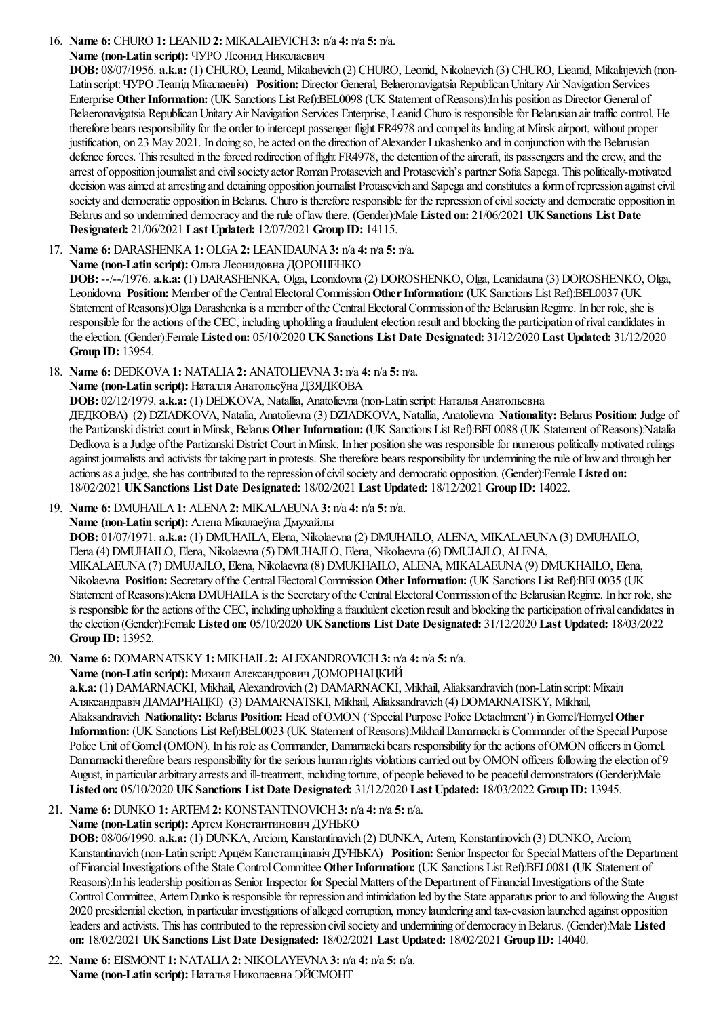# 16. **Name 6:** CHURO **1:** LEANID**2:** MIKALAIEVICH**3:** n/a **4:** n/a **5:** n/a.

#### **Name (non-Latin script):** ЧУРО Леонид Николаевич

**DOB:** 08/07/1956. **a.k.a:** (1) CHURO, Leanid, Mikalaevich (2) CHURO, Leonid, Nikolaevich (3) CHURO, Lieanid, Mikalajevich (non-Latin script:ЧУРО Леанід Мікалаевіч) **Position:** Director General, Belaeronavigatsia RepublicanUnitaryAir Navigation Services Enterprise Other Information: (UK Sanctions List Ref):BEL0098 (UK Statement of Reasons):In his position as Director General of Belaeronavigatsia Republican Unitary Air Navigation Services Enterprise, Leanid Churo is responsible for Belarusian air traffic control. He therefore bears responsibility for the order to intercept passenger flight FR4978 and compelits landing at Minsk airport, without proper justification, on 23 May 2021. In doing so, he acted on the direction of Alexander Lukashenko and in conjunction with the Belarusian defence forces. This resulted in the forced redirection of flight FR4978, the detention of the aircraft, its passengers and the crew, and the arrest of opposition journalist and civil society actor Roman Protasevich and Protasevich's partner Sofia Sapega. This politically-motivated decision was aimed at arresting and detaining opposition journalist Protasevich and Sapega and constitutes a form of repression against civil society and democratic opposition in Belarus. Churo is therefore responsible for the repression of civil society and democratic opposition in Belarusand so undermined democracy and therule oflawthere. (Gender):Male **Listed on:** 21/06/2021 **UKSanctions List Date Designated:** 21/06/2021 **Last Updated:** 12/07/2021 **Group ID:** 14115.

17. **Name 6:** DARASHENKA**1:** OLGA**2:** LEANIDAUNA**3:** n/a **4:** n/a **5:** n/a. **Name (non-Latin script):** Ольга Леонидовна ДОРОШЕНКО

**DOB:** --/--/1976. **a.k.a:** (1) DARASHENKA, Olga, Leonidovna(2) DOROSHENKO, Olga, Leanidauna(3) DOROSHENKO, Olga, Leonidovna **Position:** Member ofthe CentralElectoralCommission**OtherInformation:** (UK Sanctions List Ref):BEL0037 (UK Statement of Reasons):Olga Darashenka is a member of the Central Electoral Commission of the Belarusian Regime. In her role, she is responsible for the actions of the CEC, including upholding a fraudulent election result and blocking the participation of rival candidates in theelection. (Gender):Female **Listed on:** 05/10/2020 **UKSanctions List Date Designated:** 31/12/2020 **Last Updated:** 31/12/2020 **Group ID:** 13954.

18. **Name 6:** DEDKOVA**1:** NATALIA**2:** ANATOLIEVNA**3:** n/a **4:** n/a **5:** n/a.

# **Name (non-Latin script):** Наталля Анатольеўна ДЗЯДКОВА

**DOB:** 02/12/1979. **a.k.a:** (1) DEDKOVA, Natallia, Anatolievna(non-Latin script:Наталья Анатольевна

ДЕДКОВА) (2) DZIADKOVA, Natalia, Anatolievna(3) DZIADKOVA, Natallia, Anatolievna **Nationality:** Belarus **Position:** Judge of the Partizanski district court in Minsk, Belarus Other Information: (UK Sanctions List Ref):BEL0088 (UK Statement of Reasons):Natalia Dedkova is a Judge of the Partizanski District Court in Minsk. In her position she was responsible for numerous politically motivated rulings against journalists and activists for taking part in protests. She therefore bears responsibility for undermining the rule of law and through her actions as a judge, she has contributed to the repression of civil society and democratic opposition. (Gender):Female Listed on: 18/02/2021 **UKSanctions List Date Designated:** 18/02/2021 **Last Updated:** 18/12/2021 **Group ID:** 14022.

19. **Name 6:** DMUHAILA**1:** ALENA**2:** MIKALAEUNA**3:** n/a **4:** n/a **5:** n/a.

# **Name (non-Latin script):** Алена Мікалаеўна Дмухайлы

**DOB:** 01/07/1971. **a.k.a:** (1) DMUHAILA, Elena, Nikolaevna(2) DMUHAILO, ALENA, MIKALAEUNA(3) DMUHAILO, Elena(4) DMUHAILO, Elena, Nikolaevna(5) DMUHAJLO, Elena, Nikolaevna(6) DMUJAJLO, ALENA, MIKALAEUNA(7) DMUJAJLO, Elena, Nikolaevna(8) DMUKHAILO, ALENA, MIKALAEUNA(9) DMUKHAILO, Elena, Nikolaevna **Position:** Secretary ofthe CentralElectoralCommission**OtherInformation:** (UK Sanctions List Ref):BEL0035 (UK Statement of Reasons):Alena DMUHAILA is the Secretary of the Central Electoral Commission of the Belarusian Regime. In her role, she is responsible for the actions of the CEC, including upholding a fraudulent election result and blocking the participation of rival candidates in theelection (Gender):Female **Listed on:** 05/10/2020 **UKSanctions List Date Designated:** 31/12/2020 **Last Updated:** 18/03/2022 **Group ID:** 13952.

20. **Name 6:** DOMARNATSKY**1:** MIKHAIL **2:** ALEXANDROVICH**3:** n/a **4:** n/a **5:** n/a.

**Name (non-Latin script):** Михаил Александрович ДОМОРНАЦКИЙ

**a.k.a:** (1) DAMARNACKI, Mikhail, Alexandrovich (2) DAMARNACKI, Mikhail, Aliaksandravich (non-Latin script:Мiхаiл Аляксандравiч ДАМАРНАЦКI) (3) DAMARNATSKI, Mikhail, Aliaksandravich (4) DOMARNATSKY, Mikhail, Aliaksandravich **Nationality:** Belarus **Position:** Head ofOMON ('SpecialPurpose Police Detachment') inGomel/Homyel**Other Information:** (UK Sanctions List Ref):BEL0023 (UK Statement of Reasons):Mikhail Damarnacki is Commander of the Special Purpose Police Unit of Gomel (OMON). In his role as Commander, Damarnacki bears responsibility for the actions of OMON officers in Gomel. Damarnacki therefore bears responsibility for the serious human rights violations carried out by OMON officers following the election of 9 August, in particular arbitrary arrests and ill-treatment, including torture, of people believed to be peaceful demonstrators (Gender): Male **Listed on:** 05/10/2020 **UKSanctions List Date Designated:** 31/12/2020 **Last Updated:** 18/03/2022 **Group ID:** 13945.

21. **Name 6:** DUNKO **1:** ARTEM**2:** KONSTANTINOVICH**3:** n/a **4:** n/a **5:** n/a.

# **Name (non-Latin script):** Артем Константинович ДУНЬКО

**DOB:** 08/06/1990. **a.k.a:** (1) DUNKA, Arciom, Kanstantinavich (2) DUNKA, Artem, Konstantinovich (3) DUNKO, Arciom, Kanstantinavich (non-Latin script:Арцём Канстанцiнавiч ДУНЬКА) **Position:** Senior Inspector for SpecialMatters ofthe Department ofFinancialInvestigations ofthe State ControlCommittee **OtherInformation:** (UK Sanctions List Ref):BEL0081 (UK Statement of Reasons):In his leadership position as Senior Inspector for Special Matters of the Department of Financial Investigations of the State Control Committee, Artem Dunko is responsible for repression and intimidation led by the State apparatus prior to and following the August 2020 presidentialelection, in particular investigations ofalleged corruption, money laundering and tax-evasion launched against opposition leaders and activists. This has contributed to the repression civil society and undermining of democracy in Belarus. (Gender):Male Listed **on:** 18/02/2021 **UKSanctions List Date Designated:** 18/02/2021 **Last Updated:** 18/02/2021 **Group ID:** 14040.

22. **Name 6:** EISMONT **1:** NATALIA**2:** NIKOLAYEVNA**3:** n/a **4:** n/a **5:** n/a. **Name (non-Latin script):** Наталья Николаевна ЭЙСМОНТ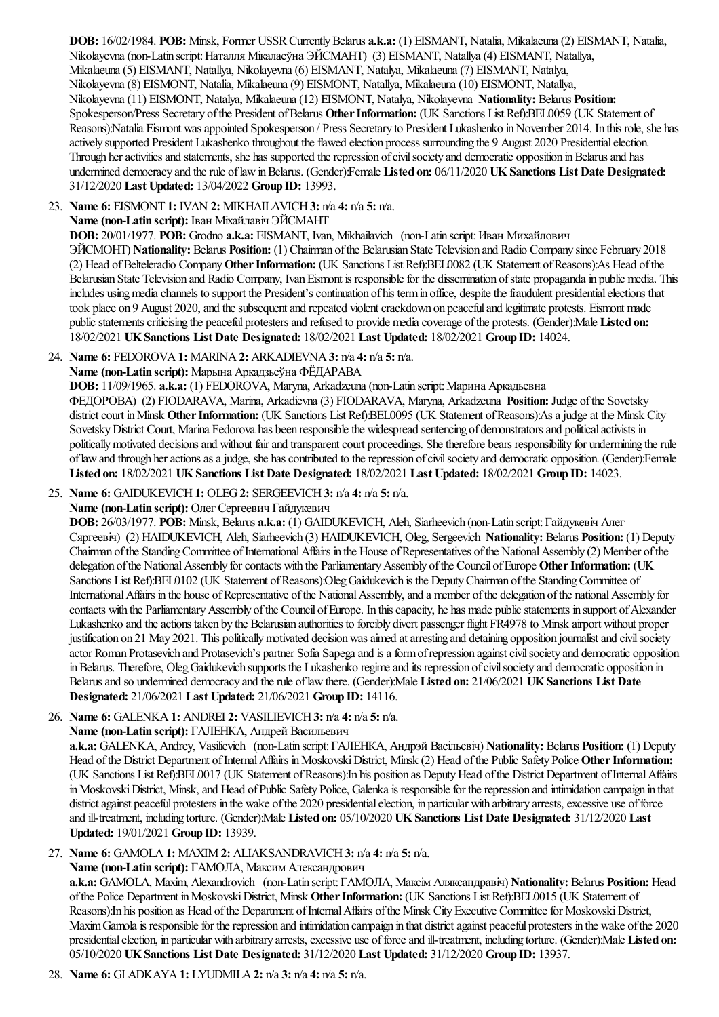**DOB:** 16/02/1984. **POB:** Minsk, Former USSRCurrentlyBelarus **a.k.a:** (1) EISMANT, Natalia, Mikalaeuna(2) EISMANT, Natalia, Nikolayevna(non-Latin script:Наталля Мiкалаеўна ЭЙСМАНТ) (3) EISMANT, Natallya(4) EISMANT, Natallya, Mikalaeuna(5) EISMANT, Natallya, Nikolayevna(6) EISMANT, Natalya, Mikalaeuna(7) EISMANT, Natalya, Nikolayevna(8) EISMONT, Natalia, Mikalaeuna(9) EISMONT, Natallya, Mikalaeuna(10) EISMONT, Natallya, Nikolayevna(11) EISMONT, Natalya, Mikalaeuna(12) EISMONT, Natalya, Nikolayevna **Nationality:** Belarus **Position:** Spokesperson/Press Secretary of the President of Belarus Other Information: (UK Sanctions List Ref):BEL0059 (UK Statement of Reasons):Natalia Eismont was appointed Spokesperson / Press Secretary to President Lukashenko in November 2014. In this role, she has actively supported President Lukashenko throughout theflawed election process surrounding the 9 August 2020 Presidentialelection. Through her activities and statements, she has supported the repression of civil society and democratic opposition in Belarus and has undermined democracy and therule oflawinBelarus. (Gender):Female **Listed on:** 06/11/2020 **UKSanctions List Date Designated:** 31/12/2020 **Last Updated:** 13/04/2022 **Group ID:** 13993.

23. **Name 6:** EISMONT **1:** IVAN **2:** MIKHAILAVICH**3:** n/a **4:** n/a **5:** n/a.

#### **Name (non-Latin script):** Iван Мiхайлавiч ЭЙСМАНТ

**DOB:** 20/01/1977. **POB:** Grodno **a.k.a:** EISMANT, Ivan, Mikhailavich (non-Latin script: Иван Михайлович ЭЙСМОНТ) **Nationality:** Belarus **Position:** (1) Chairman ofthe Belarusian State Television and Radio Company since February 2018 (2) Head ofBelteleradio Company**OtherInformation:** (UK Sanctions List Ref):BEL0082 (UK Statement ofReasons):As Head ofthe Belarusian State Television and Radio Company, Ivan Eismont is responsible for the dissemination of state propaganda in public media. This includes using media channels to support the President's continuation of his term in office, despite the fraudulent presidential elections that took place on 9 August 2020, and the subsequent and repeated violent crackdown on peaceful and legitimate protests. Eismont made public statements criticising the peaceful protesters and refused to provide media coverage of the protests. (Gender):Male Listed on: 18/02/2021 **UKSanctions List Date Designated:** 18/02/2021 **Last Updated:** 18/02/2021 **Group ID:** 14024.

24. **Name 6:** FEDOROVA**1:** MARINA**2:** ARKADIEVNA**3:** n/a **4:** n/a **5:** n/a.

# **Name (non-Latin script):** Марына Аркадзьеўна ФЁДАРАВА

**DOB:** 11/09/1965. **a.k.a:** (1) FEDOROVA, Maryna, Arkadzeuna(non-Latin script:Марина Аркадьевна

ФЕДОРОВА) (2) FIODARAVA, Marina, Arkadievna(3) FIODARAVA, Maryna, Arkadzeuna **Position:** Judge ofthe Sovetsky district court in Minsk Other Information: (UK Sanctions List Ref):BEL0095 (UK Statement of Reasons):As a judge at the Minsk City Sovetsky District Court, Marina Fedorova has been responsible the widespread sentencing of demonstrators and political activists in politically motivated decisions and without fair and transparent court proceedings. She therefore bears responsibility for undermining the rule of law and through her actions as a judge, she has contributed to the repression of civil society and democratic opposition. (Gender):Female **Listed on:** 18/02/2021 **UKSanctions List Date Designated:** 18/02/2021 **Last Updated:** 18/02/2021 **Group ID:** 14023.

25. **Name 6:** GAIDUKEVICH**1:** OLEG**2:** SERGEEVICH**3:** n/a **4:** n/a **5:** n/a.

**Name (non-Latin script):** Олег Сергеевич Гайдукевич

**DOB:** 26/03/1977. **POB:** Minsk, Belarus **a.k.a:** (1) GAIDUKEVICH, Aleh, Siarheevich (non-Latin script:Гайдукевіч Алег Сяргеевіч) (2) HAIDUKEVICH, Aleh, Siarheevich (3) HAIDUKEVICH, Oleg, Sergeevich **Nationality:** Belarus **Position:** (1) Deputy Chairman of the Standing Committee of International Affairs in the House of Representatives of the National Assembly (2) Member of the delegation of the National Assembly for contacts with the Parliamentary Assembly of the Council of Europe Other Information: (UK Sanctions List Ref):BEL0102 (UK Statement of Reasons):Oleg Gaidukevich is the Deputy Chairman of the Standing Committee of International Affairs in the house of Representative of the National Assembly, and a member of the delegation of the national Assembly for contacts with the Parliamentary Assembly of the Council of Europe. In this capacity, he has made public statements in support of Alexander Lukashenko and the actions taken by the Belarusian authorities to forcibly divert passenger flight FR4978 to Minsk airport without proper justification on 21 May 2021. This politically motivated decision was aimed at arresting and detaining opposition journalist and civil society actor Roman Protasevich and Protasevich's partner Sofia Sapega and is a form of repression against civil society and democratic opposition in Belarus. Therefore, Oleg Gaidukevich supports the Lukashenko regime and its repression of civil society and democratic opposition in Belarusand so undermined democracy and therule oflawthere. (Gender):Male **Listed on:** 21/06/2021 **UKSanctions List Date Designated:** 21/06/2021 **Last Updated:** 21/06/2021 **Group ID:** 14116.

26. **Name 6:** GALENKA**1:** ANDREI **2:** VASILIEVICH**3:** n/a **4:** n/a **5:** n/a. **Name (non-Latin script):** ГАЛЕНКА, Андрей Васильевич

**a.k.a:** GALENKA, Andrey, Vasilievich (non-Latin script:ГАЛЕНКА, Андрэй Васiльевiч) **Nationality:** Belarus **Position:** (1) Deputy Head of the District Department of Internal Affairs in Moskovski District, Minsk (2) Head of the Public Safety Police Other Information: (UK Sanctions List Ref):BEL0017 (UK Statement of Reasons):In his position as Deputy Head of the District Department of Internal Affairs in Moskovski District, Minsk, and Head of Public Safety Police, Galenka is responsible for the repression and intimidation campaign in that district against peaceful protesters in the wake of the 2020 presidential election, in particular with arbitrary arrests, excessive use of force and ill-treatment, including torture. (Gender):Male **Listed on:** 05/10/2020 **UKSanctions List Date Designated:** 31/12/2020 **Last Updated:** 19/01/2021 **Group ID:** 13939.

27. **Name 6:** GAMOLA**1:** MAXIM**2:** ALIAKSANDRAVICH**3:** n/a **4:** n/a **5:** n/a.

# **Name (non-Latin script):** ГАМОЛА, Максим Александрович

**a.k.a:** GAMOLA, Maxim, Alexandrovich (non-Latin script:ГАМОЛА, Максiм Аляксандравiч) **Nationality:** Belarus **Position:** Head of the Police Department in Moskovski District, Minsk Other Information: (UK Sanctions List Ref):BEL0015 (UK Statement of Reasons):In his position as Head of the Department of Internal Affairs of the Minsk City Executive Committee for Moskovski District, Maxim Gamola is responsible for the repression and intimidation campaign in that district against peaceful protesters in the wake of the 2020 presidential election, in particular with arbitrary arrests, excessive use of force and ill-treatment, including torture. (Gender):Male Listed on: 05/10/2020 **UKSanctions List Date Designated:** 31/12/2020 **Last Updated:** 31/12/2020 **Group ID:** 13937.

# 28. **Name 6:** GLADKAYA**1:** LYUDMILA**2:** n/a **3:** n/a **4:** n/a **5:** n/a.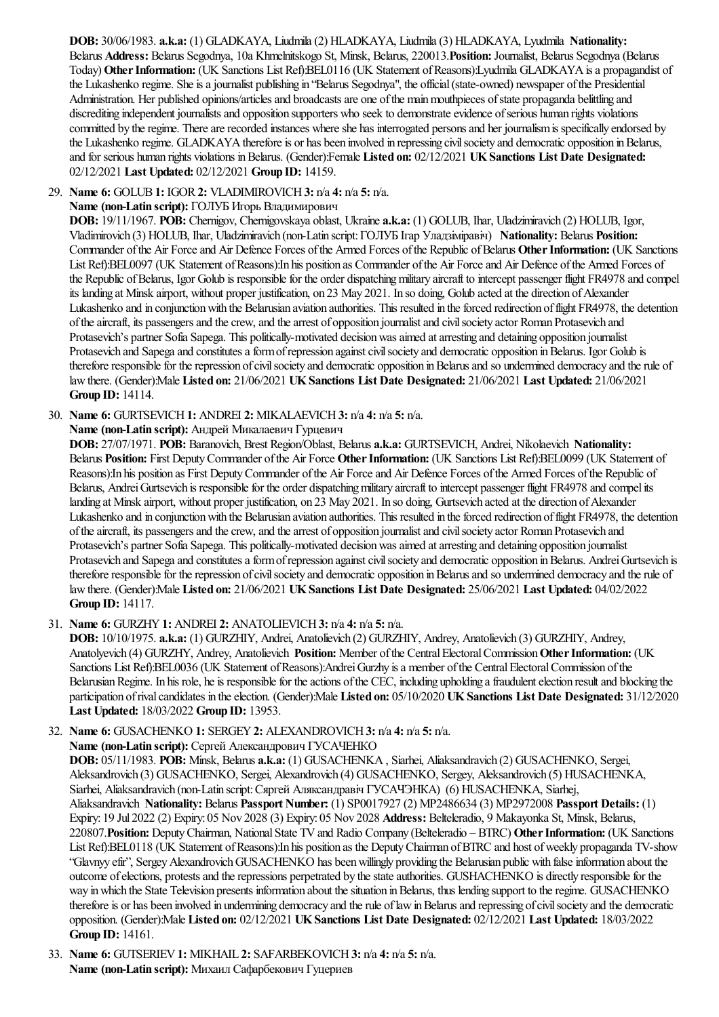**DOB:** 30/06/1983. **a.k.a:** (1) GLADKAYA, Liudmila(2) HLADKAYA, Liudmila(3) HLADKAYA, Lyudmila **Nationality:** Belarus **Address:** Belarus Segodnya, 10a Khmelnitskogo St, Minsk, Belarus, 220013.**Position:** Journalist, Belarus Segodnya(Belarus Today) Other Information: (UK Sanctions List Ref):BEL0116 (UK Statement of Reasons):Lyudmila GLADKAYA is a propagandist of the Lukashenko regime. She is a journalist publishing in "Belarus Segodnya", the official (state-owned) newspaper of the Presidential Administration. Her published opinions/articles and broadcasts are one of the main mouthpieces of state propaganda belittling and discrediting independent journalists and opposition supporters who seek to demonstrate evidence of serious human rights violations committed by the regime. There are recorded instances where she has interrogated persons and her journalism is specifically endorsed by the Lukashenko regime. GLADKAYA therefore is or has been involved in repressing civil society and democratic opposition in Belarus, and for serious human rights violations inBelarus. (Gender):Female **Listed on:** 02/12/2021 **UKSanctions List Date Designated:** 02/12/2021 **Last Updated:** 02/12/2021 **Group ID:** 14159.

29. **Name 6:** GOLUB**1:** IGOR**2:** VLADIMIROVICH**3:** n/a **4:** n/a **5:** n/a.

**Name (non-Latin script):** ГОЛУБ Игорь Владимирович

**DOB:** 19/11/1967. **POB:** Chernigov, Chernigovskaya oblast, Ukraine **a.k.a:** (1) GOLUB, Ihar, Uladzimiravich (2) HOLUB, Igor, Vladimirovich (3) HOLUB, Ihar, Uladzimiravich (non-Latin script:ГОЛУБ Ігар Уладзіміравіч) **Nationality:** Belarus **Position:** Commander of the Air Force and Air Defence Forces of the Armed Forces of the Republic of Belarus Other Information: (UK Sanctions List Ref):BEL0097 (UK Statement of Reasons):In his position as Commander of the Air Force and Air Defence of the Armed Forces of the Republic of Belarus, Igor Golub is responsible for the order dispatching military aircraft to intercept passenger flight FR4978 and compel its landing at Minsk airport, without proper justification, on 23 May 2021. In so doing, Golub acted at the direction of Alexander Lukashenko and in conjunction with the Belarusian aviation authorities. This resulted in the forced redirection of flight FR4978, the detention of the aircraft, its passengers and the crew, and the arrest of opposition journalist and civil society actor Roman Protasevich and Protasevich's partner Sofia Sapega. This politically-motivated decision was aimed at arresting and detaining opposition journalist Protasevich and Sapega and constitutes a form of repression against civil society and democratic opposition in Belarus. Igor Golub is therefore responsible for the repression of civil society and democratic opposition in Belarus and so undermined democracy and the rule of lawthere. (Gender):Male **Listed on:** 21/06/2021 **UKSanctions List Date Designated:** 21/06/2021 **Last Updated:** 21/06/2021 **Group ID:** 14114.

30. **Name 6:** GURTSEVICH**1:** ANDREI **2:** MIKALAEVICH**3:** n/a **4:** n/a **5:** n/a.

**Name (non-Latin script):** Андрей Микалаевич Гурцевич

**DOB:** 27/07/1971. **POB:** Baranovich, Brest Region/Oblast, Belarus **a.k.a:** GURTSEVICH, Andrei, Nikolaevich **Nationality:** Belarus **Position:** First DeputyCommander ofthe Air Force **OtherInformation:** (UK Sanctions List Ref):BEL0099 (UK Statement of Reasons):In his position as First Deputy Commander of the Air Force and Air Defence Forces of the Armed Forces of the Republic of Belarus, Andrei Gurtsevich is responsible for the order dispatching military aircraft to intercept passenger flight FR4978 and compel its landing at Minsk airport, without proper justification, on 23 May 2021. In so doing, Gurtsevich acted at the direction of Alexander Lukashenko and in conjunction with the Belarusian aviation authorities. This resulted in the forced redirection of flight FR4978, the detention of the aircraft, its passengers and the crew, and the arrest of opposition journalist and civil society actor Roman Protasevich and Protasevich's partner Sofia Sapega. This politically-motivated decision was aimed at arresting and detaining opposition journalist Protasevich and Sapega and constitutes a form of repression against civil society and democratic opposition in Belarus. Andrei Gurtsevich is therefore responsible for the repression of civil society and democratic opposition in Belarus and so undermined democracy and the rule of lawthere. (Gender):Male **Listed on:** 21/06/2021 **UKSanctions List Date Designated:** 25/06/2021 **Last Updated:** 04/02/2022 **Group ID:** 14117.

31. **Name 6:** GURZHY**1:** ANDREI **2:** ANATOLIEVICH**3:** n/a **4:** n/a **5:** n/a.

**DOB:** 10/10/1975. **a.k.a:** (1) GURZHIY, Andrei, Anatolievich (2) GURZHIY, Andrey, Anatolievich (3) GURZHIY, Andrey, Anatolyevich (4) GURZHY, Andrey, Anatolievich **Position:** Member of the Central Electoral Commission Other Information: (UK Sanctions List Ref):BEL0036 (UK Statement of Reasons):Andrei Gurzhy is a member of the Central Electoral Commission of the Belarusian Regime. In his role, he is responsible for the actions of the CEC, including upholding a fraudulent election result and blocking the participation ofrivalcandidates in theelection. (Gender):Male **Listed on:** 05/10/2020 **UKSanctions List Date Designated:** 31/12/2020 **Last Updated:** 18/03/2022 **Group ID:** 13953.

32. **Name 6:** GUSACHENKO **1:** SERGEY**2:** ALEXANDROVICH**3:** n/a **4:** n/a **5:** n/a.

**Name (non-Latin script):** Сергей Александрович ГУСАЧЕНКО

**DOB:** 05/11/1983. **POB:** Minsk, Belarus **a.k.a:** (1) GUSACHENKA, Siarhei, Aliaksandravich (2) GUSACHENKO, Sergei, Aleksandrovich (3) GUSACHENKO, Sergei, Alexandrovich (4) GUSACHENKO, Sergey, Aleksandrovich (5) HUSACHENKA, Siarhei, Aliaksandravich (non-Latin script:Сяргей Аляксандравiч ГУСАЧЭНКА) (6) HUSACHENKA, Siarhej, Aliaksandravich **Nationality:** Belarus **Passport Number:** (1) SP0017927 (2) MP2486634 (3) MP2972008 **Passport Details:** (1) Expiry: 19 Jul 2022 (2) Expiry: 05 Nov 2028 (3) Expiry: 05 Nov 2028 **Address:** Belteleradio, 9 Makayonka St, Minsk, Belarus, 220807.**Position:** DeputyChairman, NationalState TVand Radio Company (Belteleradio – BTRC) **OtherInformation:** (UK Sanctions List Ref):BEL0118 (UK Statement ofReasons):In his position as the DeputyChairman ofBTRC and host ofweekly propaganda TV-show "Glavnyy efir", Sergey Alexandrovich GUSACHENKO has been willingly providing the Belarusian public with false information about the outcome of elections, protests and the repressions perpetrated by the state authorities. GUSHACHENKO is directly responsible for the way in which the State Television presents information about the situation in Belarus, thus lending support to the regime. GUSACHENKO therefore is or has been involved in undermining democracy and the rule of law in Belarus and repressing of civil society and the democratic opposition. (Gender):Male **Listed on:** 02/12/2021 **UKSanctions List Date Designated:** 02/12/2021 **Last Updated:** 18/03/2022 **Group ID:** 14161.

33. **Name 6:** GUTSERIEV**1:** MIKHAIL **2:** SAFARBEKOVICH**3:** n/a **4:** n/a **5:** n/a. **Name (non-Latin script):** Михаил Сафарбекович Гуцериев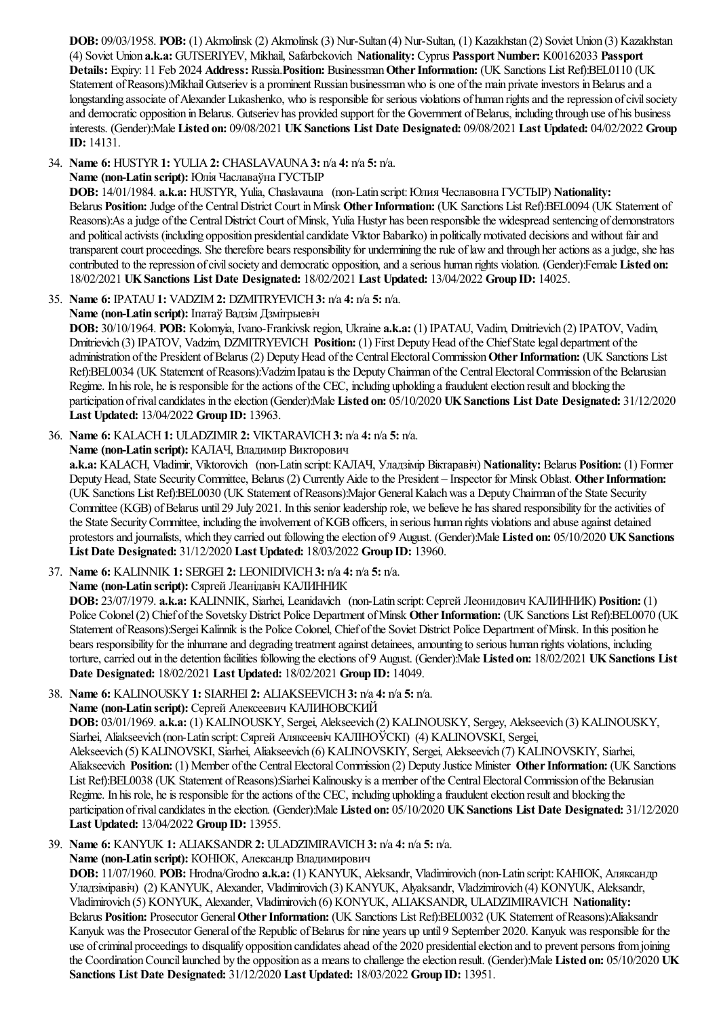**DOB:** 09/03/1958. **POB:** (1) Akmolinsk (2) Akmolinsk (3) Nur-Sultan (4) Nur-Sultan, (1) Kazakhstan (2) Soviet Union (3) Kazakhstan (4) Soviet Union **a.k.a:** GUTSERIYEV, Mikhail, Safarbekovich **Nationality:** Cyprus **Passport Number:** K00162033 **Passport Details:** Expiry: 11 Feb 2024 **Address:** Russia.**Position:** Businessman**OtherInformation:** (UK Sanctions List Ref):BEL0110 (UK Statement of Reasons):Mikhail Gutseriev is a prominent Russian businessman who is one of the main private investors in Belarus and a longstanding associate of Alexander Lukashenko, who is responsible for serious violations of human rights and the repression of civil society and democratic opposition in Belarus. Gutseriev has provided support for the Government of Belarus, including through use of his business interests. (Gender):Male **Listed on:** 09/08/2021 **UKSanctions List Date Designated:** 09/08/2021 **Last Updated:** 04/02/2022 **Group ID:** 14131.

34. **Name 6:** HUSTYR**1:** YULIA**2:** CHASLAVAUNA**3:** n/a **4:** n/a **5:** n/a.

**Name (non-Latin script):** Юлiя Чаславаўна ГУСТЫР

**DOB:** 14/01/1984. **a.k.a:** HUSTYR, Yulia, Chaslavauna (non-Latin script:Юлия Чеславовна ГУСТЫР) **Nationality:** Belarus **Position:** Judge of the Central District Court in Minsk Other Information: (UK Sanctions List Ref):BEL0094 (UK Statement of Reasons):As a judge of the Central District Court of Minsk, Yulia Hustyr has been responsible the widespread sentencing of demonstrators and political activists (including opposition presidential candidate Viktor Babariko) in politically motivated decisions and without fair and transparent court proceedings. She therefore bears responsibility for undermining the rule of law and through her actions as a judge, she has contributed to therepression ofcivilsociety and democratic opposition,and aserious human rights violation. (Gender):Female **Listed on:** 18/02/2021 **UKSanctions List Date Designated:** 18/02/2021 **Last Updated:** 13/04/2022 **Group ID:** 14025.

35. **Name 6:** IPATAU**1:** VADZIM**2:** DZMITRYEVICH**3:** n/a **4:** n/a **5:** n/a.

**Name (non-Latin script):** Iпатаў Вадзiм Дзмiтрыевiч

**DOB:** 30/10/1964. **POB:** Kolomyia, Ivano-Frankivsk region, Ukraine **a.k.a:** (1) IPATAU, Vadim, Dmitrievich (2) IPATOV, Vadim, Dmitrievich (3) IPATOV, Vadzim, DZMITRYEVICH **Position:** (1) First Deputy Head of the Chief State legal department of the administration of the President of Belarus (2) Deputy Head of the Central Electoral Commission Other Information: (UK Sanctions List Ref):BEL0034 (UK Statement of Reasons):Vadzim Ipatau is the Deputy Chairman of the Central Electoral Commission of the Belarusian Regime. In his role, he is responsible for the actions of the CEC, including upholding a fraudulent election result and blocking the participation ofrivalcandidates in theelection (Gender):Male **Listed on:** 05/10/2020 **UKSanctions List Date Designated:** 31/12/2020 **Last Updated:** 13/04/2022 **Group ID:** 13963.

# 36. **Name 6:** KALACH**1:** ULADZIMIR**2:** VIKTARAVICH**3:** n/a **4:** n/a **5:** n/a.

**Name (non-Latin script):** КАЛАЧ, Владимир Викторович

**a.k.a:** KALACH, Vladimir, Viktorovich (non-Latin script:КАЛАЧ, Уладзiмiр Вiктаравiч) **Nationality:** Belarus **Position:** (1) Former Deputy Head, State Security Committee, Belarus (2) Currently Aide to the President – Inspector for Minsk Oblast. Other Information: (UK Sanctions List Ref):BEL0030 (UK Statement ofReasons):Major GeneralKalachwasa DeputyChairman ofthe State Security Committee (KGB) of Belarus until 29 July 2021. In this senior leadership role, we believe he has shared responsibility for the activities of the State Security Committee, including the involvement of KGB officers, in serious human rights violations and abuse against detained protestorsand journalists, which they carried out following theelection of 9 August. (Gender):Male **Listed on:** 05/10/2020 **UKSanctions List Date Designated:** 31/12/2020 **Last Updated:** 18/03/2022 **Group ID:** 13960.

37. **Name 6:** KALINNIK **1:** SERGEI **2:** LEONIDIVICH**3:** n/a **4:** n/a **5:** n/a.

**Name (non-Latin script):** Сяргей Леанiдавiч КАЛИННИК

**DOB:** 23/07/1979. **a.k.a:** KALINNIK, Siarhei, Leanidavich (non-Latin script:Сергей Леонидович КАЛИННИК) **Position:** (1) Police Colonel (2) Chief of the Sovetsky District Police Department of Minsk Other Information: (UK Sanctions List Ref):BEL0070 (UK Statement of Reasons): Sergei Kalinnik is the Police Colonel, Chief of the Soviet District Police Department of Minsk. In this position he bears responsibility for the inhumane and degrading treatment against detainees, amounting to serious human rights violations, including torture, carried out in the detention facilities following the elections of 9 August. (Gender):Male Listed on: 18/02/2021 UK Sanctions List **Date Designated:** 18/02/2021 **Last Updated:** 18/02/2021 **Group ID:** 14049.

38. **Name 6:** KALINOUSKY**1:** SIARHEI **2:** ALIAKSEEVICH**3:** n/a **4:** n/a **5:** n/a.

**Name (non-Latin script):** Сергей Алексеевич КАЛИНОВСКИЙ

**DOB:** 03/01/1969. **a.k.a:** (1) KALINOUSKY, Sergei, Alekseevich (2) KALINOUSKY, Sergey, Alekseevich (3) KALINOUSKY, Siarhei, Aliakseevich (non-Latin script: Сяргей Аляксеевіч КАЛІНОЎСКІ) (4) KALINOVSKI, Sergei, Alekseevich (5) KALINOVSKI, Siarhei, Aliakseevich (6) KALINOVSKIY, Sergei, Alekseevich (7) KALINOVSKIY, Siarhei, Aliakseevich **Position:** (1) Member of the Central Electoral Commission (2) Deputy Justice Minister **Other Information:** (UK Sanctions List Ref):BEL0038 (UK Statement of Reasons):Siarhei Kalinousky is a member of the Central Electoral Commission of the Belarusian Regime. In his role, he is responsible for the actions of the CEC, including upholding a fraudulent election result and blocking the participation ofrivalcandidates in theelection. (Gender):Male **Listed on:** 05/10/2020 **UKSanctions List Date Designated:** 31/12/2020 **Last Updated:** 13/04/2022 **Group ID:** 13955.

39. **Name 6:** KANYUK **1:** ALIAKSANDR**2:** ULADZIMIRAVICH**3:** n/a **4:** n/a **5:** n/a.

**Name (non-Latin script):** КОНЮК, Александр Владимирович

**DOB:** 11/07/1960. **POB:** Hrodna/Grodno **a.k.a:** (1) KANYUK, Aleksandr, Vladimirovich (non-Latin script:КАНЮК, Аляксандр Уладзіміравіч) (2) KANYUK, Alexander, Vladimirovich (3) KANYUK, Alyaksandr, Vladzimirovich (4) KONYUK, Aleksandr, Vladimirovich (5) KONYUK, Alexander, Vladimirovich (6) KONYUK, ALIAKSANDR, ULADZIMIRAVICH **Nationality:** Belarus **Position:** Prosecutor General**OtherInformation:** (UK Sanctions List Ref):BEL0032 (UK Statement ofReasons):Aliaksandr Kanyuk was the Prosecutor General of the Republic of Belarus for nine years up until 9 September 2020. Kanyuk was responsible for the use of criminal proceedings to disqualify opposition candidates ahead of the 2020 presidential election and to prevent persons from joining the CoordinationCouncillaunched by the opposition asa means to challengetheelection result. (Gender):Male **Listed on:** 05/10/2020 **UK Sanctions List Date Designated:** 31/12/2020 **Last Updated:** 18/03/2022 **Group ID:** 13951.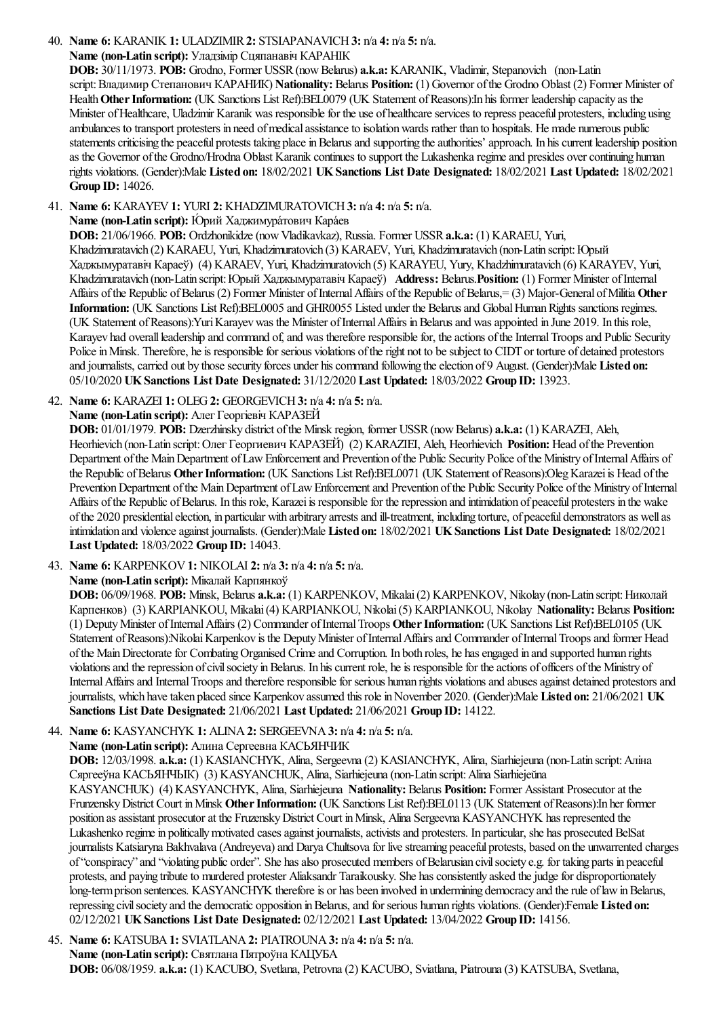40. **Name 6:** KARANIK **1:** ULADZIMIR**2:** STSIAPANAVICH**3:** n/a **4:** n/a **5:** n/a.

#### **Name (non-Latin script):** Уладзiмiр Сцяпанавiч КАРАНIК

**DOB:** 30/11/1973. **POB:** Grodno, Former USSR(nowBelarus) **a.k.a:** KARANIK, Vladimir, Stepanovich (non-Latin script:Владимир Степанович КАРАНИК) **Nationality:** Belarus **Position:** (1) Governor ofthe Grodno Oblast (2) Former Minister of Health Other Information: (UK Sanctions List Ref):BEL0079 (UK Statement of Reasons):In his former leadership capacity as the Minister of Healthcare, Uladzimir Karanik was responsible for the use of healthcare services to repress peaceful protesters, including using ambulances to transport protesters in need of medical assistance to isolation wards rather than to hospitals. He made numerous public statements criticising the peaceful protests taking place in Belarus and supporting the authorities' approach. In his current leadership position as the Governor of the Grodno/Hrodna Oblast Karanik continues to support the Lukashenka regime and presides over continuing human rights violations. (Gender):Male **Listed on:** 18/02/2021 **UKSanctions List Date Designated:** 18/02/2021 **Last Updated:** 18/02/2021 **Group ID:** 14026.

41. **Name 6:** KARAYEV**1:** YURI **2:** KHADZIMURATOVICH**3:** n/a **4:** n/a **5:** n/a.

**Name** (non-Latin script): Юрий Хаджимура́тович Кара́ев

**DOB:** 21/06/1966. **POB:** Ordzhonikidze(nowVladikavkaz), Russia. Former USSR**a.k.a:** (1) KARAEU, Yuri, Khadzimuratavich (2) KARAEU, Yuri, Khadzimuratovich (3) KARAEV, Yuri, Khadzimuratavich (non-Latin script: Юрый Хаджымуратавіч Караеў) (4) KARAEV, Yuri, Khadzimuratovich (5) KARAYEU, Yury, Khadzhimuratavich (6) KARAYEV, Yuri, Khadzimuratavich (non-Latin script:Юрый Хаджымуратавіч Караеў) **Address:** Belarus.**Position:** (1) Former Minister ofInternal Affairs ofthe Republic ofBelarus (2) Former Minister ofInternalAffairs ofthe Republic ofBelarus,= (3) Major-General ofMilitia **Other Information:** (UK Sanctions List Ref):BEL0005 and GHR0055 Listed under the Belarus and Global Human Rights sanctions regimes. (UK Statement of Reasons): Yuri Karayev was the Minister of Internal Affairs in Belarus and was appointed in June 2019. In this role, Karayev had overall leadership and command of, and was therefore responsible for, the actions of the Internal Troops and Public Security Police in Minsk. Therefore, he is responsible for serious violations of the right not to be subject to CIDT or torture of detained protestors and journalists, carried out by those security forces under his command following the election of 9 August. (Gender):Male Listed on: 05/10/2020 **UKSanctions List Date Designated:** 31/12/2020 **Last Updated:** 18/03/2022 **Group ID:** 13923.

42. **Name 6:** KARAZEI **1:** OLEG**2:** GEORGEVICH**3:** n/a **4:** n/a **5:** n/a.

**Name (non-Latin script):** Алег Георгiевiч КАРАЗЕЙ

**DOB:** 01/01/1979. **POB:** Dzerzhinsky district ofthe Minsk region, former USSR(nowBelarus) **a.k.a:** (1) KARAZEI, Aleh, Heorhievich (non-Latin script:Олег Георгиевич КАРАЗЕЙ) (2) KARAZIEI, Aleh, Heorhievich **Position:** Head ofthe Prevention Department of the Main Department of Law Enforcement and Prevention of the Public Security Police of the Ministry of Internal Affairs of the Republic of Belarus Other Information: (UK Sanctions List Ref):BEL0071 (UK Statement of Reasons):Oleg Karazei is Head of the Prevention Department of the Main Department of Law Enforcement and Prevention of the Public Security Police of the Ministry of Internal Affairs of the Republic of Belarus. In this role, Karazei is responsible for the repression and intimidation of peaceful protesters in the wake ofthe 2020 presidentialelection, in particular with arbitrary arrestsand ill-treatment, including torture, of peaceful demonstratorsas wellas intimidation and violenceagainst journalists. (Gender):Male **Listed on:** 18/02/2021 **UKSanctions List Date Designated:** 18/02/2021 **Last Updated:** 18/03/2022 **Group ID:** 14043.

43. **Name 6:** KARPENKOV**1:** NIKOLAI **2:** n/a **3:** n/a **4:** n/a **5:** n/a.

**Name (non-Latin script):** Мікалай Карпянкоў

**DOB:** 06/09/1968. **POB:** Minsk, Belarus **a.k.a:** (1) KARPENKOV, Mikalai(2) KARPENKOV, Nikolay (non-Latin script:Николай Карпенков) (3) KARPIANKOU, Mikalai(4) KARPIANKOU, Nikolai(5) KARPIANKOU, Nikolay **Nationality:** Belarus **Position:** (1) DeputyMinister ofInternalAffairs (2) Commander ofInternalTroops **OtherInformation:** (UK Sanctions List Ref):BEL0105 (UK Statement of Reasons):Nikolai Karpenkov is the Deputy Minister of Internal Affairs and Commander of Internal Troops and former Head of the Main Directorate for Combating Organised Crime and Corruption. In both roles, he has engaged in and supported human rights violations and the repression of civil society in Belarus. In his current role, he is responsible for the actions of officers of the Ministry of Internal Affairs and Internal Troops and therefore responsible for serious human rights violations and abuses against detained protestors and journalists, which have taken placed since Karpenkov assumed this role in November 2020. (Gender):Male Listed on: 21/06/2021 UK **Sanctions List Date Designated:** 21/06/2021 **Last Updated:** 21/06/2021 **Group ID:** 14122.

44. **Name 6:** KASYANCHYK **1:** ALINA**2:** SERGEEVNA**3:** n/a **4:** n/a **5:** n/a.

**Name (non-Latin script):** Алина Сергеевна КАСЬЯНЧИК

**DOB:** 12/03/1998. **a.k.a:** (1) KASIANCHYK, Alina, Sergeevna(2) KASIANCHYK, Alina, Siarhiejeuna(non-Latin script:Аліна Сяргееўна КАСЬЯНЧЫК) (3) KASYANCHUK, Alina, Siarhiejeuna(non-Latin script:Alina Siarhiejeŭna

KASYANCHUK) (4) KASYANCHYK, Alina, Siarhiejeuna **Nationality:** Belarus **Position:** Former Assistant Prosecutorat the FrunzenskyDistrict Court inMinsk **OtherInformation:** (UK Sanctions List Ref):BEL0113 (UK Statement ofReasons):In her former position as assistant prosecutor at the Fruzensky District Court in Minsk, Alina Sergeevna KASYANCHYK has represented the Lukashenko regime in politically motivated cases against journalists, activists and protesters. In particular, she has prosecuted BelSat journalists Katsiaryna Bakhvalava (Andreyeva) and Darya Chultsova for live streaming peaceful protests, based on the unwarrented charges of"conspiracy"and "violating public order". She hasalso prosecuted members ofBelarusian civilsociety e.g. for taking parts in peaceful protests, and paying tribute to murdered protester Aliaksandr Taraikousky. She has consistently asked the judge for disproportionately long-term prison sentences. KASYANCHYK therefore is or has been involved in undermining democracy and the rule of law in Belarus, repressing civilsociety and the democratic opposition inBelarus,and for serious human rights violations. (Gender):Female **Listed on:** 02/12/2021 **UKSanctions List Date Designated:** 02/12/2021 **Last Updated:** 13/04/2022 **Group ID:** 14156.

```
45. Name 6: KATSUBA1: SVIATLANA2: PIATROUNA3: n/a 4: n/a 5: n/a.
Name (non-Latin script): Святлана Пятроўна КАЦУБА
DOB: 06/08/1959. a.k.a: (1) KACUBO, Svetlana, Petrovna(2) KACUBO, Sviatlana, Piatrouna(3) KATSUBA, Svetlana,
```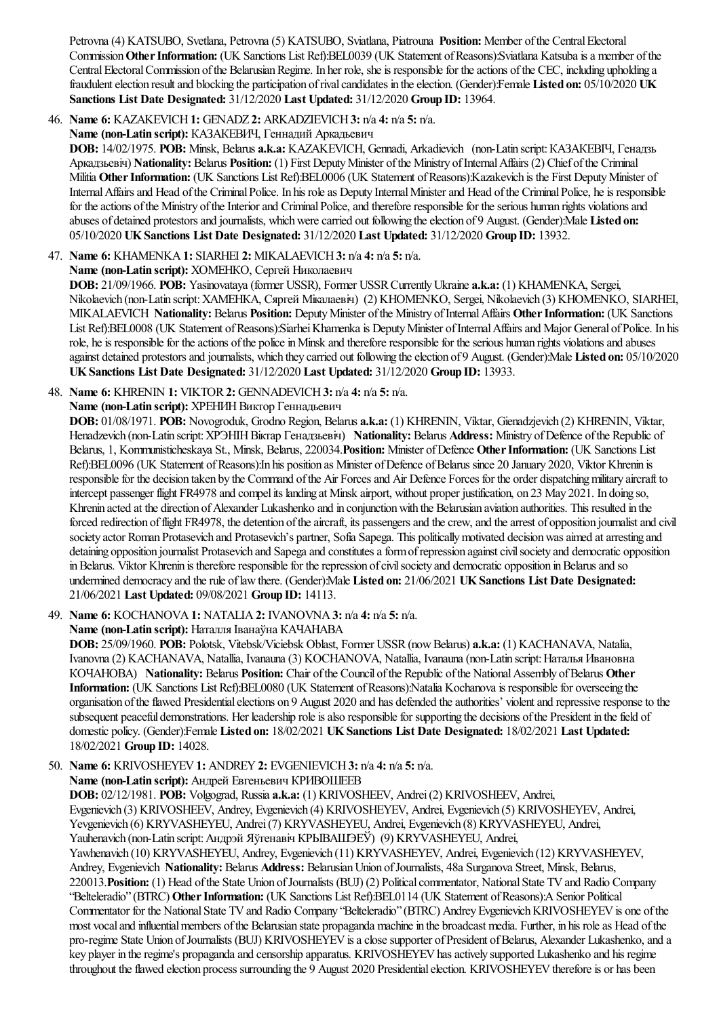Petrovna(4) KATSUBO, Svetlana, Petrovna(5) KATSUBO, Sviatlana, Piatrouna **Position:** Member ofthe CentralElectoral Commission Other Information: (UK Sanctions List Ref):BEL0039 (UK Statement of Reasons):Sviatlana Katsuba is a member of the Central Electoral Commission of the Belarusian Regime. In her role, she is responsible for the actions of the CEC, including upholding a fraudulentelection resultand blocking the participation ofrivalcandidates in theelection. (Gender):Female **Listed on:** 05/10/2020 **UK Sanctions List Date Designated:** 31/12/2020 **Last Updated:** 31/12/2020 **Group ID:** 13964.

# 46. **Name 6:** KAZAKEVICH**1:** GENADZ **2:** ARKADZIEVICH**3:** n/a **4:** n/a **5:** n/a.

**Name (non-Latin script):** КАЗАКЕВИЧ, Геннадий Аркадьевич

**DOB:** 14/02/1975. **POB:** Minsk, Belarus **a.k.a:** KAZAKEVICH, Gennadi, Arkadievich (non-Latin script:КАЗАКЕВIЧ, Генадзь Аркадзьевіч) **Nationality:** Belarus **Position:** (1) First DeputyMinister ofthe Ministry ofInternalAffairs (2) Chief ofthe Criminal Militia Other Information: (UK Sanctions List Ref):BEL0006 (UK Statement of Reasons):Kazakevich is the First Deputy Minister of Internal Affairs and Head of the Criminal Police. In his role as Deputy Internal Minister and Head of the Criminal Police, he is responsible for the actions of the Ministry of the Interior and Criminal Police, and therefore responsible for the serious human rights violations and abuses of detained protestors and journalists, which were carried out following the election of 9 August. (Gender):Male Listed on: 05/10/2020 **UKSanctions List Date Designated:** 31/12/2020 **Last Updated:** 31/12/2020 **Group ID:** 13932.

47. **Name 6:** KHAMENKA**1:** SIARHEI **2:** MIKALAEVICH**3:** n/a **4:** n/a **5:** n/a.

**Name (non-Latin script):** ХОМЕНКО, Сергей Николаевич

**DOB:** 21/09/1966. **POB:** Yasinovataya(former USSR), Former USSRCurrentlyUkraine **a.k.a:** (1) KHAMENKA, Sergei, Nikolaevich (non-Latin script: ХАМЕНКА, Сяргей Мікалаевіч) (2) KHOMENKO, Sergei, Nikolaevich (3) KHOMENKO, SIARHEI, MIKALAEVICH **Nationality:** Belarus **Position:** DeputyMinister ofthe Ministry ofInternalAffairs **OtherInformation:** (UK Sanctions List Ref):BEL0008 (UK Statement of Reasons):Siarhei Khamenka is Deputy Minister of Internal Affairs and Major General of Police. In his role, he is responsible for the actions of the police in Minsk and therefore responsible for the serious human rights violations and abuses against detained protestorsand journalists, which they carried out following theelection of 9 August. (Gender):Male **Listed on:** 05/10/2020 **UKSanctions List Date Designated:** 31/12/2020 **Last Updated:** 31/12/2020 **Group ID:** 13933.

48. **Name 6:** KHRENIN **1:** VIKTOR**2:** GENNADEVICH**3:** n/a **4:** n/a **5:** n/a.

**Name (non-Latin script):** ХРЕНИНВиктор Геннадьевич

**DOB:** 01/08/1971. **POB:** Novogroduk, Grodno Region, Belarus **a.k.a:** (1) KHRENIN, Viktar, Gienadzjevich (2) KHRENIN, Viktar, Henadzevich (non-Latin script:ХРЭНІНВіктар Генадзьевіч) **Nationality:** Belarus **Address:** Ministry ofDefence ofthe Republic of Belarus, 1, Kommunisticheskaya St., Minsk, Belarus, 220034.**Position:** Minister ofDefence **OtherInformation:** (UK Sanctions List Ref):BEL0096 (UK Statement of Reasons):In his position as Minister of Defence of Belarus since 20 January 2020, Viktor Khrenin is responsible for the decision taken by the Command of the Air Forces and Air Defence Forces for the order dispatching military aircraft to intercept passenger flight FR4978 and compelits landing at Minsk airport, without proper justification, on 23 May 2021. In doing so, Khrenin acted at the direction of Alexander Lukashenko and in conjunction with the Belarusian aviation authorities. This resulted in the forced redirection of flight FR4978, the detention of the aircraft, its passengers and the crew, and the arrest of opposition journalist and civil society actor Roman Protasevich and Protasevich's partner, Sofia Sapega. This politically motivated decision was aimed at arresting and detaining opposition journalist Protasevich and Sapega and constitutes a form of repression against civil society and democratic opposition in Belarus. Viktor Khrenin is therefore responsible for the repression of civil society and democratic opposition in Belarus and so undermined democracy and therule oflawthere. (Gender):Male **Listed on:** 21/06/2021 **UKSanctions List Date Designated:** 21/06/2021 **Last Updated:** 09/08/2021 **Group ID:** 14113.

49. **Name 6:** KOCHANOVA**1:** NATALIA**2:** IVANOVNA**3:** n/a **4:** n/a **5:** n/a.

**Name (non-Latin script):** Наталля Iванаўна КАЧАНАВА

**DOB:** 25/09/1960. **POB:** Polotsk, Vitebsk/Viciebsk Oblast, Former USSR(nowBelarus) **a.k.a:** (1) KACHANAVA, Natalia, Ivanovna(2) KACHANAVA, Natallia, Ivanauna(3) KOCHANOVA, Natallia, Ivanauna(non-Latin script:Наталья Ивановна КОЧАНОВА) **Nationality:** Belarus **Position:** Chair ofthe Council ofthe Republic ofthe NationalAssembly ofBelarus **Other Information:** (UK Sanctions List Ref):BEL0080 (UK Statement of Reasons):Natalia Kochanova is responsible for overseeing the organisation of the flawed Presidential elections on 9 August 2020 and has defended the authorities' violent and repressive response to the subsequent peaceful demonstrations. Her leadership role is also responsible for supporting the decisions of the President in the field of domestic policy. (Gender):Female **Listed on:** 18/02/2021 **UKSanctions List Date Designated:** 18/02/2021 **Last Updated:** 18/02/2021 **Group ID:** 14028.

50. **Name 6:** KRIVOSHEYEV**1:** ANDREY**2:** EVGENIEVICH**3:** n/a **4:** n/a **5:** n/a.

**Name (non-Latin script):** Андрей Евгеньевич КРИВОШЕЕВ

**DOB:** 02/12/1981. **POB:** Volgograd, Russia **a.k.a:** (1) KRIVOSHEEV, Andrei(2) KRIVOSHEEV, Andrei, Evgenievich (3) KRIVOSHEEV, Andrey, Evgenievich (4) KRIVOSHEYEV, Andrei, Evgenievich (5) KRIVOSHEYEV, Andrei, Yevgenievich (6) KRYVASHEYEU, Andrei(7) KRYVASHEYEU, Andrei, Evgenievich (8) KRYVASHEYEU, Andrei, Yauhenavich (non-Latin script: Андрэй Яўгенавіч КРЫВАШЭЕЎ) (9) KRYVASHEYEU, Andrei, Yawhenavich (10) KRYVASHEYEU, Andrey, Evgenievich (11) KRYVASHEYEV, Andrei, Evgenievich (12) KRYVASHEYEV, Andrey, Evgenievich **Nationality:** Belarus **Address:** BelarusianUnion ofJournalists, 48a Surganova Street, Minsk, Belarus, 220013. Position: (1) Head of the State Union of Journalists (BUJ) (2) Political commentator, National State TV and Radio Company "Belteleradio" (BTRC) Other Information: (UK Sanctions List Ref):BEL0114 (UK Statement of Reasons):A Senior Political Commentator for the National State TV and Radio Company "Belteleradio" (BTRC) Andrey Evgenievich KRIVOSHEYEV is one of the most vocal and influential members of the Belarusian state propaganda machine in the broadcast media. Further, in his role as Head of the pro-regime State Union of Journalists (BUJ) KRIVOSHEYEV is a close supporter of President of Belarus, Alexander Lukashenko, and a key player in the regime's propaganda and censorship apparatus. KRIVOSHEYEV has actively supported Lukashenko and his regime throughout the flawed election process surrounding the 9 August 2020 Presidential election. KRIVOSHEYEV therefore is or has been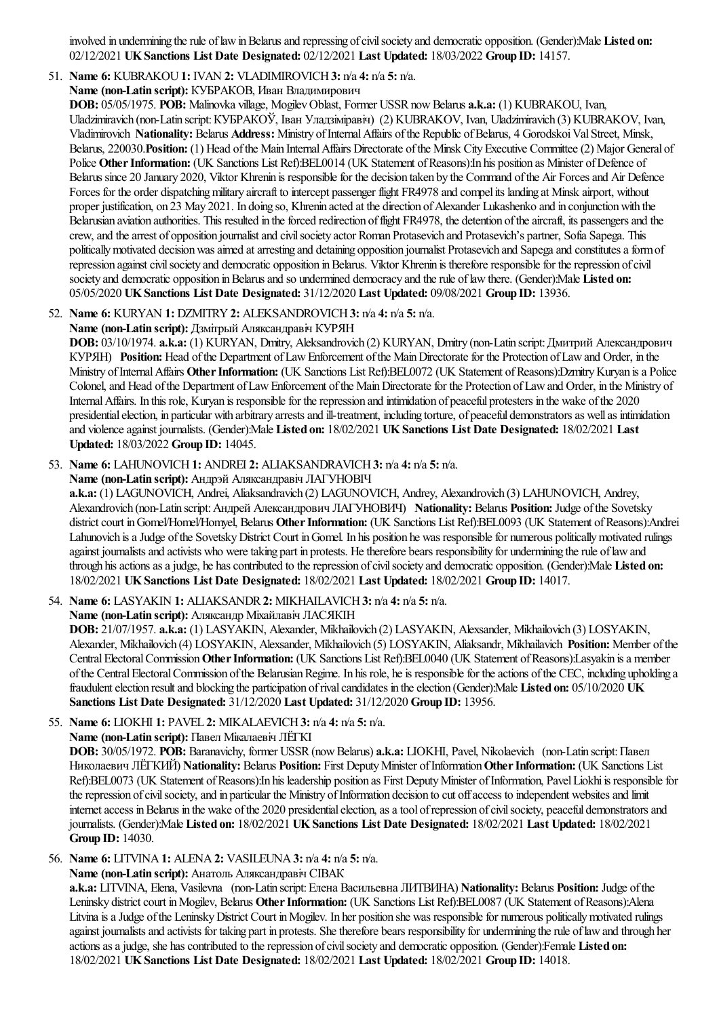involved in undermining the rule of law in Belarus and repressing of civil society and democratic opposition. (Gender):Male **Listed on:** 02/12/2021 **UKSanctions List Date Designated:** 02/12/2021 **Last Updated:** 18/03/2022 **Group ID:** 14157.

- 51. **Name 6:** KUBRAKOU**1:** IVAN **2:** VLADIMIROVICH**3:** n/a **4:** n/a **5:** n/a.
- **Name (non-Latin script):** КУБРАКОВ, Иван Владимирович

**DOB:** 05/05/1975. **POB:** Malinovka village, MogilevOblast, Former USSRnowBelarus **a.k.a:** (1) KUBRAKOU, Ivan, Uladzimiravich (non-Latin script:КУБРАКОЎ, Iван Уладзiмiравiч) (2) KUBRAKOV, Ivan, Uladzimiravich (3) KUBRAKOV, Ivan, Vladimirovich **Nationality:** Belarus **Address:** Ministry ofInternalAffairs ofthe Republic ofBelarus, 4 GorodskoiValStreet, Minsk, Belarus, 220030. **Position:** (1) Head of the Main Internal Affairs Directorate of the Minsk City Executive Committee (2) Major General of Police Other Information: (UK Sanctions List Ref):BEL0014 (UK Statement of Reasons):In his position as Minister of Defence of Belarus since 20 January 2020, Viktor Khrenin is responsible for the decision taken by the Command of the Air Forces and Air Defence Forces for the order dispatching military aircraft to intercept passenger flight FR4978 and compel its landing at Minsk airport, without proper justification, on 23 May 2021. In doing so, Khrenin acted at the direction of Alexander Lukashenko and in conjunction with the Belarusian aviation authorities. This resulted in the forced redirection of flight FR4978, the detention of the aircraft, its passengers and the crew, and the arrest of opposition journalist and civil society actor Roman Protasevich and Protasevich's partner, Sofia Sapega. This politically motivated decision was aimed at arresting and detaining opposition journalist Protasevich and Sapega and constitutes a form of repression against civil society and democratic opposition in Belarus. Viktor Khrenin is therefore responsible for the repression of civil society and democratic opposition inBelarusand so undermined democracy and therule oflawthere. (Gender):Male **Listed on:** 05/05/2020 **UKSanctions List Date Designated:** 31/12/2020 **Last Updated:** 09/08/2021 **Group ID:** 13936.

#### 52. **Name 6:** KURYAN **1:** DZMITRY**2:** ALEKSANDROVICH**3:** n/a **4:** n/a **5:** n/a. **Name (non-Latin script):** Дзмiтрый Аляксандравiч КУРЯН

**DOB:** 03/10/1974. **a.k.a:** (1) KURYAN, Dmitry, Aleksandrovich (2) KURYAN, Dmitry (non-Latin script:Дмитрий Александрович КУРЯН) **Position:** Head ofthe Department ofLawEnforcement ofthe MainDirectoratefor the Protection ofLawand Order, in the Ministry ofInternalAffairs **OtherInformation:** (UK Sanctions List Ref):BEL0072 (UK Statement ofReasons):DzmitryKuryan isa Police Colonel, and Head of the Department of Law Enforcement of the Main Directorate for the Protection of Law and Order, in the Ministry of Internal Affairs. In this role, Kuryan is responsible for the repression and intimidation of peaceful protesters in the wake of the 2020 presidential election, in particular with arbitrary arrests and ill-treatment, including torture, of peaceful demonstrators as well as intimidation and violenceagainst journalists. (Gender):Male **Listed on:** 18/02/2021 **UKSanctions List Date Designated:** 18/02/2021 **Last Updated:** 18/03/2022 **Group ID:** 14045.

53. **Name 6:** LAHUNOVICH**1:** ANDREI **2:** ALIAKSANDRAVICH**3:** n/a **4:** n/a **5:** n/a.

**Name (non-Latin script):** Андрэй Аляксандравiч ЛАГУНОВIЧ

**a.k.a:** (1) LAGUNOVICH, Andrei, Aliaksandravich (2) LAGUNOVICH, Andrey, Alexandrovich (3) LAHUNOVICH, Andrey, Alexandrovich (non-Latin script:Андрей Александрович ЛАГУНОВИЧ) **Nationality:** Belarus **Position:** Judge ofthe Sovetsky district court in Gomel/Homel/Homyel, Belarus Other Information: (UK Sanctions List Ref):BEL0093 (UK Statement of Reasons):Andrei Lahunovich is a Judge of the Sovetsky District Court in Gomel. In his position he was responsible for numerous politically motivated rulings against journalists and activists who were taking part in protests. He therefore bears responsibility for undermining the rule of law and through hisactionsasajudge, he hascontributed to therepression ofcivilsociety and democratic opposition. (Gender):Male **Listed on:** 18/02/2021 **UKSanctions List Date Designated:** 18/02/2021 **Last Updated:** 18/02/2021 **Group ID:** 14017.

54. **Name 6:** LASYAKIN **1:** ALIAKSANDR**2:** MIKHAILAVICH**3:** n/a **4:** n/a **5:** n/a.

**Name (non-Latin script):** Аляксандр Міхайлавіч ЛАСЯКІН

**DOB:** 21/07/1957. **a.k.a:** (1) LASYAKIN, Alexander, Mikhailovich (2) LASYAKIN, Alexsander, Mikhailovich (3) LOSYAKIN, Alexander, Mikhailovich (4) LOSYAKIN, Alexsander, Mikhailovich (5) LOSYAKIN, Aliaksandr, Mikhailavich **Position:** Member ofthe CentralElectoralCommission**OtherInformation:** (UK Sanctions List Ref):BEL0040 (UK Statement ofReasons):Lasyakin isa member of the Central Electoral Commission of the Belarusian Regime. In his role, he is responsible for the actions of the CEC, including upholding a fraudulentelection resultand blocking the participation ofrivalcandidates in theelection (Gender):Male **Listed on:** 05/10/2020 **UK Sanctions List Date Designated:** 31/12/2020 **Last Updated:** 31/12/2020 **Group ID:** 13956.

55. **Name 6:** LIOKHI **1:** PAVEL **2:** MIKALAEVICH**3:** n/a **4:** n/a **5:** n/a.

**Name (non-Latin script):** Павел Мiкалаевiч ЛЁГКI

**DOB:** 30/05/1972. **POB:** Baranavichy, former USSR(nowBelarus) **a.k.a:** LIOKHI, Pavel, Nikolaevich (non-Latin script:Павел Николаевич ЛЁГКИЙ) **Nationality:** Belarus **Position:** First DeputyMinister ofInformation**OtherInformation:** (UK Sanctions List Ref):BEL0073 (UK Statement of Reasons):In his leadership position as First Deputy Minister of Information, Pavel Liokhi is responsible for the repression of civil society, and in particular the Ministry of Information decision to cut off access to independent websites and limit internet access in Belarus in the wake of the 2020 presidential election, as a tool of repression of civil society, peaceful demonstrators and journalists. (Gender):Male **Listed on:** 18/02/2021 **UKSanctions List Date Designated:** 18/02/2021 **Last Updated:** 18/02/2021 **Group ID:** 14030.

56. **Name 6:** LITVINA**1:** ALENA**2:** VASILEUNA**3:** n/a **4:** n/a **5:** n/a.

**Name (non-Latin script):** Анатоль Аляксандравiч СIВАК

**a.k.a:** LITVINA, Elena, Vasilevna (non-Latin script:Елена Васильевна ЛИТВИНА) **Nationality:** Belarus **Position:** Judge ofthe Leninsky district court in Mogilev, Belarus Other Information: (UK Sanctions List Ref):BEL0087 (UK Statement of Reasons):Alena Litvina is a Judge of the Leninsky District Court in Mogilev. In her position she was responsible for numerous politically motivated rulings against journalists and activists for taking part in protests. She therefore bears responsibility for undermining the rule of law and through her actions as a judge, she has contributed to the repression of civil society and democratic opposition. (Gender):Female Listed on: 18/02/2021 **UKSanctions List Date Designated:** 18/02/2021 **Last Updated:** 18/02/2021 **Group ID:** 14018.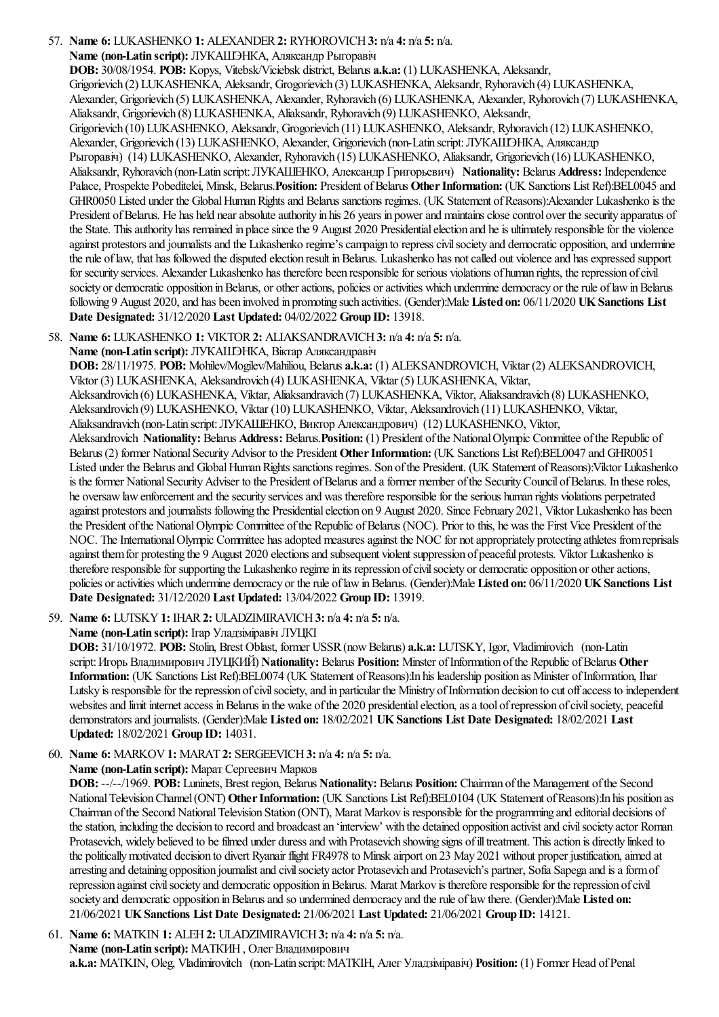#### 57. **Name 6:** LUKASHENKO **1:** ALEXANDER**2:** RYHOROVICH**3:** n/a **4:** n/a **5:** n/a.

#### **Name (non-Latin script):** ЛУКАШЭНКА, Аляксандр Рыгоравіч

**DOB:** 30/08/1954. **POB:** Kopys, Vitebsk/Viciebsk district, Belarus **a.k.a:** (1) LUKASHENKA, Aleksandr, Grigorievich (2) LUKASHENKA, Aleksandr, Grogorievich (3) LUKASHENKA, Aleksandr, Ryhoravich (4) LUKASHENKA, Alexander, Grigorievich (5) LUKASHENKA, Alexander, Ryhoravich (6) LUKASHENKA, Alexander, Ryhorovich (7) LUKASHENKA, Aliaksandr, Grigorievich (8) LUKASHENKA, Aliaksandr, Ryhoravich (9) LUKASHENKO, Aleksandr, Grigorievich (10) LUKASHENKO, Aleksandr, Grogorievich (11) LUKASHENKO, Aleksandr, Ryhoravich (12) LUKASHENKO, Alexander, Grigorievich (13) LUKASHENKO, Alexander, Grigorievich (non-Latin script:ЛУКАШЭНКА, Аляксандр Рыгоравіч) (14) LUKASHENKO, Alexander, Ryhoravich (15) LUKASHENKO, Aliaksandr, Grigorievich (16) LUKASHENKO, Aliaksandr, Ryhoravich (non-Latin script:ЛУКАШЕНКО, Александр Григорьевич) **Nationality:** Belarus **Address:** Independence Palace, Prospekte Pobeditelei, Minsk, Belarus. **Position:** President of Belarus Other Information: (UK Sanctions List Ref): BEL0045 and GHR0050 Listed under the Global Human Rights and Belarus sanctions regimes. (UK Statement of Reasons):Alexander Lukashenko is the President of Belarus. He has held near absolute authority in his 26 years in power and maintains close control over the security apparatus of the State. This authority has remained in place since the 9 August 2020 Presidential election and he is ultimately responsible for the violence against protestors and journalists and the Lukashenko regime's campaign to repress civil society and democratic opposition, and undermine the rule of law, that has followed the disputed election result in Belarus. Lukashenko has not called out violence and has expressed support for security services. Alexander Lukashenko has therefore been responsible for serious violations of human rights, the repression of civil society or democratic opposition in Belarus, or other actions, policies or activities which undermine democracy or the rule of law in Belarus following 9 August 2020,and has been involved in promoting such activities. (Gender):Male **Listed on:** 06/11/2020 **UKSanctions List Date Designated:** 31/12/2020 **Last Updated:** 04/02/2022 **Group ID:** 13918.

58. **Name 6:** LUKASHENKO **1:** VIKTOR**2:** ALIAKSANDRAVICH**3:** n/a **4:** n/a **5:** n/a.

#### **Name (non-Latin script):** ЛУКАШЭНКА, Віктар Аляксандравіч

**DOB:** 28/11/1975. **POB:** Mohilev/Mogilev/Mahiliou, Belarus **a.k.a:** (1) ALEKSANDROVICH, Viktar (2) ALEKSANDROVICH, Viktor (3) LUKASHENKA, Aleksandrovich (4) LUKASHENKA, Viktar (5) LUKASHENKA, Viktar,

Aleksandrovich (6) LUKASHENKA, Viktar, Aliaksandravich (7) LUKASHENKA, Viktor, Aliaksandravich (8) LUKASHENKO, Aleksandrovich (9) LUKASHENKO, Viktar (10) LUKASHENKO, Viktar, Aleksandrovich (11) LUKASHENKO, Viktar,

Aliaksandravich (non-Latin script:ЛУКАШЕНКО, Виктор Александрович) (12) LUKASHENKO, Viktor,

Aleksandrovich **Nationality:** Belarus **Address:** Belarus.**Position:** (1) President ofthe NationalOlympic Committee ofthe Republic of Belarus (2) former National Security Advisor to the President Other Information: (UK Sanctions List Ref):BEL0047 and GHR0051 Listed under the Belarus and Global Human Rights sanctions regimes. Son of the President. (UK Statement of Reasons): Viktor Lukashenko is the former National Security Adviser to the President of Belarus and a former member of the Security Council of Belarus. In these roles, he oversaw law enforcement and the security services and was therefore responsible for the serious human rights violations perpetrated against protestors and journalists following the Presidential election on 9 August 2020. Since February 2021, Viktor Lukashenko has been the President of the National Olympic Committee of the Republic of Belarus (NOC). Prior to this, he was the First Vice President of the NOC. The International Olympic Committee has adopted measures against the NOC for not appropriately protecting athletes from reprisals against them for protesting the 9 August 2020 elections and subsequent violent suppression of peaceful protests. Viktor Lukashenko is therefore responsible for supporting the Lukashenko regime in its repression of civil society or democratic opposition or other actions, policies oractivities which undermine democracy or therule oflawinBelarus. (Gender):Male **Listed on:** 06/11/2020 **UKSanctions List Date Designated:** 31/12/2020 **Last Updated:** 13/04/2022 **Group ID:** 13919.

59. **Name 6:** LUTSKY**1:** IHAR**2:** ULADZIMIRAVICH**3:** n/a **4:** n/a **5:** n/a.

**Name (non-Latin script):** Iгар Уладзiмiравiч ЛУЦКI

**DOB:** 31/10/1972. **POB:** Stolin, Brest Oblast, former USSR(nowBelarus) **a.k.a:** LUTSKY, Igor, Vladimirovich (non-Latin script:Игорь Владимирович ЛУЦКИЙ) **Nationality:** Belarus **Position:** Minster ofInformation ofthe Republic ofBelarus **Other Information:** (UK Sanctions List Ref):BEL0074 (UK Statement ofReasons):In his leadership position as Minister ofInformation, Ihar Lutsky is responsible for the repression of civil society, and in particular the Ministry of Information decision to cut off access to independent websites and limit internet access in Belarus in the wake of the 2020 presidential election, as a tool of repression of civil society, peaceful demonstratorsand journalists. (Gender):Male **Listed on:** 18/02/2021 **UKSanctions List Date Designated:** 18/02/2021 **Last Updated:** 18/02/2021 **Group ID:** 14031.

60. **Name 6:** MARKOV**1:** MARAT **2:** SERGEEVICH**3:** n/a **4:** n/a **5:** n/a.

**Name (non-Latin script):** Марат Сергеевич Марков

**DOB:** --/--/1969. **POB:** Luninets, Brest region, Belarus **Nationality:** Belarus **Position:** Chairman ofthe Management ofthe Second National Television Channel (ONT) Other Information: (UK Sanctions List Ref):BEL0104 (UK Statement of Reasons):In his position as Chairman ofthe Second NationalTelevision Station (ONT), Marat Markov is responsiblefor the programming and editorial decisions of the station, including the decision to record and broadcast an 'interview' with the detained opposition activist and civil society actor Roman Protasevich, widely believed to be filmed under duress and with Protasevich showing signs of ill treatment. This action is directly linked to the politicallymotivated decision to divert Ryanair flight FR4978 to Minsk airport on 23 May 2021 without proper justification,aimed at arresting and detaining opposition journalist and civil society actor Protasevich and Protasevich's partner, Sofia Sapega and is a form of repression against civil society and democratic opposition in Belarus. Marat Markov is therefore responsible for the repression of civil society and democratic opposition in Belarus and so undermined democracy and the rule of law there. (Gender):Male Listed on: 21/06/2021 **UKSanctions List Date Designated:** 21/06/2021 **Last Updated:** 21/06/2021 **Group ID:** 14121.

61. **Name 6:** MATKIN **1:** ALEH**2:** ULADZIMIRAVICH**3:** n/a **4:** n/a **5:** n/a. **Name (non-Latin script):** МАТКИН, Олег Владимирович **a.k.a:** MATKIN, Oleg, Vladimirovitch (non-Latin script:МАТКІН, Алег Уладзіміравіч) **Position:** (1) Former Head ofPenal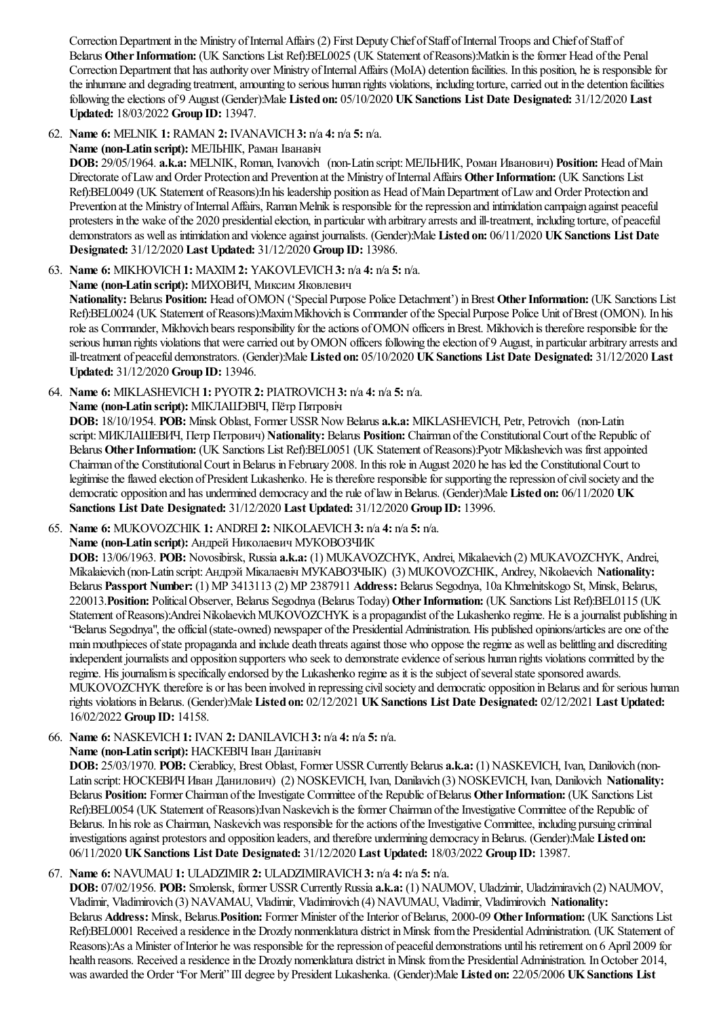Correction Department in the Ministry of Internal Affairs (2) First Deputy Chief of Staff of Internal Troops and Chief of Staff of Belarus Other Information: (UK Sanctions List Ref):BEL0025 (UK Statement of Reasons):Matkin is the former Head of the Penal Correction Department that has authority over Ministry of Internal Affairs (MoIA) detention facilities. In this position, he is responsible for the inhumane and degrading treatment, amounting to serious human rights violations, including torture, carried out in the detention facilities following theelections of 9 August (Gender):Male **Listed on:** 05/10/2020 **UKSanctions List Date Designated:** 31/12/2020 **Last Updated:** 18/03/2022 **Group ID:** 13947.

62. **Name 6:** MELNIK **1:** RAMAN **2:** IVANAVICH**3:** n/a **4:** n/a **5:** n/a.

## **Name (non-Latin script):** МЕЛЬНIК, Раман Iванавiч

**DOB:** 29/05/1964. **a.k.a:** MELNIK, Roman, Ivanovich (non-Latin script:МЕЛЬНИК, Роман Иванович) **Position:** Head ofMain Directorate of Law and Order Protection and Prevention at the Ministry of Internal Affairs Other Information: (UK Sanctions List Ref):BEL0049 (UK Statement of Reasons):In his leadership position as Head of Main Department of Law and Order Protection and Prevention at the Ministry of Internal Affairs, Raman Melnik is responsible for the repression and intimidation campaign against peaceful protesters in the wake of the 2020 presidential election, in particular with arbitrary arrests and ill-treatment, including torture, of peaceful demonstrators as well as intimidation and violence against journalists. (Gender):Male Listed on: 06/11/2020 UK Sanctions List Date **Designated:** 31/12/2020 **Last Updated:** 31/12/2020 **Group ID:** 13986.

63. **Name 6:** MIKHOVICH**1:** MAXIM**2:** YAKOVLEVICH**3:** n/a **4:** n/a **5:** n/a.

**Name (non-Latin script):** МИХОВИЧ, Миксим Яковлевич

Nationality: Belarus Position: Head of OMON ('Special Purpose Police Detachment') in Brest Other Information: (UK Sanctions List Ref):BEL0024 (UK Statement of Reasons):Maxim Mikhovich is Commander of the Special Purpose Police Unit of Brest (OMON). In his role as Commander, Mikhovich bears responsibility for the actions of OMON officers in Brest. Mikhovich is therefore responsible for the serious human rights violations that were carried out by OMON officers following the election of 9 August, in particular arbitrary arrests and ill-treatment of peaceful demonstrators. (Gender):Male **Listed on:** 05/10/2020 **UKSanctions List Date Designated:** 31/12/2020 **Last Updated:** 31/12/2020 **Group ID:** 13946.

64. **Name 6:** MIKLASHEVICH**1:** PYOTR**2:** PIATROVICH**3:** n/a **4:** n/a **5:** n/a.

**Name (non-Latin script):** МІКЛАШЭВІЧ, Пётр Пятровіч

**DOB:** 18/10/1954. **POB:** Minsk Oblast, Former USSRNowBelarus **a.k.a:** MIKLASHEVICH, Petr, Petrovich (non-Latin script:МИКЛАШЕВИЧ, Петр Петрович) **Nationality:** Belarus **Position:** Chairman ofthe ConstitutionalCourt ofthe Republic of Belarus Other Information: (UK Sanctions List Ref):BEL0051 (UK Statement of Reasons):Pyotr Miklashevich was first appointed Chairman of the Constitutional Court in Belarus in February 2008. In this role in August 2020 he has led the Constitutional Court to legitimise the flawed election of President Lukashenko. He is therefore responsible for supporting the repression of civil society and the democratic opposition and has undermined democracy and therule oflawinBelarus. (Gender):Male **Listed on:** 06/11/2020 **UK Sanctions List Date Designated:** 31/12/2020 **Last Updated:** 31/12/2020 **Group ID:** 13996.

65. **Name 6:** MUKOVOZCHIK **1:** ANDREI **2:** NIKOLAEVICH**3:** n/a **4:** n/a **5:** n/a.

**Name (non-Latin script):** Андрей Ниĸолаевич МУКОВОЗЧИК

**DOB:** 13/06/1963. **POB:** Novosibirsk, Russia **a.k.a:** (1) MUKAVOZCHYK, Andrei, Mikalaevich (2) MUKAVOZCHYK, Andrei, Mikalaievich (non-Latin script:Андрэй Міĸалаевіч МУКАВОЗЧЫК) (3) MUKOVOZCHIK, Andrey, Nikolaevich **Nationality:** Belarus **Passport Number:** (1) MP 3413113 (2) MP 2387911 **Address:** Belarus Segodnya, 10a Khmelnitskogo St, Minsk, Belarus, 220013.**Position:** PoliticalObserver, Belarus Segodnya(Belarus Today) **OtherInformation:** (UK Sanctions List Ref):BEL0115 (UK Statement of Reasons):Andrei Nikolaevich MUKOVOZCHYK is a propagandist of the Lukashenko regime. He is a journalist publishing in "Belarus Segodnya", the official (state-owned) newspaper of the Presidential Administration. His published opinions/articles are one of the main mouthpieces of state propaganda and include death threats against those who oppose the regime as well as belittling and discrediting independent journalists and opposition supporters who seek to demonstrate evidence of serious human rights violations committed by the regime. His journalism is specifically endorsed by the Lukashenko regime as it is the subject of several state sponsored awards. MUKOVOZCHYK therefore is or has been involved in repressing civil society and democratic opposition in Belarus and for serious human rights violations inBelarus. (Gender):Male **Listed on:** 02/12/2021 **UKSanctions List Date Designated:** 02/12/2021 **Last Updated:** 16/02/2022 **Group ID:** 14158.

66. **Name 6:** NASKEVICH**1:** IVAN **2:** DANILAVICH**3:** n/a **4:** n/a **5:** n/a.

**Name (non-Latin script):** НАСКЕВІЧ Іван Данілавіч

**DOB:** 25/03/1970. **POB:** Cierablicy, Brest Oblast, Former USSR Currently Belarus **a.k.a:** (1) NASKEVICH, Ivan, Danilovich (non-Latin script:НОСКЕВИЧИван Данилович) (2) NOSKEVICH, Ivan, Danilavich (3) NOSKEVICH, Ivan, Danilovich **Nationality:** Belarus **Position:** Former Chairman of the Investigate Committee of the Republic of Belarus Other Information: (UK Sanctions List Ref):BEL0054 (UK Statement of Reasons):Ivan Naskevich is the former Chairman of the Investigative Committee of the Republic of Belarus. In his role as Chairman, Naskevich was responsible for the actions of the Investigative Committee, including pursuing criminal investigations against protestors and opposition leaders, and therefore undermining democracy in Belarus. (Gender):Male Listed on: 06/11/2020 **UKSanctions List Date Designated:** 31/12/2020 **Last Updated:** 18/03/2022 **Group ID:** 13987.

67. **Name 6:** NAVUMAU**1:** ULADZIMIR**2:** ULADZIMIRAVICH**3:** n/a **4:** n/a **5:** n/a.

**DOB:** 07/02/1956. **POB:** Smolensk, former USSRCurrentlyRussia **a.k.a:** (1) NAUMOV, Uladzimir, Uladzimiravich (2) NAUMOV, Vladimir, Vladimirovich (3) NAVAMAU, Vladimir, Vladimirovich (4) NAVUMAU, Vladimir, Vladimirovich **Nationality:** Belarus Address: Minsk, Belarus. Position: Former Minister of the Interior of Belarus, 2000-09 Other Information: (UK Sanctions List Ref):BEL0001 Received a residence in the Drozdy nonmenklatura district in Minsk from the Presidential Administration. (UK Statement of Reasons):As a Minister of Interior he was responsible for the repression of peaceful demonstrations until his retirement on 6 April 2009 for health reasons. Received a residence in the Drozdy nomenklatura district in Minsk from the Presidential Administration. In October 2014, wasawarded the Order"For Merit"III degree by President Lukashenka. (Gender):Male **Listed on:** 22/05/2006 **UKSanctions List**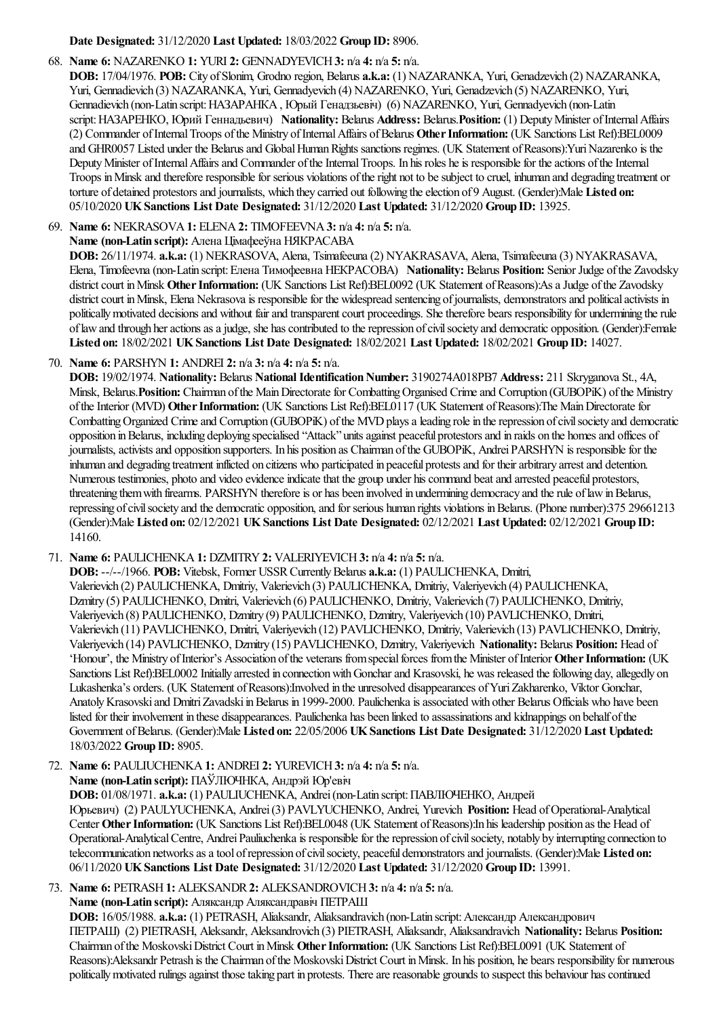#### **Date Designated:** 31/12/2020 **Last Updated:** 18/03/2022 **Group ID:** 8906.

# 68. **Name 6:** NAZARENKO **1:** YURI **2:** GENNADYEVICH**3:** n/a **4:** n/a **5:** n/a.

**DOB:** 17/04/1976. **POB:** City ofSlonim, Grodno region, Belarus **a.k.a:** (1) NAZARANKA, Yuri, Genadzevich (2) NAZARANKA, Yuri, Gennadievich (3) NAZARANKA, Yuri, Gennadyevich (4) NAZARENKO, Yuri, Genadzevich (5) NAZARENKO, Yuri, Gennadievich (non-Latin script:НАЗАРАНКА, Юрый Генадзьевіч) (6) NAZARENKO, Yuri, Gennadyevich (non-Latin script:НАЗАРЕНКО, Юрий Геннадьевич) **Nationality:** Belarus **Address:** Belarus.**Position:** (1) DeputyMinister ofInternalAffairs (2) Commander ofInternalTroops ofthe Ministry ofInternalAffairs ofBelarus **OtherInformation:** (UK Sanctions List Ref):BEL0009 and GHR0057 Listed under the Belarus and Global Human Rights sanctions regimes. (UK Statement of Reasons):Yuri Nazarenko is the Deputy Minister of Internal Affairs and Commander of the Internal Troops. In his roles he is responsible for the actions of the Internal Troops in Minsk and therefore responsible for serious violations of the right not to be subject to cruel, inhuman and degrading treatment or torture of detained protestors and journalists, which they carried out following the election of 9 August. (Gender):Male Listed on: 05/10/2020 **UKSanctions List Date Designated:** 31/12/2020 **Last Updated:** 31/12/2020 **Group ID:** 13925.

69. **Name 6:** NEKRASOVA**1:** ELENA**2:** TIMOFEEVNA**3:** n/a **4:** n/a **5:** n/a.

**Name (non-Latin script):** Алена Цiмафееўна НЯКРАСАВА

**DOB:** 26/11/1974. **a.k.a:** (1) NEKRASOVA, Alena, Tsimafeeuna(2) NYAKRASAVA, Alena, Tsimafeeuna(3) NYAKRASAVA, Elena, Timofeevna(non-Latin script:Елена Тимофеевна НЕКРАСОВА) **Nationality:** Belarus **Position:** Senior Judge ofthe Zavodsky district court in Minsk Other Information: (UK Sanctions List Ref):BEL0092 (UK Statement of Reasons):As a Judge of the Zavodsky district court in Minsk, Elena Nekrasova is responsible for the widespread sentencing of journalists, demonstrators and political activists in politically motivated decisions and without fair and transparent court proceedings. She therefore bears responsibility for undermining the rule oflawand through heractionsasajudge, she hascontributed to therepression ofcivilsociety and democratic opposition. (Gender):Female **Listed on:** 18/02/2021 **UKSanctions List Date Designated:** 18/02/2021 **Last Updated:** 18/02/2021 **Group ID:** 14027.

70. **Name 6:** PARSHYN **1:** ANDREI **2:** n/a **3:** n/a **4:** n/a **5:** n/a.

**DOB:** 19/02/1974. **Nationality:** Belarus **NationalIdentificationNumber:** 3190274A018PB7 **Address:** 211 Skryganova St., 4A, Minsk, Belarus.**Position:** Chairman ofthe MainDirectoratefor CombattingOrganised Crimeand Corruption (GUBOPiK) ofthe Ministry of the Interior (MVD) **Other Information:** (UK Sanctions List Ref):BEL0117 (UK Statement of Reasons):The Main Directorate for Combatting Organized Crime and Corruption (GUBOPiK) of the MVD plays a leading role in the repression of civil society and democratic opposition in Belarus, including deploying specialised "Attack" units against peaceful protestors and in raids on the homes and offices of journalists, activists and opposition supporters. In his position as Chairman of the GUBOPiK, Andrei PARSHYN is responsible for the inhuman and degrading treatment inflicted on citizens who participated in peaceful protestsand for theirarbitrary arrestand detention. Numerous testimonies, photo and video evidence indicate that the group under his command beat and arrested peaceful protestors, threatening them with firearms. PARSHYN therefore is or has been involved in undermining democracy and the rule of law in Belarus, repressing of civil society and the democratic opposition, and for serious human rights violations in Belarus. (Phone number):375 29661213 (Gender):Male **Listed on:** 02/12/2021 **UKSanctions List Date Designated:** 02/12/2021 **Last Updated:** 02/12/2021 **Group ID:** 14160.

71. **Name 6:** PAULICHENKA**1:** DZMITRY**2:** VALERIYEVICH**3:** n/a **4:** n/a **5:** n/a.

**DOB:** --/--/1966. **POB:** Vitebsk, Former USSRCurrentlyBelarus **a.k.a:** (1) PAULICHENKA, Dmitri, Valerievich (2) PAULICHENKA, Dmitriy, Valerievich (3) PAULICHENKA, Dmitriy, Valeriyevich (4) PAULICHENKA, Dzmitry (5) PAULICHENKO, Dmitri, Valerievich (6) PAULICHENKO, Dmitriy, Valerievich (7) PAULICHENKO, Dmitriy, Valeriyevich (8) PAULICHENKO, Dzmitry (9) PAULICHENKO, Dzmitry, Valeriyevich (10) PAVLICHENKO, Dmitri, Valerievich (11) PAVLICHENKO, Dmitri, Valeriyevich (12) PAVLICHENKO, Dmitriy, Valerievich (13) PAVLICHENKO, Dmitriy, Valeriyevich (14) PAVLICHENKO, Dzmitry (15) PAVLICHENKO, Dzmitry, Valeriyevich **Nationality:** Belarus **Position:** Head of 'Honour', the Ministry of Interior's Association of the veterans from special forces from the Minister of Interior Other Information: (UK Sanctions List Ref):BEL0002 Initially arrested in connection with Gonchar and Krasovski, he was released the following day, allegedly on Lukashenka's orders. (UK Statement ofReasons):Involved in the unresolved disappearances ofYuriZakharenko, Viktor Gonchar, Anatoly Krasovski and Dmitri Zavadski in Belarus in 1999-2000. Paulichenka is associated with other Belarus Officials who have been listed for their involvement in these disappearances. Paulichenka has been linked to assassinations and kidnappings on behalf of the Government ofBelarus. (Gender):Male **Listed on:** 22/05/2006 **UKSanctions List Date Designated:** 31/12/2020 **Last Updated:** 18/03/2022 **Group ID:** 8905.

72. **Name 6:** PAULIUCHENKA**1:** ANDREI **2:** YUREVICH**3:** n/a **4:** n/a **5:** n/a.

**Name (non-Latin script):** ПАЎЛЮЧНКА, Андрэй Юр'евіч

**DOB:** 01/08/1971. **a.k.a:** (1) PAULIUCHENKA, Andrei(non-Latin script:ПАВЛЮЧЕНКО, Андрей

Юрьевич) (2) PAULYUCHENKA, Andrei(3) PAVLYUCHENKO, Andrei, Yurevich **Position:** Head ofOperational-Analytical Center **Other Information:** (UK Sanctions List Ref):BEL0048 (UK Statement of Reasons):In his leadership position as the Head of Operational-Analytical Centre, Andrei Pauliuchenka is responsible for the repression of civil society, notably by interrupting connection to telecommunication networks as a tool of repression of civil society, peaceful demonstrators and journalists. (Gender):Male Listed on: 06/11/2020 **UKSanctions List Date Designated:** 31/12/2020 **Last Updated:** 31/12/2020 **Group ID:** 13991.

73. **Name 6:** PETRASH**1:** ALEKSANDR**2:** ALEKSANDROVICH**3:** n/a **4:** n/a **5:** n/a.

**Name (non-Latin script):** Аляксандр Аляксандравiч ПЕТРАШ **DOB:** 16/05/1988. **a.k.a:** (1) PETRASH, Aliaksandr, Aliaksandravich (non-Latin script:Александр Александрович ПЕТРАШ) (2) PIETRASH, Aleksandr, Aleksandrovich (3) PIETRASH, Aliaksandr, Aliaksandravich **Nationality:** Belarus **Position:** Chairman ofthe MoskovskiDistrict Court inMinsk **OtherInformation:** (UK Sanctions List Ref):BEL0091 (UK Statement of Reasons):Aleksandr Petrash is the Chairman of the Moskovski District Court in Minsk. In his position, he bears responsibility for numerous politically motivated rulings against those taking part in protests. There are reasonable grounds to suspect this behaviour has continued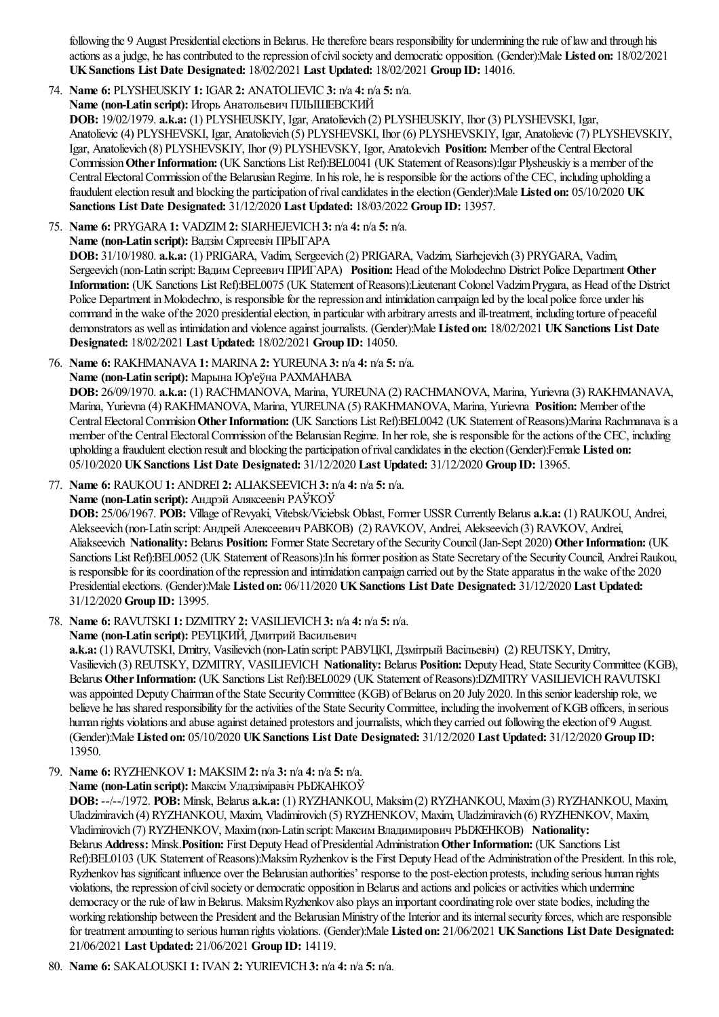following the 9 August Presidential elections in Belarus. He therefore bears responsibility for undermining the rule of law and through his actionsasajudge, he hascontributed to therepression ofcivilsociety and democratic opposition. (Gender):Male **Listed on:** 18/02/2021 **UKSanctions List Date Designated:** 18/02/2021 **Last Updated:** 18/02/2021 **Group ID:** 14016.

74. **Name 6:** PLYSHEUSKIY**1:** IGAR**2:** ANATOLIEVIC **3:** n/a **4:** n/a **5:** n/a.

**Name (non-Latin script):** Игорь Анатольевич ПЛЫШЕВСКИЙ

**DOB:** 19/02/1979. **a.k.a:** (1) PLYSHEUSKIY, Igar, Anatolievich (2) PLYSHEUSKIY, Ihor (3) PLYSHEVSKI, Igar, Anatolievic(4) PLYSHEVSKI, Igar, Anatolievich (5) PLYSHEVSKI, Ihor (6) PLYSHEVSKIY, Igar, Anatolievic(7) PLYSHEVSKIY, Igar, Anatolievich (8) PLYSHEVSKIY, Ihor (9) PLYSHEVSKY, Igor, Anatolevich **Position:** Member ofthe CentralElectoral Commission Other Information: (UK Sanctions List Ref):BEL0041 (UK Statement of Reasons):Igar Plysheuskiy is a member of the Central Electoral Commission of the Belarusian Regime. In his role, he is responsible for the actions of the CEC, including upholding a fraudulentelection resultand blocking the participation ofrivalcandidates in theelection (Gender):Male **Listed on:** 05/10/2020 **UK Sanctions List Date Designated:** 31/12/2020 **Last Updated:** 18/03/2022 **Group ID:** 13957.

75. **Name 6:** PRYGARA**1:** VADZIM**2:** SIARHEJEVICH**3:** n/a **4:** n/a **5:** n/a. **Name (non-Latin script):** Вадзiм Сяргеевiч ПРЫГАРА

**DOB:** 31/10/1980. **a.k.a:** (1) PRIGARA, Vadim, Sergeevich (2) PRIGARA, Vadzim, Siarhejevich (3) PRYGARA, Vadim, Sergeevich (non-Latin script:Вадим Сергеевич ПРИГАРА) **Position:** Head ofthe Molodechno District Police Department**Other** Information: (UK Sanctions List Ref):BEL0075 (UK Statement of Reasons):Lieutenant Colonel Vadzim Prygara, as Head of the District Police Department in Molodechno, is responsible for the repression and intimidation campaign led by the local police force under his command in the wake of the 2020 presidential election, in particular with arbitrary arrests and ill-treatment, including torture of peaceful demonstratorsas wellas intimidation and violenceagainst journalists. (Gender):Male **Listed on:** 18/02/2021 **UKSanctions List Date Designated:** 18/02/2021 **Last Updated:** 18/02/2021 **Group ID:** 14050.

76. **Name 6:** RAKHMANAVA**1:** MARINA**2:** YUREUNA**3:** n/a **4:** n/a **5:** n/a.

**Name (non-Latin script):** Марына Юр'еўна РАХМАНАВА

**DOB:** 26/09/1970. **a.k.a:** (1) RACHMANOVA, Marina, YUREUNA(2) RACHMANOVA, Marina, Yurievna(3) RAKHMANAVA, Marina, Yurievna(4) RAKHMANOVA, Marina, YUREUNA(5) RAKHMANOVA, Marina, Yurievna **Position:** Member ofthe Central Electoral Commision Other Information: (UK Sanctions List Ref):BEL0042 (UK Statement of Reasons):Marina Rachmanava is a member of the Central Electoral Commission of the Belarusian Regime. In her role, she is responsible for the actions of the CEC, including upholding a fraudulent election result and blocking the participation of rival candidates in the election (Gender):Female Listed on: 05/10/2020 **UKSanctions List Date Designated:** 31/12/2020 **Last Updated:** 31/12/2020 **Group ID:** 13965.

77. **Name 6:** RAUKOU**1:** ANDREI **2:** ALIAKSEEVICH**3:** n/a **4:** n/a **5:** n/a. **Name (non-Latin script):** Андрэй Аляксеевіч РАЎКОЎ

**DOB:** 25/06/1967. **POB:** Village ofRevyaki, Vitebsk/Viciebsk Oblast, Former USSRCurrentlyBelarus **a.k.a:** (1) RAUKOU, Andrei, Alekseevich (non-Latin script:Андрей Алексеевич РАВКОВ) (2) RAVKOV, Andrei, Alekseevich (3) RAVKOV, Andrei, Aliakseevich **Nationality:** Belarus **Position:** Former State Secretary of the Security Council (Jan-Sept 2020) Other Information: (UK Sanctions List Ref):BEL0052 (UK Statement of Reasons):In his former position as State Secretary of the Security Council, Andrei Raukou, is responsible for its coordination of the repression and intimidation campaign carried out by the State apparatus in the wake of the 2020 Presidentialelections. (Gender):Male **Listed on:** 06/11/2020 **UKSanctions List Date Designated:** 31/12/2020 **Last Updated:** 31/12/2020 **Group ID:** 13995.

78. **Name 6:** RAVUTSKI **1:** DZMITRY**2:** VASILIEVICH**3:** n/a **4:** n/a **5:** n/a.

**Name (non-Latin script):** РЕУЦКИЙ, Дмитрий Васильевич

**a.k.a:** (1) RAVUTSKI, Dmitry, Vasilievich (non-Latin script:РАВУЦКI, Дзмiтрый Васiльевiч) (2) REUTSKY, Dmitry, Vasilievich (3) REUTSKY, DZMITRY, VASILIEVICH **Nationality:** Belarus **Position:** DeputyHead, State SecurityCommittee(KGB), Belarus Other Information: (UK Sanctions List Ref):BEL0029 (UK Statement of Reasons):DZMITRY VASILIEVICH RAVUTSKI was appointed Deputy Chairman of the State Security Committee (KGB) of Belarus on 20 July 2020. In this senior leadership role, we believe he has shared responsibility for the activities of the State Security Committee, including the involvement of KGB officers, in serious human rights violations and abuse against detained protestors and journalists, which they carried out following the election of 9 August. (Gender):Male **Listed on:** 05/10/2020 **UKSanctions List Date Designated:** 31/12/2020 **Last Updated:** 31/12/2020 **Group ID:** 13950.

79. **Name 6:** RYZHENKOV**1:** MAKSIM**2:** n/a **3:** n/a **4:** n/a **5:** n/a.

**Name (non-Latin script):** Максім Уладзіміравіч РЫЖАНКОЎ

**DOB:** --/--/1972. **POB:** Minsk, Belarus **a.k.a:** (1) RYZHANKOU, Maksim(2) RYZHANKOU, Maxim(3) RYZHANKOU, Maxim, Uladzimiravich (4) RYZHANKOU, Maxim, Vladimirovich (5) RYZHENKOV, Maxim, Uladzimiravich (6) RYZHENKOV, Maxim, Vladimirovich (7) RYZHENKOV, Maxim (non-Latin script: Максим Владимирович РЫЖЕНКОВ) Nationality: Belarus **Address:** Minsk. Position: First Deputy Head of Presidential Administration Other Information: (UK Sanctions List Ref):BEL0103 (UK Statement of Reasons):Maksim Ryzhenkov is the First Deputy Head of the Administration of the President. In this role, Ryzhenkov has significant influence over the Belarusian authorities' responseto the post-election protests, including serious human rights violations, the repression of civil society or democratic opposition in Belarus and actions and policies or activities which undermine democracy or the rule of law in Belarus. Maksim Ryzhenkov also plays an important coordinating role over state bodies, including the working relationship between the President and the Belarusian Ministry of the Interior and its internal security forces, which are responsible for treatmentamounting to serious human rights violations. (Gender):Male **Listed on:** 21/06/2021 **UKSanctions List Date Designated:** 21/06/2021 **Last Updated:** 21/06/2021 **Group ID:** 14119.

80. **Name 6:** SAKALOUSKI **1:** IVAN **2:** YURIEVICH**3:** n/a **4:** n/a **5:** n/a.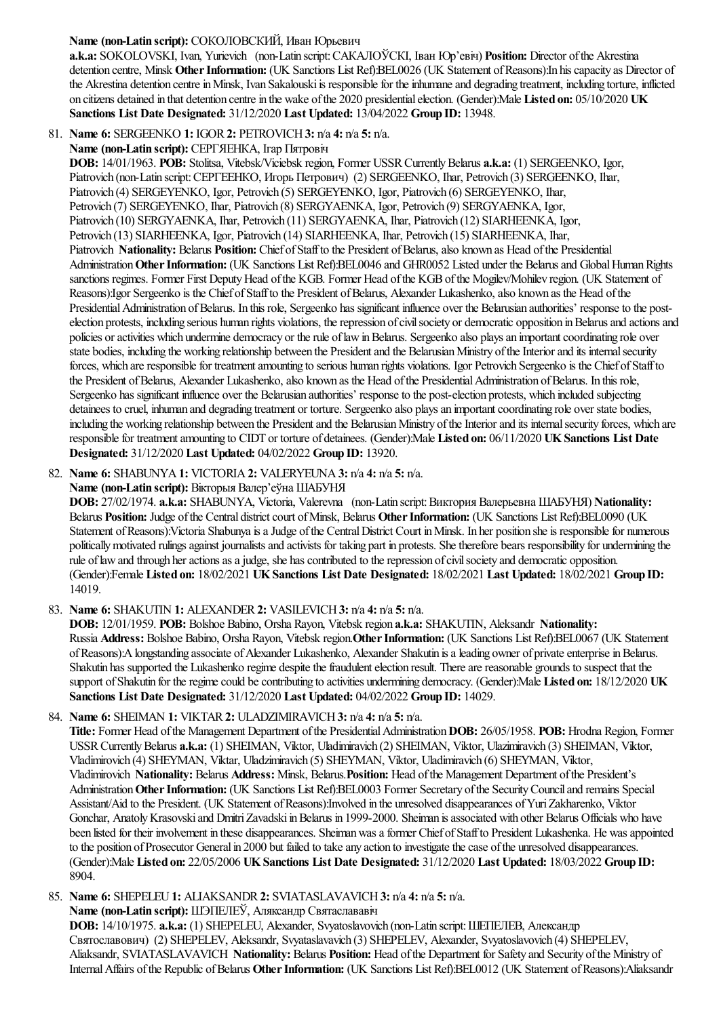#### **Name (non-Latin script):** СОКОЛОВСКИЙ, Иван Юрьевич

**a.k.a:** SOKOLOVSKI, Ivan, Yurievich (non-Latin script:САКАЛОЎСКI, Iван Юр'евiч) **Position:** Director ofthe Akrestina detention centre, Minsk Other Information: (UK Sanctions List Ref):BEL0026 (UK Statement of Reasons):In his capacity as Director of the Akrestina detention centre in Minsk, Ivan Sakalouski is responsible for the inhumane and degrading treatment, including torture, inflicted on citizens detained in that detention centrein the wake ofthe 2020 presidentialelection. (Gender):Male **Listed on:** 05/10/2020 **UK Sanctions List Date Designated:** 31/12/2020 **Last Updated:** 13/04/2022 **Group ID:** 13948.

#### 81. **Name 6:** SERGEENKO **1:** IGOR**2:** PETROVICH**3:** n/a **4:** n/a **5:** n/a.

**Name (non-Latin script):** СЕРГЯЕНКА, Ігар Пятровіч

**DOB:** 14/01/1963. **POB:** Stolitsa, Vitebsk/Viciebsk region, Former USSRCurrentlyBelarus **a.k.a:** (1) SERGEENKO, Igor, Piatrovich (non-Latin script: СЕРГЕЕНКО, Игорь Петрович) (2) SERGEENKO, Ihar, Petrovich (3) SERGEENKO, Ihar, Piatrovich (4) SERGEYENKO, Igor, Petrovich (5) SERGEYENKO, Igor, Piatrovich (6) SERGEYENKO, Ihar, Petrovich (7) SERGEYENKO, Ihar, Piatrovich (8) SERGYAENKA, Igor, Petrovich (9) SERGYAENKA, Igor, Piatrovich (10) SERGYAENKA, Ihar, Petrovich (11) SERGYAENKA, Ihar, Piatrovich (12) SIARHEENKA, Igor, Petrovich (13) SIARHEENKA, Igor, Piatrovich (14) SIARHEENKA, Ihar, Petrovich (15) SIARHEENKA, Ihar, Piatrovich **Nationality:** Belarus **Position:** Chief of Staff to the President of Belarus, also known as Head of the Presidential Administration Other Information: (UK Sanctions List Ref):BEL0046 and GHR0052 Listed under the Belarus and Global Human Rights sanctions regimes. Former First Deputy Head of the KGB. Former Head of the KGB of the Mogilev/Mohilev region. (UK Statement of Reasons):Igor Sergeenko is the Chief of Staff to the President of Belarus, Alexander Lukashenko, also known as the Head of the Presidential Administration of Belarus. In this role, Sergeenko has significant influence over the Belarusian authorities' response to the postelection protests, including serious human rights violations, the repression of civil society or democratic opposition in Belarus and actions and policies or activities which undermine democracy or the rule of law in Belarus. Sergeenko also plays an important coordinating role over state bodies, including the working relationship between the President and the Belarusian Ministry of the Interior and its internal security forces, which are responsible for treatment amounting to serious human rights violations. Igor Petrovich Sergeenko is the Chief of Staff to the President of Belarus, Alexander Lukashenko, also known as the Head of the Presidential Administration of Belarus. In this role, Sergeenko has significant influence over the Belarusian authorities' responseto the post-election protests, which included subjecting detainees to cruel, inhuman and degrading treatment or torture. Sergeenko also plays an important coordinating role over state bodies, including the working relationship between the President and the Belarusian Ministry of the Interior and its internal security forces, which are responsiblefor treatmentamounting to CIDT or torture of detainees. (Gender):Male **Listed on:** 06/11/2020 **UKSanctions List Date Designated:** 31/12/2020 **Last Updated:** 04/02/2022 **Group ID:** 13920.

82. **Name 6:** SHABUNYA**1:** VICTORIA**2:** VALERYEUNA**3:** n/a **4:** n/a **5:** n/a.

# **Name (non-Latin script):** Вiкторыя Валер'еўна ШАБУНЯ

**DOB:** 27/02/1974. **a.k.a:** SHABUNYA, Victoria, Valerevna (non-Latin script:Виктория Валерьевна ШАБУНЯ) **Nationality:** Belarus **Position:** Judge of the Central district court of Minsk, Belarus Other Information: (UK Sanctions List Ref):BEL0090 (UK Statement of Reasons): Victoria Shabunya is a Judge of the Central District Court in Minsk. In her position she is responsible for numerous politically motivated rulings against journalists and activists for taking part in protests. She therefore bears responsibility for undermining the rule of law and through her actions as a judge, she has contributed to the repression of civil society and democratic opposition. (Gender):Female **Listed on:** 18/02/2021 **UKSanctions List Date Designated:** 18/02/2021 **Last Updated:** 18/02/2021 **Group ID:** 14019.

# 83. **Name 6:** SHAKUTIN **1:** ALEXANDER**2:** VASILEVICH**3:** n/a **4:** n/a **5:** n/a.

**DOB:** 12/01/1959. **POB:** Bolshoe Babino, Orsha Rayon, Vitebsk region **a.k.a:** SHAKUTIN, Aleksandr **Nationality:** Russia **Address:** Bolshoe Babino, Orsha Rayon, Vitebsk region.**OtherInformation:** (UK Sanctions List Ref):BEL0067 (UK Statement of Reasons):A longstanding associate of Alexander Lukashenko, Alexander Shakutin is a leading owner of private enterprise in Belarus. Shakutin has supported the Lukashenko regime despite the fraudulent election result. There are reasonable grounds to suspect that the support ofShakutin for theregimecould becontributing to activities undermining democracy. (Gender):Male **Listed on:** 18/12/2020 **UK Sanctions List Date Designated:** 31/12/2020 **Last Updated:** 04/02/2022 **Group ID:** 14029.

# 84. **Name 6:** SHEIMAN **1:** VIKTAR**2:** ULADZIMIRAVICH**3:** n/a **4:** n/a **5:** n/a.

**Title:** Former Head of the Management Department of the Presidential Administration **DOB:** 26/05/1958. **POB:** Hrodna Region, Former USSRCurrentlyBelarus **a.k.a:** (1) SHEIMAN, Viktor, Uladimiravich (2) SHEIMAN, Viktor, Ulazimiravich (3) SHEIMAN, Viktor, Vladimirovich (4) SHEYMAN, Viktar, Uladzimiravich (5) SHEYMAN, Viktor, Uladimiravich (6) SHEYMAN, Viktor, Vladimirovich **Nationality:** Belarus **Address:** Minsk, Belarus.**Position:** Head ofthe Management Department ofthe President's Administration Other Information: (UK Sanctions List Ref):BEL0003 Former Secretary of the Security Council and remains Special Assistant/Aid to the President. (UK Statement of Reasons):Involved in the unresolved disappearances of Yuri Zakharenko, Viktor Gonchar, Anatoly Krasovski and Dmitri Zavadski in Belarus in 1999-2000. Sheiman is associated with other Belarus Officials who have been listed for their involvement in these disappearances. Sheiman was a former Chief of Staff to President Lukashenka. He was appointed to the position of Prosecutor General in 2000 but failed to take any action to investigate the case of the unresolved disappearances. (Gender):Male **Listed on:** 22/05/2006 **UKSanctions List Date Designated:** 31/12/2020 **Last Updated:** 18/03/2022 **Group ID:** 8904.

85. **Name 6:** SHEPELEU**1:** ALIAKSANDR**2:** SVIATASLAVAVICH**3:** n/a **4:** n/a **5:** n/a.

**Name (non-Latin script):** ШЭПЕЛЕЎ, Аляксандр Святаслававіч

**DOB:** 14/10/1975. **a.k.a:** (1) SHEPELEU, Alexander, Svyatoslavovich (non-Latin script:ШЕПЕЛЕВ, Александр Святославович) (2) SHEPELEV, Aleksandr, Svyataslavavich (3) SHEPELEV, Alexander, Svyatoslavovich (4) SHEPELEV, Aliaksandr, SVIATASLAVAVICH **Nationality:** Belarus **Position:** Head ofthe Department for Safety and Security ofthe Ministry of Internal Affairs of the Republic of Belarus Other Information: (UK Sanctions List Ref):BEL0012 (UK Statement of Reasons):Aliaksandr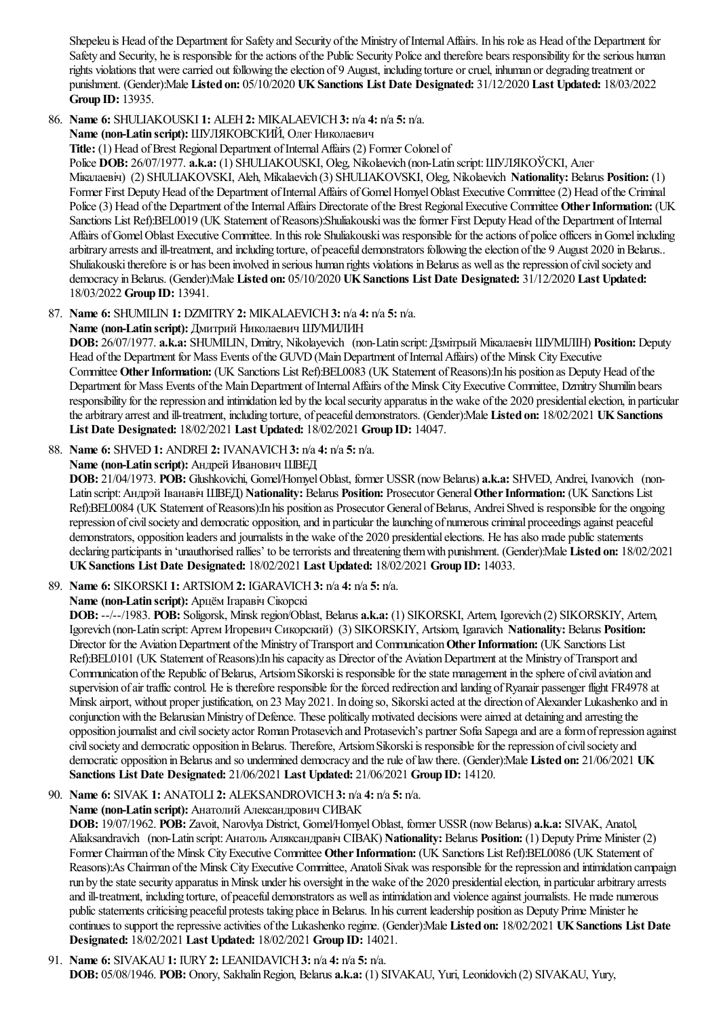Shepeleu is Head of the Department for Safety and Security of the Ministry of Internal Affairs. In his role as Head of the Department for Safety and Security, he is responsible for the actions of the Public Security Police and therefore bears responsibility for the serious human rights violations that were carried out following the election of 9 August, including torture or cruel, inhuman or degrading treatment or punishment. (Gender):Male **Listed on:** 05/10/2020 **UKSanctions List Date Designated:** 31/12/2020 **Last Updated:** 18/03/2022 **Group ID:** 13935.

86. **Name 6:** SHULIAKOUSKI **1:** ALEH**2:** MIKALAEVICH**3:** n/a **4:** n/a **5:** n/a.

**Name (non-Latin script):** ШУЛЯКОВСКИЙ, ОлегНиколаевич

**Title:** (1) Head of Brest Regional Department of Internal Affairs (2) Former Colonel of

Police **DOB:** 26/07/1977. **a.k.a:** (1) SHULIAKOUSKI, Oleg, Nikolaevich (non-Latin script:ШУЛЯКОЎСКI, Алег

Мiкалаевiч) (2) SHULIAKOVSKI, Aleh, Mikalaevich (3) SHULIAKOVSKI, Oleg, Nikolaevich **Nationality:** Belarus **Position:** (1) Former First Deputy Head of the Department of Internal Affairs of Gomel Homyel Oblast Executive Committee (2) Head of the Criminal Police (3) Head of the Department of the Internal Affairs Directorate of the Brest Regional Executive Committee Other Information: (UK Sanctions List Ref):BEL0019 (UK Statement of Reasons):Shuliakouski was the former First Deputy Head of the Department of Internal Affairs of Gomel Oblast Executive Committee. In this role Shuliakouski was responsible for the actions of police officers in Gomel including arbitrary arrests and ill-treatment, and including torture, of peaceful demonstrators following the election of the 9 August 2020 in Belarus.. Shuliakouski therefore is or has been involved in serious human rights violations in Belarus as well as the repression of civil society and democracy inBelarus. (Gender):Male **Listed on:** 05/10/2020 **UKSanctions List Date Designated:** 31/12/2020 **Last Updated:** 18/03/2022 **Group ID:** 13941.

87. **Name 6:** SHUMILIN **1:** DZMITRY**2:** MIKALAEVICH**3:** n/a **4:** n/a **5:** n/a.

# **Name (non-Latin script):** Дмитрий Николаевич ШУМИЛИН

**DOB:** 26/07/1977. **a.k.a:** SHUMILIN, Dmitry, Nikolayevich (non-Latin script:Дзмiтрый Мiкалаевiч ШУМIЛIН) **Position:** Deputy Head of the Department for Mass Events of the GUVD (Main Department of Internal Affairs) of the Minsk City Executive Committee Other Information: (UK Sanctions List Ref):BEL0083 (UK Statement of Reasons):In his position as Deputy Head of the Department for Mass Events of the Main Department of Internal Affairs of the Minsk City Executive Committee, Dzmitry Shumilin bears responsibility for the repression and intimidation led by the local security apparatus in the wake of the 2020 presidential election, in particular thearbitrary arrestand ill-treatment, including torture, of peaceful demonstrators. (Gender):Male **Listed on:** 18/02/2021 **UKSanctions List Date Designated:** 18/02/2021 **Last Updated:** 18/02/2021 **Group ID:** 14047.

88. **Name 6:** SHVED**1:** ANDREI **2:** IVANAVICH**3:** n/a **4:** n/a **5:** n/a.

**Name (non-Latin script):** Андрей Иванович ШВЕД

**DOB:** 21/04/1973. **POB:** Glushkovichi, Gomel/HomyelOblast, former USSR(nowBelarus) **a.k.a:** SHVED, Andrei, Ivanovich (non-Latin script:Андрэй Iванавiч ШВЕД) **Nationality:** Belarus **Position:** Prosecutor General**OtherInformation:** (UK Sanctions List Ref):BEL0084 (UK Statement of Reasons):In his position as Prosecutor General of Belarus, Andrei Shved is responsible for the ongoing repression of civil society and democratic opposition, and in particular the launching of numerous criminal proceedings against peaceful demonstrators, opposition leaders and journalists in the wake of the 2020 presidential elections. He has also made public statements declaring participants in 'unauthorised rallies' to be terrorists and threatening them with punishment. (Gender):Male Listed on:  $18/02/2021$ **UKSanctions List Date Designated:** 18/02/2021 **Last Updated:** 18/02/2021 **Group ID:** 14033.

89. **Name 6:** SIKORSKI **1:** ARTSIOM**2:** IGARAVICH**3:** n/a **4:** n/a **5:** n/a.

**Name (non-Latin script):** Арцём Ігаравіч Сікорскі

**DOB:** --/--/1983. **POB:** Soligorsk, Minsk region/Oblast, Belarus **a.k.a:** (1) SIKORSKI, Artem, Igorevich (2) SIKORSKIY, Artem, Igorevich (non-Latin script:Артем Игоревич Сикорский) (3) SIKORSKIY, Artsiom, Igaravich **Nationality:** Belarus **Position:** Director for the Aviation Department of the Ministry of Transport and Communication Other Information: (UK Sanctions List Ref):BEL0101 (UK Statement of Reasons):In his capacity as Director of the Aviation Department at the Ministry of Transport and Communication of the Republic of Belarus, Artsiom Sikorski is responsible for the state management in the sphere of civil aviation and supervision of air traffic control. He is therefore responsible for the forced redirection and landing of Ryanair passenger flight FR4978 at Minsk airport, without proper justification, on 23 May 2021. In doing so, Sikorski acted at the direction of Alexander Lukashenko and in conjunction with the Belarusian Ministry of Defence. These politically motivated decisions were aimed at detaining and arresting the opposition journalistand civilsociety actor Roman Protasevich and Protasevich's partner Sofia Sapegaand areaformofrepression against civil society and democratic opposition in Belarus. Therefore, Artsiom Sikorski is responsible for the repression of civil society and democratic opposition inBelarusand so undermined democracy and therule oflawthere. (Gender):Male **Listed on:** 21/06/2021 **UK Sanctions List Date Designated:** 21/06/2021 **Last Updated:** 21/06/2021 **Group ID:** 14120.

90. **Name 6:** SIVAK **1:** ANATOLI **2:** ALEKSANDROVICH**3:** n/a **4:** n/a **5:** n/a.

**Name (non-Latin script):** Анатолий Александрович СИВАК

DOB: 19/07/1962. POB: Zavoit, Narovlya District, Gomel/Homyel Oblast, former USSR (now Belarus) a.k.a: SIVAK, Anatol, Aliaksandravich (non-Latin script:Анатоль Аляксандравiч СIВАК) **Nationality:** Belarus **Position:** (1) Deputy Prime Minister (2) Former Chairman of the Minsk City Executive Committee Other Information: (UK Sanctions List Ref):BEL0086 (UK Statement of Reasons):As Chairman of the Minsk City Executive Committee, Anatoli Sivak was responsible for the repression and intimidation campaign run by the state security apparatus in Minsk under his oversight in the wake of the 2020 presidential election, in particular arbitrary arrests and ill-treatment, including torture, of peaceful demonstrators as well as intimidation and violence against journalists. He made numerous public statements criticising peaceful protests taking place in Belarus. In his current leadership position as Deputy Prime Minister he continues to support therepressiveactivities ofthe Lukashenko regime. (Gender):Male **Listed on:** 18/02/2021 **UKSanctions List Date Designated:** 18/02/2021 **Last Updated:** 18/02/2021 **Group ID:** 14021.

91. **Name 6:** SIVAKAU**1:** IURY**2:** LEANIDAVICH**3:** n/a **4:** n/a **5:** n/a. **DOB:** 05/08/1946. **POB:** Onory, SakhalinRegion, Belarus **a.k.a:** (1) SIVAKAU, Yuri, Leonidovich (2) SIVAKAU, Yury,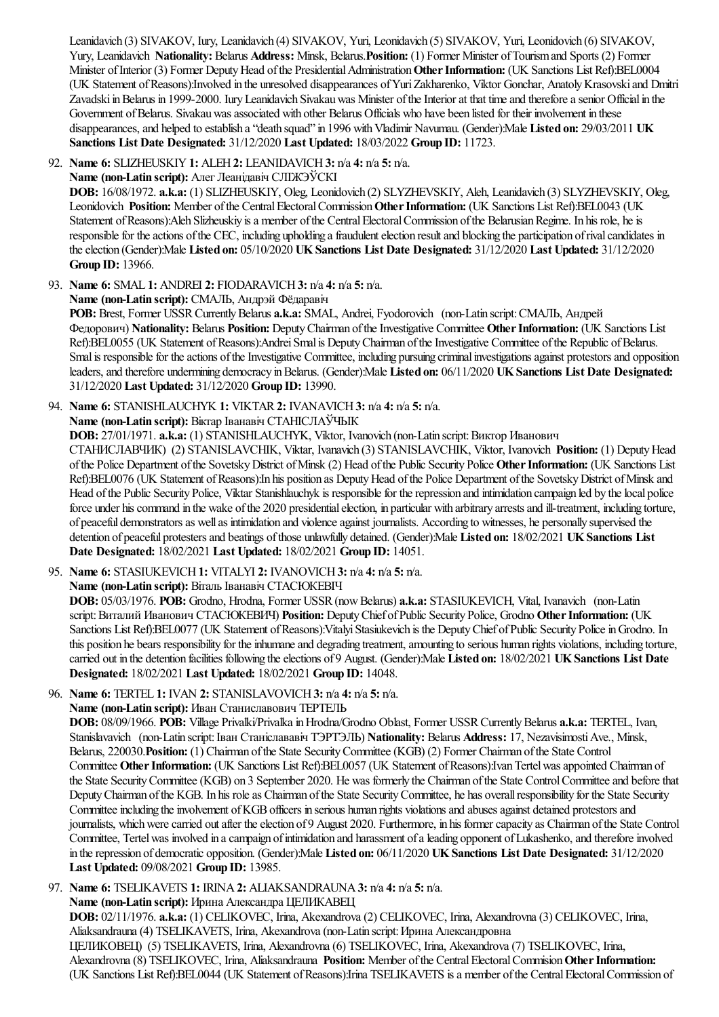Leanidavich (3) SIVAKOV, Iury, Leanidavich (4) SIVAKOV, Yuri, Leonidavich (5) SIVAKOV, Yuri, Leonidovich (6) SIVAKOV, Yury, Leanidavich **Nationality:** Belarus **Address:** Minsk, Belarus.**Position:** (1) Former Minister ofTourismand Sports (2) Former Minister of Interior (3) Former Deputy Head of the Presidential Administration Other Information: (UK Sanctions List Ref):BEL0004 (UK Statement ofReasons):Involved in the unresolved disappearances ofYuriZakharenko, Viktor Gonchar, AnatolyKrasovskiand Dmitri Zavadski in Belarus in 1999-2000. Iury Leanidavich Sivakau was Minister of the Interior at that time and therefore a senior Official in the Government of Belarus. Sivakau was associated with other Belarus Officials who have been listed for their involvement in these disappearances,and helped to establish a"death squad"in 1996 withVladimir Navumau. (Gender):Male **Listed on:** 29/03/2011 **UK Sanctions List Date Designated:** 31/12/2020 **Last Updated:** 18/03/2022 **Group ID:** 11723.

92. **Name 6:** SLIZHEUSKIY**1:** ALEH**2:** LEANIDAVICH**3:** n/a **4:** n/a **5:** n/a.

**Name (non-Latin script):** Алег Леанідавіч СЛІЖЭЎСКІ

**DOB:** 16/08/1972. **a.k.a:** (1) SLIZHEUSKIY, Oleg, Leonidovich (2) SLYZHEVSKIY, Aleh, Leanidavich (3) SLYZHEVSKIY, Oleg, Leonidovich **Position:** Member of the Central Electoral Commission Other Information: (UK Sanctions List Ref):BEL0043 (UK Statement of Reasons):Aleh Slizheuskiy is a member of the Central Electoral Commission of the Belarusian Regime. In his role, he is responsible for the actions of the CEC, including upholding a fraudulent election result and blocking the participation of rival candidates in theelection (Gender):Male **Listed on:** 05/10/2020 **UKSanctions List Date Designated:** 31/12/2020 **Last Updated:** 31/12/2020 **Group ID:** 13966.

93. **Name 6:** SMAL **1:** ANDREI **2:** FIODARAVICH**3:** n/a **4:** n/a **5:** n/a.

**Name (non-Latin script):** СМАЛЬ, Андрэй Фёдаравіч

**POB:** Brest, Former USSRCurrentlyBelarus **a.k.a:** SMAL, Andrei, Fyodorovich (non-Latin script:СМАЛЬ, Андрей Федорович) **Nationality:** Belarus **Position:** DeputyChairman oftheInvestigative Committee **OtherInformation:** (UK Sanctions List Ref):BEL0055 (UK Statement of Reasons):Andrei Smal is Deputy Chairman of the Investigative Committee of the Republic of Belarus. Smal is responsible for the actions of the Investigative Committee, including pursuing criminal investigations against protestors and opposition leaders,and therefore undermining democracy inBelarus. (Gender):Male **Listed on:** 06/11/2020 **UKSanctions List Date Designated:** 31/12/2020 **Last Updated:** 31/12/2020 **Group ID:** 13990.

94. **Name 6:** STANISHLAUCHYK **1:** VIKTAR**2:** IVANAVICH**3:** n/a **4:** n/a **5:** n/a.

**Name (non-Latin script):** Вiктар Iванавiч СТАНIСЛАЎЧЫК

**DOB:** 27/01/1971. **a.k.a:** (1) STANISHLAUCHYK, Viktor, Ivanovich (non-Latin script:Виктор Иванович

СТАНИСЛАВЧИК) (2) STANISLAVCHIK, Viktar, Ivanavich (3) STANISLAVCHIK, Viktor, Ivanovich **Position:** (1) DeputyHead ofthe Police Department ofthe SovetskyDistrict ofMinsk (2) Head ofthe Public Security Police **OtherInformation:** (UK Sanctions List Ref):BEL0076 (UK Statement of Reasons):In his position as Deputy Head of the Police Department of the Sovetsky District of Minsk and Head of the Public Security Police, Viktar Stanishlauchyk is responsible for the repression and intimidation campaign led by the local police force under his command in the wake of the 2020 presidential election, in particular with arbitrary arrests and ill-treatment, including torture, of peaceful demonstrators as well as intimidation and violence against journalists. According to witnesses, he personally supervised the detention of peaceful protestersand beatings ofthose unlawfully detained. (Gender):Male **Listed on:** 18/02/2021 **UKSanctions List Date Designated:** 18/02/2021 **Last Updated:** 18/02/2021 **Group ID:** 14051.

95. **Name 6:** STASIUKEVICH**1:** VITALYI **2:** IVANOVICH**3:** n/a **4:** n/a **5:** n/a.

**Name (non-Latin script):** Вiталь Iванавiч СТАСЮКЕВIЧ

**DOB:** 05/03/1976. **POB:** Grodno, Hrodna, Former USSR(nowBelarus) **a.k.a:** STASIUKEVICH, Vital, Ivanavich (non-Latin script:Виталий Иванович СТАСЮКЕВИЧ) **Position:** DeputyChief ofPublic Security Police, Grodno **OtherInformation:** (UK Sanctions List Ref):BEL0077 (UK Statement of Reasons):Vitalyi Stasiukevich is the Deputy Chief of Public Security Police in Grodno. In this position he bears responsibility for the inhumane and degrading treatment, amounting to serious human rights violations, including torture, carried out in the detention facilities following theelections of 9 August. (Gender):Male **Listed on:** 18/02/2021 **UKSanctions List Date Designated:** 18/02/2021 **Last Updated:** 18/02/2021 **Group ID:** 14048.

96. **Name 6:** TERTEL **1:** IVAN **2:** STANISLAVOVICH**3:** n/a **4:** n/a **5:** n/a.

**Name (non-Latin script):** Иван Станиславович ТЕРТЕЛЬ

**DOB:** 08/09/1966. **POB:** Village Privalki/PrivalkainHrodna/Grodno Oblast, Former USSRCurrentlyBelarus **a.k.a:** TERTEL, Ivan, Stanislavavich (non-Latin script:Іван Станіслававіч ТЭРТЭЛЬ) **Nationality:** Belarus **Address:** 17, NezavisimostiAve., Minsk, Belarus, 220030.**Position:** (1) Chairman ofthe State SecurityCommittee(KGB) (2) Former Chairman ofthe State Control Committee Other Information: (UK Sanctions List Ref):BEL0057 (UK Statement of Reasons):Ivan Tertel was appointed Chairman of the State SecurityCommittee(KGB) on 3 September 2020. He was formerly the Chairman ofthe State ControlCommitteeand beforethat Deputy Chairman of the KGB. In his role as Chairman of the State Security Committee, he has overall responsibility for the State Security Committee including the involvement of KGB officers in serious human rights violations and abuses against detained protestors and journalists, which were carried out after the election of 9 August 2020. Furthermore, in his former capacity as Chairman of the State Control Committee, Tertel was involved in a campaign of intimidation and harassment of a leading opponent of Lukashenko, and therefore involved in therepression of democratic opposition. (Gender):Male **Listed on:** 06/11/2020 **UKSanctions List Date Designated:** 31/12/2020 **Last Updated:** 09/08/2021 **Group ID:** 13985.

97. **Name 6:** TSELIKAVETS **1:** IRINA**2:** ALIAKSANDRAUNA**3:** n/a **4:** n/a **5:** n/a.

**Name (non-Latin script):** Ирина Александра ЦЕЛИКАВЕЦ **DOB:** 02/11/1976. **a.k.a:** (1) CELIKOVEC, Irina, Akexandrova(2) CELIKOVEC, Irina, Alexandrovna(3) CELIKOVEC, Irina, Aliaksandrauna (4) TSELIKAVETS, Irina, Akexandrova (non-Latin script: Ирина Александровна ЦЕЛИКОВЕЦ) (5) TSELIKAVETS, Irina, Alexandrovna(6) TSELIKOVEC, Irina, Akexandrova(7) TSELIKOVEC, Irina, Alexandrovna(8) TSELIKOVEC, Irina, Aliaksandrauna **Position:** Member ofthe CentralElectoralCommision**OtherInformation:** (UK Sanctions List Ref):BEL0044 (UK Statement of Reasons):Irina TSELIKAVETS is a member of the Central Electoral Commission of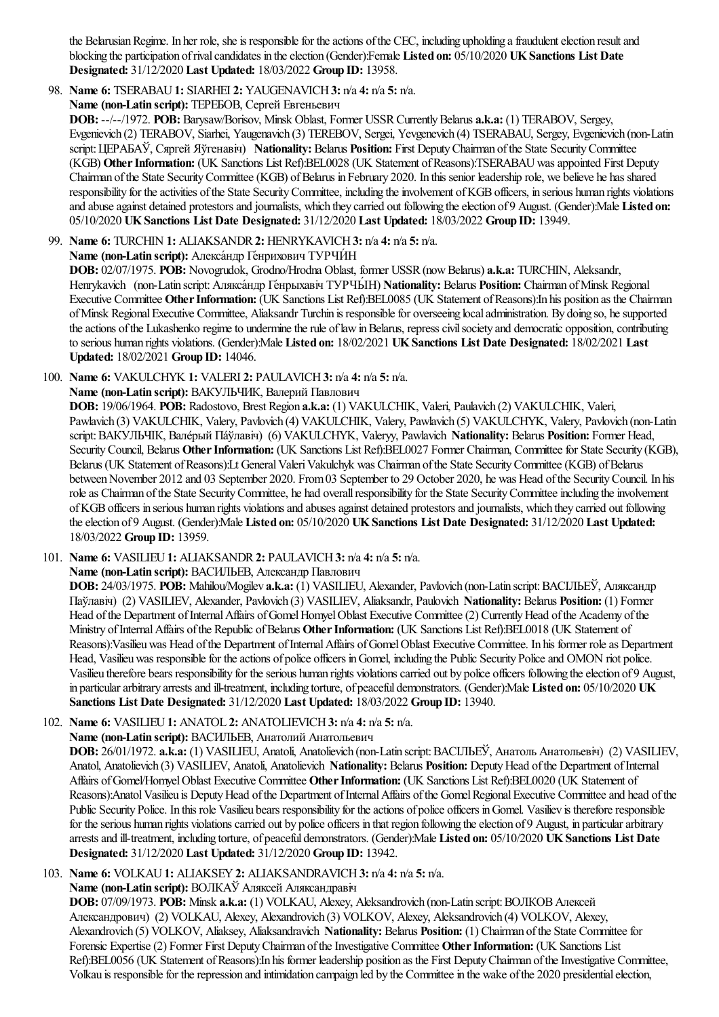the Belarusian Regime. In her role, she is responsible for the actions of the CEC, including upholding a fraudulent election result and blocking the participation ofrivalcandidates in theelection (Gender):Female **Listed on:** 05/10/2020 **UKSanctions List Date Designated:** 31/12/2020 **Last Updated:** 18/03/2022 **Group ID:** 13958.

# 98. **Name 6:** TSERABAU**1:** SIARHEI **2:** YAUGENAVICH**3:** n/a **4:** n/a **5:** n/a.

**Name (non-Latin script):** ТЕРЕБОВ, Сергей Евгеньевич

**DOB:** --/--/1972. **POB:** Barysaw/Borisov, Minsk Oblast, Former USSRCurrentlyBelarus **a.k.a:** (1) TERABOV, Sergey, Evgenievich (2) TERABOV, Siarhei, Yaugenavich (3) TEREBOV, Sergei, Yevgenevich (4) TSERABAU, Sergey, Evgenievich (non-Latin script:ЦЕРАБАЎ, Сяргей Яўгенавiч) **Nationality:** Belarus **Position:** First DeputyChairman ofthe State SecurityCommittee (KGB) Other Information: (UK Sanctions List Ref):BEL0028 (UK Statement of Reasons):TSERABAU was appointed First Deputy Chairman ofthe State SecurityCommittee(KGB) ofBelarus in February 2020. In this senior leadership role, we believe he has shared responsibility for the activities of the State Security Committee, including the involvement of KGB officers, in serious human rights violations and abuse against detained protestors and journalists, which they carried out following the election of 9 August. (Gender):Male Listed on: 05/10/2020 **UKSanctions List Date Designated:** 31/12/2020 **Last Updated:** 18/03/2022 **Group ID:** 13949.

99. **Name 6:** TURCHIN **1:** ALIAKSANDR**2:** HENRYKAVICH**3:** n/a **4:** n/a **5:** n/a. **Name** (non-Latin script): Алекса́ндр Ге́нрихович ТУРЧИ́Н **DOB:** 02/07/1975. **POB:** Novogrudok, Grodno/Hrodna Oblast, former USSR(nowBelarus) **a.k.a:** TURCHIN, Aleksandr, Henrykavich (non-Latin script:Алякса́ндр Ге́нрыхавіч ТУРЧЫ́ Н) **Nationality:** Belarus **Position:** Chairman ofMinsk Regional Executive Committee Other Information: (UK Sanctions List Ref):BEL0085 (UK Statement of Reasons):In his position as the Chairman ofMinsk RegionalExecutive Committee, Aliaksandr Turchin is responsiblefor overseeing localadministration. By doing so, hesupported the actions of the Lukashenko regime to undermine the rule of law in Belarus, repress civil society and democratic opposition, contributing to serious human rights violations. (Gender):Male **Listed on:** 18/02/2021 **UKSanctions List Date Designated:** 18/02/2021 **Last Updated:** 18/02/2021 **Group ID:** 14046.

100. **Name 6:** VAKULCHYK **1:** VALERI **2:** PAULAVICH**3:** n/a **4:** n/a **5:** n/a.

**Name (non-Latin script):** ВАКУЛЬЧИК, Валерий Павлович

**DOB:** 19/06/1964. **POB:** Radostovo, Brest Region **a.k.a:** (1) VAKULCHIK, Valeri, Paulavich (2) VAKULCHIK, Valeri, Pawlavich (3) VAKULCHIK, Valery, Pavlovich (4) VAKULCHIK, Valery, Pawlavich (5) VAKULCHYK, Valery, Pavlovich (non-Latin script:ВАКУЛЬЧIК, Валéрый Пáўлавiч) (6) VAKULCHYK, Valeryy, Pawlavich **Nationality:** Belarus **Position:** Former Head, SecurityCouncil, Belarus **OtherInformation:** (UK Sanctions List Ref):BEL0027 Former Chairman, Committeefor State Security (KGB), Belarus (UK Statement of Reasons):Lt General Valeri Vakulchyk was Chairman of the State Security Committee (KGB) of Belarus between November 2012 and 03 September 2020. From 03 September to 29 October 2020, he was Head of the Security Council. In his roleas Chairman ofthe State SecurityCommittee, he had overallresponsibility for the State SecurityCommitteeincluding theinvolvement of KGB officers in serious human rights violations and abuses against detained protestors and journalists, which they carried out following theelection of 9 August. (Gender):Male **Listed on:** 05/10/2020 **UKSanctions List Date Designated:** 31/12/2020 **Last Updated:** 18/03/2022 **Group ID:** 13959.

101. **Name 6:** VASILIEU**1:** ALIAKSANDR**2:** PAULAVICH**3:** n/a **4:** n/a **5:** n/a.

**Name (non-Latin script):** ВАСИЛЬЕВ, Александр Павлович

**DOB:** 24/03/1975. **POB:** Mahilou/Mogilev **a.k.a:** (1) VASILIEU, Alexander, Pavlovich (non-Latin script:ВАСІЛЬЕЎ, Аляксандр Паўлавіч) (2) VASILIEV, Alexander, Pavlovich (3) VASILIEV, Aliaksandr, Paulovich **Nationality:** Belarus **Position:** (1) Former Head of the Department of Internal Affairs of Gomel Homyel Oblast Executive Committee (2) Currently Head of the Academy of the Ministry ofInternalAffairs ofthe Republic ofBelarus **OtherInformation:** (UK Sanctions List Ref):BEL0018 (UK Statement of Reasons): Vasilieu was Head of the Department of Internal Affairs of Gomel Oblast Executive Committee. In his former role as Department Head, Vasilieu was responsible for the actions of police officers in Gomel, including the Public Security Police and OMON riot police. Vasilieu therefore bears responsibility for the serious human rights violations carried out by police officers following the election of 9 August, in particulararbitrary arrestsand ill‐treatment, including torture, of peaceful demonstrators. (Gender):Male **Listed on:** 05/10/2020 **UK Sanctions List Date Designated:** 31/12/2020 **Last Updated:** 18/03/2022 **Group ID:** 13940.

102. **Name 6:** VASILIEU**1:** ANATOL **2:** ANATOLIEVICH**3:** n/a **4:** n/a **5:** n/a.

**Name (non-Latin script):** ВАСИЛЬЕВ, Анатолий Анатольевич

**DOB:** 26/01/1972. **a.k.a:** (1) VASILIEU, Anatoli, Anatolievich (non-Latin script:ВАСIЛЬЕЎ, Анатоль Анатольевiч) (2) VASILIEV, Anatol, Anatolievich (3) VASILIEV, Anatoli, Anatolievich **Nationality:** Belarus **Position:** DeputyHead ofthe Department ofInternal Affairs ofGomel/HomyelOblast Executive Committee **OtherInformation:** (UK Sanctions List Ref):BEL0020 (UK Statement of Reasons):Anatol Vasilieu is Deputy Head of the Department of Internal Affairs of the Gomel Regional Executive Committee and head of the Public Security Police. In this role Vasilieu bears responsibility for the actions of police officers in Gomel. Vasiliev is therefore responsible for the serious human rights violations carried out by police officers in that region following the election of 9 August, in particular arbitrary arrestsand ill-treatment, including torture, of peaceful demonstrators. (Gender):Male **Listed on:** 05/10/2020 **UKSanctions List Date Designated:** 31/12/2020 **Last Updated:** 31/12/2020 **Group ID:** 13942.

103. **Name 6:** VOLKAU**1:** ALIAKSEY**2:** ALIAKSANDRAVICH**3:** n/a **4:** n/a **5:** n/a.

**Name (non-Latin script):** ВОЛКАЎАляксей Аляксандравіч

**DOB:** 07/09/1973. **POB:** Minsk a.k.a: (1) VOLKAU, Alexey, Aleksandrovich (non-Latin script: ВОЛКОВ Алексей Александрович) (2) VOLKAU, Alexey, Alexandrovich (3) VOLKOV, Alexey, Aleksandrovich (4) VOLKOV, Alexey, Alexandrovich (5) VOLKOV, Aliaksey, Aliaksandravich **Nationality:** Belarus **Position:** (1) Chairman ofthe State Committeefor Forensic Expertise (2) Former First Deputy Chairman of the Investigative Committee Other Information: (UK Sanctions List Ref):BEL0056 (UK Statement of Reasons):In his former leadership position as the First Deputy Chairman of the Investigative Committee, Volkau is responsible for the repression and intimidation campaign led by the Committee in the wake of the 2020 presidential election,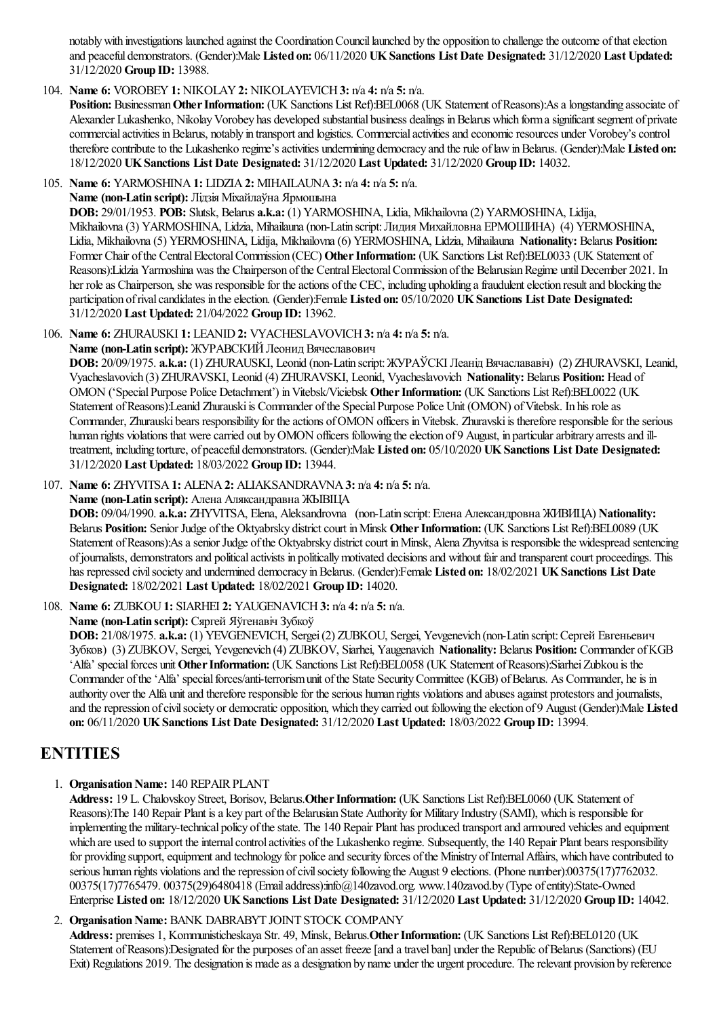notably with investigations launched against the Coordination Council launched by the opposition to challenge the outcome of that election and peaceful demonstrators. (Gender):Male **Listed on:** 06/11/2020 **UKSanctions List Date Designated:** 31/12/2020 **Last Updated:** 31/12/2020 **Group ID:** 13988.

104. **Name 6:** VOROBEY**1:** NIKOLAY**2:** NIKOLAYEVICH**3:** n/a **4:** n/a **5:** n/a.

**Position:** Businessman Other Information: (UK Sanctions List Ref):BEL0068 (UK Statement of Reasons):As a longstanding associate of Alexander Lukashenko, Nikolay Vorobey has developed substantial business dealings in Belarus which form a significant segment of private commercial activities in Belarus, notably in transport and logistics. Commercial activities and economic resources under Vorobey's control therefore contribute to the Lukashenko regime's activities undermining democracy and the rule of law in Belarus. (Gender):Male Listed on: 18/12/2020 **UKSanctions List Date Designated:** 31/12/2020 **Last Updated:** 31/12/2020 **Group ID:** 14032.

105. **Name 6:** YARMOSHINA**1:** LIDZIA**2:** MIHAILAUNA**3:** n/a **4:** n/a **5:** n/a.

**Name (non-Latin script):** Лідзія Міхайлаўна Ярмошына

**DOB:** 29/01/1953. **POB:** Slutsk, Belarus **a.k.a:** (1) YARMOSHINA, Lidia, Mikhailovna(2) YARMOSHINA, Lidija, Mikhailovna(3) YARMOSHINA, Lidzia, Mihailauna(non-Latin script:Лидия Михайловна ЕРМОШИНА) (4) YERMOSHINA, Lidia, Mikhailovna(5) YERMOSHINA, Lidija, Mikhailovna(6) YERMOSHINA, Lidzia, Mihailauna **Nationality:** Belarus **Position:** Former Chair of the Central Electoral Commission (CEC) Other Information: (UK Sanctions List Ref):BEL0033 (UK Statement of Reasons):Lidzia Yarmoshina was the Chairperson of the Central Electoral Commission of the Belarusian Regime until December 2021. In her role as Chairperson, she was responsible for the actions of the CEC, including upholding a fraudulent election result and blocking the participation of rival candidates in the election. (Gender):Female Listed on: 05/10/2020 UK Sanctions List Date Designated: 31/12/2020 **Last Updated:** 21/04/2022 **Group ID:** 13962.

106. **Name 6:** ZHURAUSKI **1:** LEANID**2:** VYACHESLAVOVICH**3:** n/a **4:** n/a **5:** n/a.

#### **Name** (non-Latin script): ЖУРАВСКИЙ Леонид Вячеславович

**DOB:** 20/09/1975. **a.k.a:** (1) ZHURAUSKI, Leonid (non-Latin script:ЖУРАЎСКІ Леанід Вячаслававіч) (2) ZHURAVSKI, Leanid, Vyacheslavovich (3) ZHURAVSKI, Leonid (4) ZHURAVSKI, Leonid, Vyacheslavovich **Nationality:** Belarus **Position:** Head of OMON ('SpecialPurpose Police Detachment') inVitebsk/Viciebsk **OtherInformation:** (UK Sanctions List Ref):BEL0022 (UK Statement of Reasons):Leanid Zhurauski is Commander of the Special Purpose Police Unit (OMON) of Vitebsk. In his role as Commander, Zhurauski bears responsibility for the actions of OMON officers in Vitebsk. Zhuravski is therefore responsible for the serious human rights violations that were carried out by OMON officers following the election of 9 August, in particular arbitrary arrests and illtreatment, including torture, of peaceful demonstrators. (Gender):Male **Listed on:** 05/10/2020 **UKSanctions List Date Designated:** 31/12/2020 **Last Updated:** 18/03/2022 **Group ID:** 13944.

107. **Name 6:** ZHYVITSA**1:** ALENA**2:** ALIAKSANDRAVNA**3:** n/a **4:** n/a **5:** n/a. **Name (non-Latin script):** Алена Аляксандравна ЖЫВIЦА

**DOB:** 09/04/1990. **a.k.a:** ZHYVITSA, Elena, Aleksandrovna (non-Latin script:Елена Александровна ЖИВИЦА) **Nationality:** Belarus **Position:** Senior Judge of the Oktyabrsky district court in Minsk **Other Information:** (UK Sanctions List Ref):BEL0089 (UK Statement of Reasons):As a senior Judge of the Oktyabrsky district court in Minsk, Alena Zhyvitsa is responsible the widespread sentencing ofjournalists, demonstratorsand politicalactivists in politicallymotivated decisionsand without fairand transparentcourt proceedings. This has repressed civilsociety and undermined democracy inBelarus. (Gender):Female **Listed on:** 18/02/2021 **UKSanctions List Date Designated:** 18/02/2021 **Last Updated:** 18/02/2021 **Group ID:** 14020.

108. **Name 6:** ZUBKOU**1:** SIARHEI **2:** YAUGENAVICH**3:** n/a **4:** n/a **5:** n/a.

**Name (non-Latin script):** Сяргей Яўгенавіч Зубкоў

**DOB:** 21/08/1975. **a.k.a:** (1) YEVGENEVICH, Sergei(2) ZUBKOU, Sergei, Yevgenevich (non-Latin script:Сергей Евгеньевич Зубков) (3) ZUBKOV, Sergei, Yevgenevich (4) ZUBKOV, Siarhei, Yaugenavich **Nationality:** Belarus **Position:** Commander ofKGB 'Alfa' special forces unit Other Information: (UK Sanctions List Ref):BEL0058 (UK Statement of Reasons):Siarhei Zubkou is the Commander of the 'Alfa' special forces/anti-terrorism unit of the State Security Committee (KGB) of Belarus. As Commander, he is in authority over the Alfa unit and therefore responsible for the serious human rights violations and abuses against protestors and journalists, and therepression ofcivilsociety or democratic opposition, which they carried out following theelection of 9 August (Gender):Male **Listed on:** 06/11/2020 **UKSanctions List Date Designated:** 31/12/2020 **Last Updated:** 18/03/2022 **Group ID:** 13994.

# **ENTITIES**

1. **Organisation Name:** 140 REPAIR PLANT

Address: 19 L. Chalovskoy Street, Borisov, Belarus. Other Information: (UK Sanctions List Ref):BEL0060 (UK Statement of Reasons):The 140 Repair Plant is a key part of the Belarusian State Authority for Military Industry (SAMI), which is responsible for implementing the military-technical policy of the state. The 140 Repair Plant has produced transport and armoured vehicles and equipment which are used to support the internal control activities of the Lukashenko regime. Subsequently, the 140 Repair Plant bears responsibility for providing support, equipment and technology for police and security forces of the Ministry of Internal Affairs, which have contributed to serious human rights violations and the repression of civil society following the August 9 elections. (Phone number):00375(17)7762032. 00375(17)7765479. 00375(29)6480418 (Emailaddress):info@140zavod.org. www.140zavod.by (Type ofentity):State-Owned Enterprise **Listed on:** 18/12/2020 **UKSanctions List Date Designated:** 31/12/2020 **Last Updated:** 31/12/2020 **Group ID:** 14042.

2. Organisation Name: BANK DABRABYT JOINT STOCK COMPANY

**Address:** premises 1, Kommunisticheskaya Str. 49, Minsk, Belarus.**OtherInformation:** (UK Sanctions List Ref):BEL0120 (UK Statement of Reasons):Designated for the purposes of an asset freeze [and a travel ban] under the Republic of Belarus (Sanctions) (EU Exit) Regulations 2019. The designation is made as a designation by name under the urgent procedure. The relevant provision by reference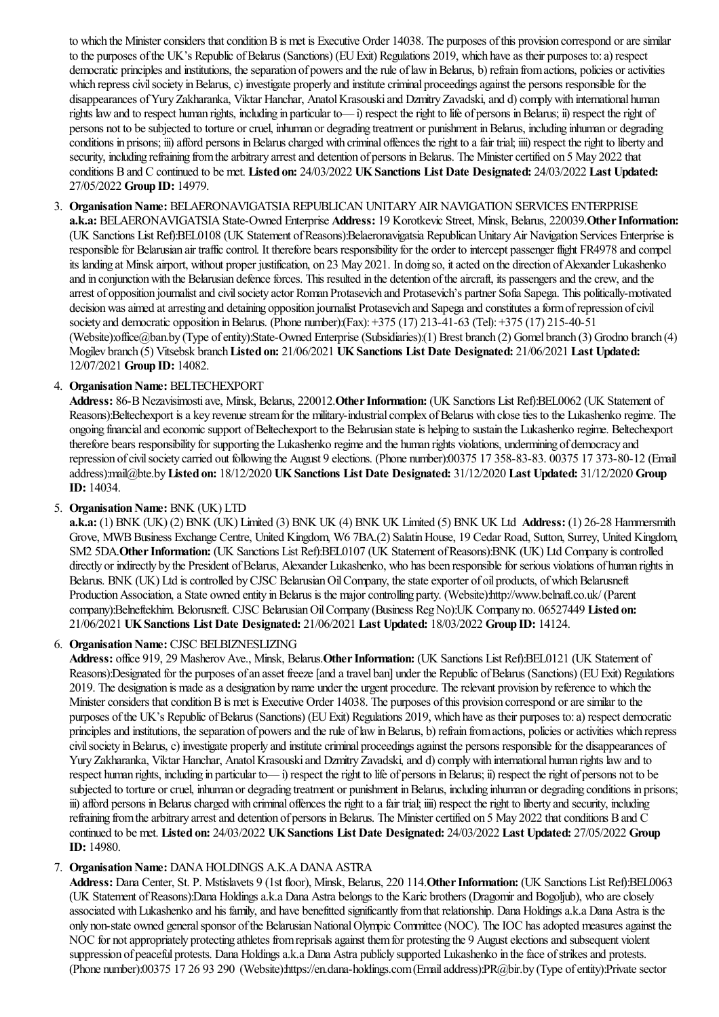to which the Minister considers that condition B is met is Executive Order 14038. The purposes of this provision correspond or are similar to the purposes of the UK's Republic of Belarus (Sanctions) (EU Exit) Regulations 2019, which have as their purposes to: a) respect democratic principles and institutions, the separation of powers and the rule of law in Belarus, b) refrain from actions, policies or activities which repress civil society in Belarus, c) investigate properly and institute criminal proceedings against the persons responsible for the disappearances of Yury Zakharanka, Viktar Hanchar, Anatol Krasouski and Dzmitry Zavadski, and d) comply with international human rights law and to respect human rights, including in particular to— i) respect the right to life of persons in Belarus; ii) respect the right of persons not to besubjected to torture orcruel, inhuman or degrading treatment or punishment inBelarus, including inhuman or degrading conditions in prisons; iii) afford persons in Belarus charged with criminal offences the right to a fair trial; iiii) respect the right to liberty and security, including refraining from the arbitrary arrest and detention of persons in Belarus. The Minister certified on 5 May 2022 that conditions Band C continued to be met. **Listed on:** 24/03/2022 **UKSanctions List Date Designated:** 24/03/2022 **Last Updated:** 27/05/2022 **Group ID:** 14979.

3. Organisation Name: BELAERONAVIGATSIA REPUBLICAN UNITARY AIR NAVIGATION SERVICES ENTERPRISE a.k.a: BELAERONAVIGATSIA State-Owned Enterprise Address: 19 Korotkevic Street, Minsk, Belarus, 220039. Other Information: (UK Sanctions List Ref):BEL0108 (UK Statement of Reasons):Belaeronavigatsia Republican Unitary Air Navigation Services Enterprise is responsible for Belarusian air traffic control. It therefore bears responsibility for the order to intercept passenger flight FR4978 and compel its landing at Minsk airport, without proper justification, on 23 May 2021. In doing so, it acted on the direction of Alexander Lukashenko and in conjunction with the Belarusian defence forces. This resulted in the detention of the aircraft, its passengers and the crew, and the arrest of opposition journalist and civil society actor Roman Protasevich and Protasevich's partner Sofia Sapega. This politically-motivated decision was aimed at arresting and detaining opposition journalist Protasevich and Sapega and constitutes a form of repression of civil society and democratic opposition in Belarus. (Phone number):(Fax): +375 (17) 213-41-63 (Tel): +375 (17) 215-40-51 (Website):office@ban.by (Type ofentity):State-Owned Enterprise(Subsidiaries):(1) Brest branch (2) Gomel branch (3) Grodno branch (4) Mogilev branch (5) Vitsebsk branch**Listed on:** 21/06/2021 **UKSanctions List Date Designated:** 21/06/2021 **Last Updated:** 12/07/2021 **Group ID:** 14082.

#### 4. **OrganisationName:** BELTECHEXPORT

**Address:** 86-BNezavisimostiave, Minsk, Belarus, 220012.**OtherInformation:** (UK Sanctions List Ref):BEL0062 (UK Statement of Reasons):Beltechexport is a key revenue stream for the military-industrial complex of Belarus with close ties to the Lukashenko regime. The ongoing financialand economicsupport ofBeltechexport to the Belarusian stateis helping to sustain the Lukashenko regime. Beltechexport therefore bears responsibility for supporting the Lukashenko regime and the human rights violations, undermining of democracy and repression ofcivilsociety carried out following the August 9 elections. (Phone number):00375 17 358-83-83. 00375 17 373-80-12 (Email address):mail@bte.by**Listed on:** 18/12/2020 **UKSanctions List Date Designated:** 31/12/2020 **Last Updated:** 31/12/2020 **Group ID:** 14034.

#### 5. Organisation Name: BNK (UK) LTD

**a.k.a:** (1) BNK (UK) (2) BNK (UK) Limited (3) BNK UK (4) BNK UK Limited (5) BNK UK Ltd **Address:** (1) 26-28 Hammersmith Grove, MWBBusiness Exchange Centre, United Kingdom, W6 7BA.(2) SalatinHouse, 19 Cedar Road, Sutton, Surrey, United Kingdom, SM2 5DA.**Other Information:** (UK Sanctions List Ref):BEL0107 (UK Statement of Reasons):BNK (UK) Ltd Company is controlled directly or indirectly by the President of Belarus, Alexander Lukashenko, who has been responsible for serious violations of human rights in Belarus. BNK (UK) Ltd is controlled by CJSC Belarusian Oil Company, the state exporter of oil products, of which Belarusneft Production Association, a State owned entity in Belarus is the major controlling party. (Website):http://www.belnaft.co.uk/ (Parent company):Belneftekhim. Belorusneft. CJSC BelarusianOilCompany (Business RegNo):UK Company no. 06527449 **Listed on:** 21/06/2021 **UKSanctions List Date Designated:** 21/06/2021 **Last Updated:** 18/03/2022 **Group ID:** 14124.

#### 6. **OrganisationName:** CJSC BELBIZNESLIZING

Address: office 919, 29 Masherov Ave., Minsk, Belarus. Other Information: (UK Sanctions List Ref):BEL0121 (UK Statement of Reasons):Designated for the purposes of an asset freeze [and a travel ban] under the Republic of Belarus (Sanctions) (EU Exit) Regulations 2019. The designation is made as a designation by name under the urgent procedure. The relevant provision by reference to which the Minister considers that condition B is met is Executive Order 14038. The purposes of this provision correspond or are similar to the purposes of the UK's Republic of Belarus (Sanctions) (EU Exit) Regulations 2019, which have as their purposes to: a) respect democratic principles and institutions, the separation of powers and the rule of law in Belarus, b) refrain from actions, policies or activities which repress civil society in Belarus, c) investigate properly and institute criminal proceedings against the persons responsible for the disappearances of Yury Zakharanka, Viktar Hanchar, Anatol Krasouski and Dzmitry Zavadski, and d) comply with international human rights law and to respect human rights, including in particular to— i) respect the right to life of persons in Belarus; ii) respect the right of persons not to be subjected to torture or cruel, inhuman or degrading treatment or punishment in Belarus, including inhuman or degrading conditions in prisons; iii) afford persons in Belarus charged with criminal offences the right to a fair trial; iiii) respect the right to liberty and security, including refraining from the arbitrary arrest and detention of persons in Belarus. The Minister certified on 5 May 2022 that conditions B and C continued to be met. **Listed on:** 24/03/2022 **UKSanctions List Date Designated:** 24/03/2022 **Last Updated:** 27/05/2022 **Group ID:** 14980.

#### 7. **Organisation Name: DANA HOLDINGS A.K.A DANA ASTRA**

**Address:** Dana Center, St. P. Mstislavets 9 (1st floor), Minsk, Belarus, 220 114.**OtherInformation:** (UK Sanctions List Ref):BEL0063 (UK Statement of Reasons):Dana Holdings a.k.a Dana Astra belongs to the Karic brothers (Dragomir and Bogoljub), who are closely associated with Lukashenko and his family, and have benefitted significantly from that relationship. Dana Holdings a.k.a Dana Astra is the only non-state owned general sponsor of the Belarusian National Olympic Committee (NOC). The IOC has adopted measures against the NOC for not appropriately protecting athletes from reprisals against them for protesting the 9 August elections and subsequent violent suppression of peaceful protests. Dana Holdings a.k.a Dana Astra publicly supported Lukashenko in the face of strikes and protests. (Phone number):00375 17 26 93 290 (Website):https://en.dana-holdings.com(Emailaddress):PR@bir.by (Type ofentity):Privatesector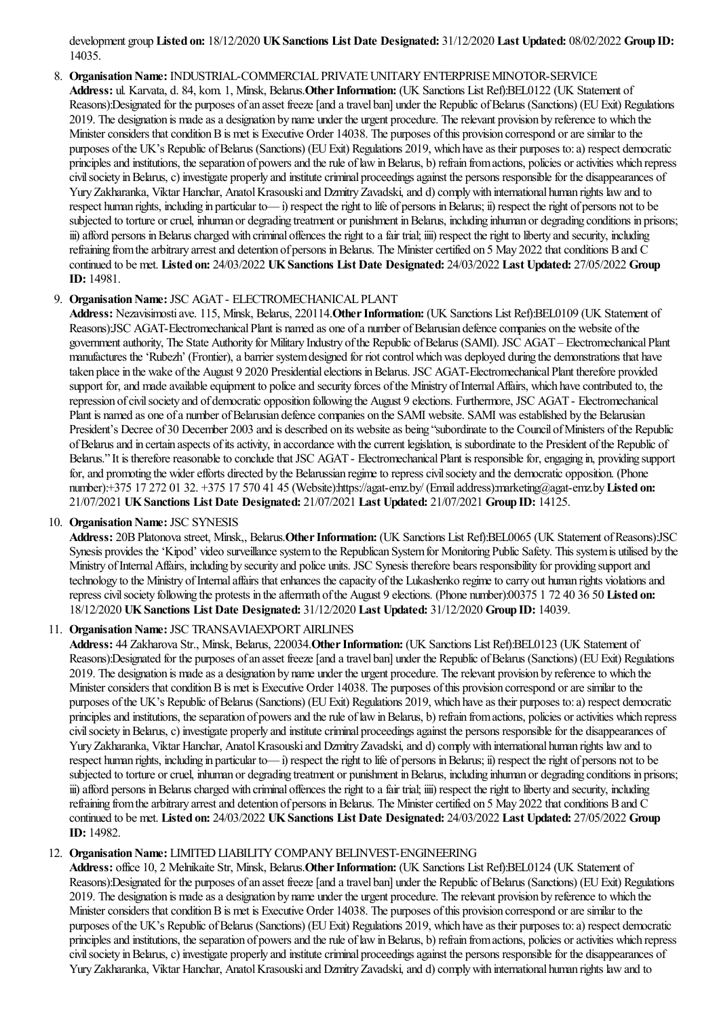development group **Listed on:** 18/12/2020 **UKSanctions List Date Designated:** 31/12/2020 **Last Updated:** 08/02/2022 **Group ID:** 14035.

8. **Organisation Name:** INDUSTRIAL-COMMERCIAL PRIVATE UNITARY ENTERPRISE MINOTOR-SERVICE **Address:** ul. Karvata, d. 84, kom. 1, Minsk, Belarus.**OtherInformation:** (UK Sanctions List Ref):BEL0122 (UK Statement of Reasons):Designated for the purposes of an asset freeze [and a travel ban] under the Republic of Belarus (Sanctions) (EU Exit) Regulations 2019. The designation is made as a designation by name under the urgent procedure. The relevant provision by reference to which the Minister considers that condition B is met is Executive Order 14038. The purposes of this provision correspond or are similar to the purposes ofthe UK's Republic ofBelarus (Sanctions) (EUExit) Regulations 2019, which haveas their purposes to:a) respect democratic principles and institutions, the separation of powers and the rule of law in Belarus, b) refrain from actions, policies or activities which repress civil society in Belarus, c) investigate properly and institute criminal proceedings against the persons responsible for the disappearances of Yury Zakharanka, Viktar Hanchar, Anatol Krasouski and Dzmitry Zavadski, and d) comply with international human rights law and to respect human rights, including in particular to— i) respect the right to life of persons in Belarus; ii) respect the right of persons not to be subjected to torture or cruel, inhuman or degrading treatment or punishment in Belarus, including inhuman or degrading conditions in prisons; iii) afford persons in Belarus charged with criminal offences the right to a fair trial; iiii) respect the right to liberty and security, including refraining from the arbitrary arrest and detention of persons in Belarus. The Minister certified on 5 May 2022 that conditions B and C continued to be met. **Listed on:** 24/03/2022 **UKSanctions List Date Designated:** 24/03/2022 **Last Updated:** 27/05/2022 **Group ID:** 14981.

#### 9. **Organisation Name: JSC AGAT - ELECTROMECHANICAL PLANT**

Address: Nezavisimosti ave. 115, Minsk, Belarus, 220114. Other Information: (UK Sanctions List Ref): BEL0109 (UK Statement of Reasons):JSC AGAT-Electromechanical Plant is named as one of a number of Belarusian defence companies on the website of the government authority, The State Authority for Military Industry of the Republic of Belarus (SAMI). JSC AGAT – Electromechanical Plant manufactures the 'Rubezh' (Frontier), a barrier system designed for riot control which was deployed during the demonstrations that have taken place in the wake of the August 9 2020 Presidential elections in Belarus. JSC AGAT-Electromechanical Plant therefore provided support for, and made available equipment to police and security forces of the Ministry of Internal Affairs, which have contributed to, the repression ofcivilsociety and of democratic opposition following the August 9 elections. Furthermore, JSC AGAT - Electromechanical Plant is named as one of a number of Belarusian defence companies on the SAMI website. SAMI was established by the Belarusian President's Decree of 30 December 2003 and is described on its website as being "subordinate to the Council of Ministers of the Republic of Belarus and in certain aspects of its activity, in accordance with the current legislation, is subordinate to the President of the Republic of Belarus." It is therefore reasonable to conclude that JSC AGAT - Electromechanical Plant is responsible for, engaging in, providing support for, and promoting the wider efforts directed by the Belarussian regime to repress civil society and the democratic opposition. (Phone number):+375 17 272 01 32. +375 17 570 41 45 (Website):https://agat-emz.by/ (Emailaddress):marketing@agat-emz.by**Listed on:** 21/07/2021 **UKSanctions List Date Designated:** 21/07/2021 **Last Updated:** 21/07/2021 **Group ID:** 14125.

#### 10. **Organisation Name: JSC SYNESIS**

**Address:** 20BPlatonovastreet, Minsk,, Belarus.**OtherInformation:** (UK Sanctions List Ref):BEL0065 (UK Statement ofReasons):JSC Synesis provides the 'Kipod' video surveillance system to the Republican System for Monitoring Public Safety. This system is utilised by the Ministry ofInternalAffairs, including by security and police units. JSC Synesis therefore bears responsibility for providing supportand technology to the Ministry of Internal affairs that enhances the capacity of the Lukashenko regime to carry out human rights violations and repress civil society following the protests in the aftermath of the August 9 elections. (Phone number):00375 1 72 40 36 50 **Listed on:** 18/12/2020 **UKSanctions List Date Designated:** 31/12/2020 **Last Updated:** 31/12/2020 **Group ID:** 14039.

#### 11. Organisation Name: JSC TRANSAVIAEXPORT AIRLINES

**Address:** 44 Zakharova Str., Minsk, Belarus, 220034.**OtherInformation:** (UK Sanctions List Ref):BEL0123 (UK Statement of Reasons):Designated for the purposes of an asset freeze [and a travel ban] under the Republic of Belarus (Sanctions) (EU Exit) Regulations 2019. The designation is made as a designation by name under the urgent procedure. The relevant provision by reference to which the Minister considers that condition B is met is Executive Order 14038. The purposes of this provision correspond or are similar to the purposes ofthe UK's Republic ofBelarus (Sanctions) (EUExit) Regulations 2019, which haveas their purposes to:a) respect democratic principles and institutions, the separation of powers and the rule of law in Belarus, b) refrain from actions, policies or activities which repress civil society in Belarus, c) investigate properly and institute criminal proceedings against the persons responsible for the disappearances of Yury Zakharanka, Viktar Hanchar, Anatol Krasouski and Dzmitry Zavadski, and d) comply with international human rights law and to respect human rights, including in particular to— i) respect the right to life of persons in Belarus; ii) respect the right of persons not to be subjected to torture or cruel, inhuman or degrading treatment or punishment in Belarus, including inhuman or degrading conditions in prisons; iii) afford persons in Belarus charged with criminal offences the right to a fair trial; iiii) respect the right to liberty and security, including refraining from the arbitrary arrest and detention of persons in Belarus. The Minister certified on 5 May 2022 that conditions B and C continued to be met. **Listed on:** 24/03/2022 **UKSanctions List Date Designated:** 24/03/2022 **Last Updated:** 27/05/2022 **Group ID:** 14982.

#### 12. **Organisation Name: LIMITED LIABILITY COMPANY BELINVEST-ENGINEERING**

Address: office 10, 2 Melnikaite Str, Minsk, Belarus. Other Information: (UK Sanctions List Ref):BEL0124 (UK Statement of Reasons):Designated for the purposes of an asset freeze [and a travel ban] under the Republic of Belarus (Sanctions) (EU Exit) Regulations 2019. The designation is made as a designation by name under the urgent procedure. The relevant provision by reference to which the Minister considers that condition B is met is Executive Order 14038. The purposes of this provision correspond or are similar to the purposes ofthe UK's Republic ofBelarus (Sanctions) (EUExit) Regulations 2019, which haveas their purposes to:a) respect democratic principles and institutions, the separation of powers and the rule of law in Belarus, b) refrain from actions, policies or activities which repress civil society in Belarus, c) investigate properly and institute criminal proceedings against the persons responsible for the disappearances of Yury Zakharanka, Viktar Hanchar, Anatol Krasouski and Dzmitry Zavadski, and d) comply with international human rights law and to